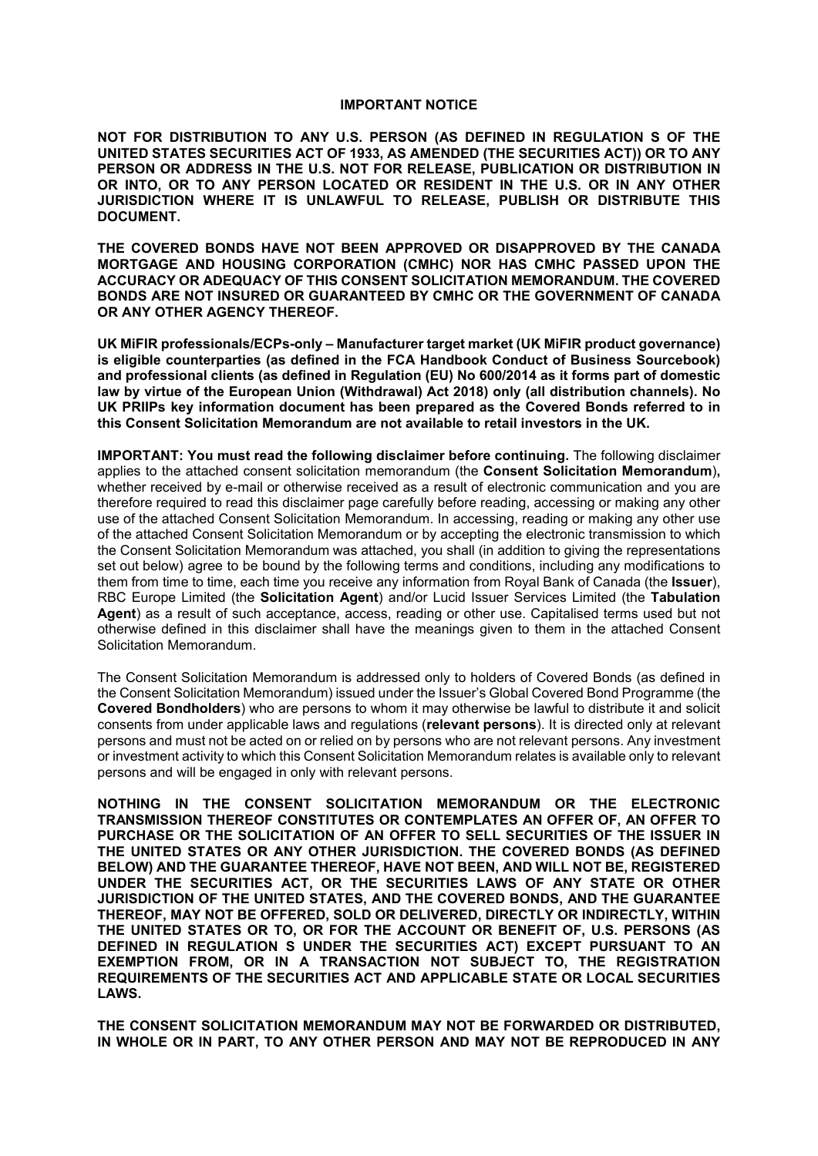#### **IMPORTANT NOTICE**

**NOT FOR DISTRIBUTION TO ANY U.S. PERSON (AS DEFINED IN REGULATION S OF THE UNITED STATES SECURITIES ACT OF 1933, AS AMENDED (THE SECURITIES ACT)) OR TO ANY**  PERSON OR ADDRESS IN THE U.S. NOT FOR RELEASE, PUBLICATION OR DISTRIBUTION IN **OR INTO, OR TO ANY PERSON LOCATED OR RESIDENT IN THE U.S. OR IN ANY OTHER JURISDICTION WHERE IT IS UNLAWFUL TO RELEASE, PUBLISH OR DISTRIBUTE THIS DOCUMENT.**

**THE COVERED BONDS HAVE NOT BEEN APPROVED OR DISAPPROVED BY THE CANADA MORTGAGE AND HOUSING CORPORATION (CMHC) NOR HAS CMHC PASSED UPON THE ACCURACY OR ADEQUACY OF THIS CONSENT SOLICITATION MEMORANDUM. THE COVERED BONDS ARE NOT INSURED OR GUARANTEED BY CMHC OR THE GOVERNMENT OF CANADA OR ANY OTHER AGENCY THEREOF.**

**UK MiFIR professionals/ECPs-only – Manufacturer target market (UK MiFIR product governance) is eligible counterparties (as defined in the FCA Handbook Conduct of Business Sourcebook) and professional clients (as defined in Regulation (EU) No 600/2014 as it forms part of domestic law by virtue of the European Union (Withdrawal) Act 2018) only (all distribution channels). No UK PRIIPs key information document has been prepared as the Covered Bonds referred to in this Consent Solicitation Memorandum are not available to retail investors in the UK.**

**IMPORTANT: You must read the following disclaimer before continuing.** The following disclaimer applies to the attached consent solicitation memorandum (the **Consent Solicitation Memorandum**)**,**  whether received by e-mail or otherwise received as a result of electronic communication and you are therefore required to read this disclaimer page carefully before reading, accessing or making any other use of the attached Consent Solicitation Memorandum. In accessing, reading or making any other use of the attached Consent Solicitation Memorandum or by accepting the electronic transmission to which the Consent Solicitation Memorandum was attached, you shall (in addition to giving the representations set out below) agree to be bound by the following terms and conditions, including any modifications to them from time to time, each time you receive any information from Royal Bank of Canada (the **Issuer**), RBC Europe Limited (the **Solicitation Agent**) and/or Lucid Issuer Services Limited (the **Tabulation Agent**) as a result of such acceptance, access, reading or other use. Capitalised terms used but not otherwise defined in this disclaimer shall have the meanings given to them in the attached Consent Solicitation Memorandum.

The Consent Solicitation Memorandum is addressed only to holders of Covered Bonds (as defined in the Consent Solicitation Memorandum) issued under the Issuer's Global Covered Bond Programme (the **Covered Bondholders**) who are persons to whom it may otherwise be lawful to distribute it and solicit consents from under applicable laws and regulations (**relevant persons**). It is directed only at relevant persons and must not be acted on or relied on by persons who are not relevant persons. Any investment or investment activity to which this Consent Solicitation Memorandum relates is available only to relevant persons and will be engaged in only with relevant persons.

**NOTHING IN THE CONSENT SOLICITATION MEMORANDUM OR THE ELECTRONIC TRANSMISSION THEREOF CONSTITUTES OR CONTEMPLATES AN OFFER OF, AN OFFER TO PURCHASE OR THE SOLICITATION OF AN OFFER TO SELL SECURITIES OF THE ISSUER IN THE UNITED STATES OR ANY OTHER JURISDICTION. THE COVERED BONDS (AS DEFINED BELOW) AND THE GUARANTEE THEREOF, HAVE NOT BEEN, AND WILL NOT BE, REGISTERED UNDER THE SECURITIES ACT, OR THE SECURITIES LAWS OF ANY STATE OR OTHER JURISDICTION OF THE UNITED STATES, AND THE COVERED BONDS, AND THE GUARANTEE THEREOF, MAY NOT BE OFFERED, SOLD OR DELIVERED, DIRECTLY OR INDIRECTLY, WITHIN THE UNITED STATES OR TO, OR FOR THE ACCOUNT OR BENEFIT OF, U.S. PERSONS (AS DEFINED IN REGULATION S UNDER THE SECURITIES ACT) EXCEPT PURSUANT TO AN EXEMPTION FROM, OR IN A TRANSACTION NOT SUBJECT TO, THE REGISTRATION REQUIREMENTS OF THE SECURITIES ACT AND APPLICABLE STATE OR LOCAL SECURITIES LAWS.**

**THE CONSENT SOLICITATION MEMORANDUM MAY NOT BE FORWARDED OR DISTRIBUTED, IN WHOLE OR IN PART, TO ANY OTHER PERSON AND MAY NOT BE REPRODUCED IN ANY**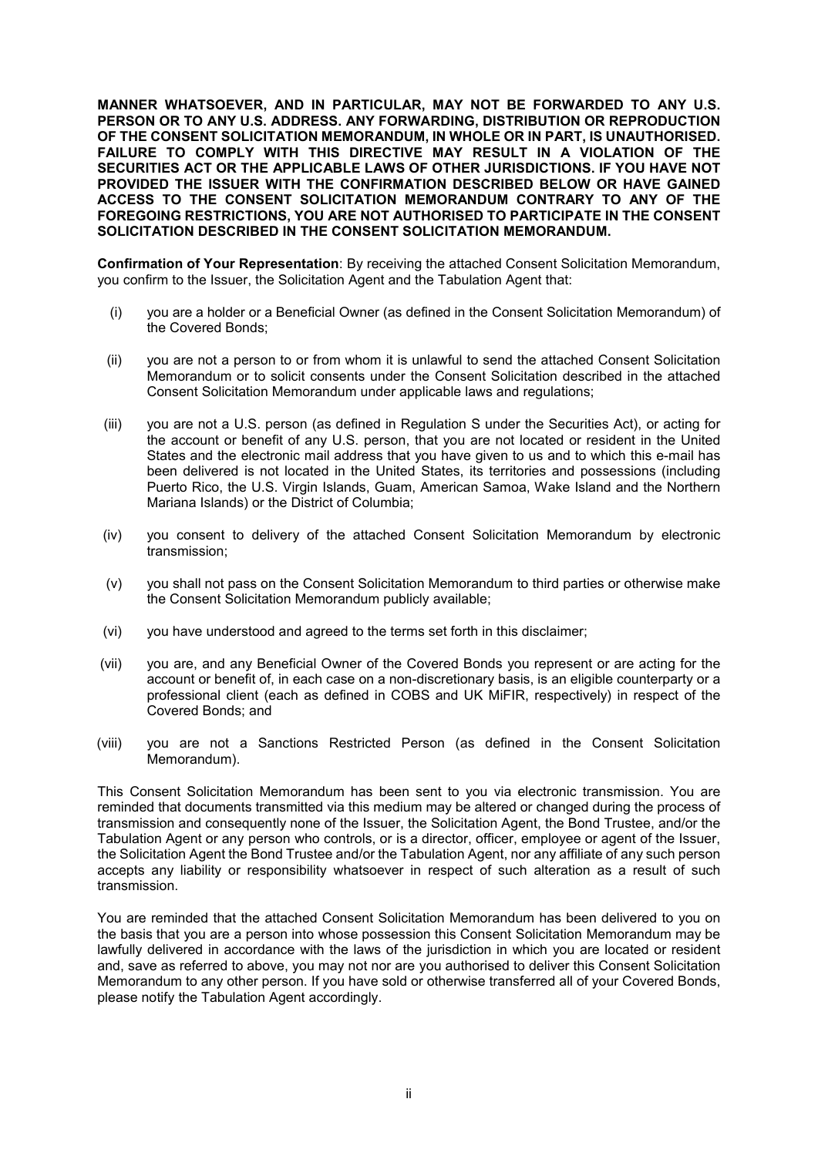**MANNER WHATSOEVER, AND IN PARTICULAR, MAY NOT BE FORWARDED TO ANY U.S. PERSON OR TO ANY U.S. ADDRESS. ANY FORWARDING, DISTRIBUTION OR REPRODUCTION OF THE CONSENT SOLICITATION MEMORANDUM, IN WHOLE OR IN PART, IS UNAUTHORISED. FAILURE TO COMPLY WITH THIS DIRECTIVE MAY RESULT IN A VIOLATION OF THE SECURITIES ACT OR THE APPLICABLE LAWS OF OTHER JURISDICTIONS. IF YOU HAVE NOT PROVIDED THE ISSUER WITH THE CONFIRMATION DESCRIBED BELOW OR HAVE GAINED ACCESS TO THE CONSENT SOLICITATION MEMORANDUM CONTRARY TO ANY OF THE FOREGOING RESTRICTIONS, YOU ARE NOT AUTHORISED TO PARTICIPATE IN THE CONSENT SOLICITATION DESCRIBED IN THE CONSENT SOLICITATION MEMORANDUM.**

**Confirmation of Your Representation**: By receiving the attached Consent Solicitation Memorandum, you confirm to the Issuer, the Solicitation Agent and the Tabulation Agent that:

- (i) you are a holder or a Beneficial Owner (as defined in the Consent Solicitation Memorandum) of the Covered Bonds;
- (ii) you are not a person to or from whom it is unlawful to send the attached Consent Solicitation Memorandum or to solicit consents under the Consent Solicitation described in the attached Consent Solicitation Memorandum under applicable laws and regulations;
- (iii) you are not a U.S. person (as defined in Regulation S under the Securities Act), or acting for the account or benefit of any U.S. person, that you are not located or resident in the United States and the electronic mail address that you have given to us and to which this e-mail has been delivered is not located in the United States, its territories and possessions (including Puerto Rico, the U.S. Virgin Islands, Guam, American Samoa, Wake Island and the Northern Mariana Islands) or the District of Columbia;
- (iv) you consent to delivery of the attached Consent Solicitation Memorandum by electronic transmission;
- (v) you shall not pass on the Consent Solicitation Memorandum to third parties or otherwise make the Consent Solicitation Memorandum publicly available;
- (vi) you have understood and agreed to the terms set forth in this disclaimer;
- (vii) you are, and any Beneficial Owner of the Covered Bonds you represent or are acting for the account or benefit of, in each case on a non-discretionary basis, is an eligible counterparty or a professional client (each as defined in COBS and UK MiFIR, respectively) in respect of the Covered Bonds; and
- (viii) you are not a Sanctions Restricted Person (as defined in the Consent Solicitation Memorandum).

This Consent Solicitation Memorandum has been sent to you via electronic transmission. You are reminded that documents transmitted via this medium may be altered or changed during the process of transmission and consequently none of the Issuer, the Solicitation Agent, the Bond Trustee, and/or the Tabulation Agent or any person who controls, or is a director, officer, employee or agent of the Issuer, the Solicitation Agent the Bond Trustee and/or the Tabulation Agent, nor any affiliate of any such person accepts any liability or responsibility whatsoever in respect of such alteration as a result of such transmission.

You are reminded that the attached Consent Solicitation Memorandum has been delivered to you on the basis that you are a person into whose possession this Consent Solicitation Memorandum may be lawfully delivered in accordance with the laws of the jurisdiction in which you are located or resident and, save as referred to above, you may not nor are you authorised to deliver this Consent Solicitation Memorandum to any other person. If you have sold or otherwise transferred all of your Covered Bonds, please notify the Tabulation Agent accordingly.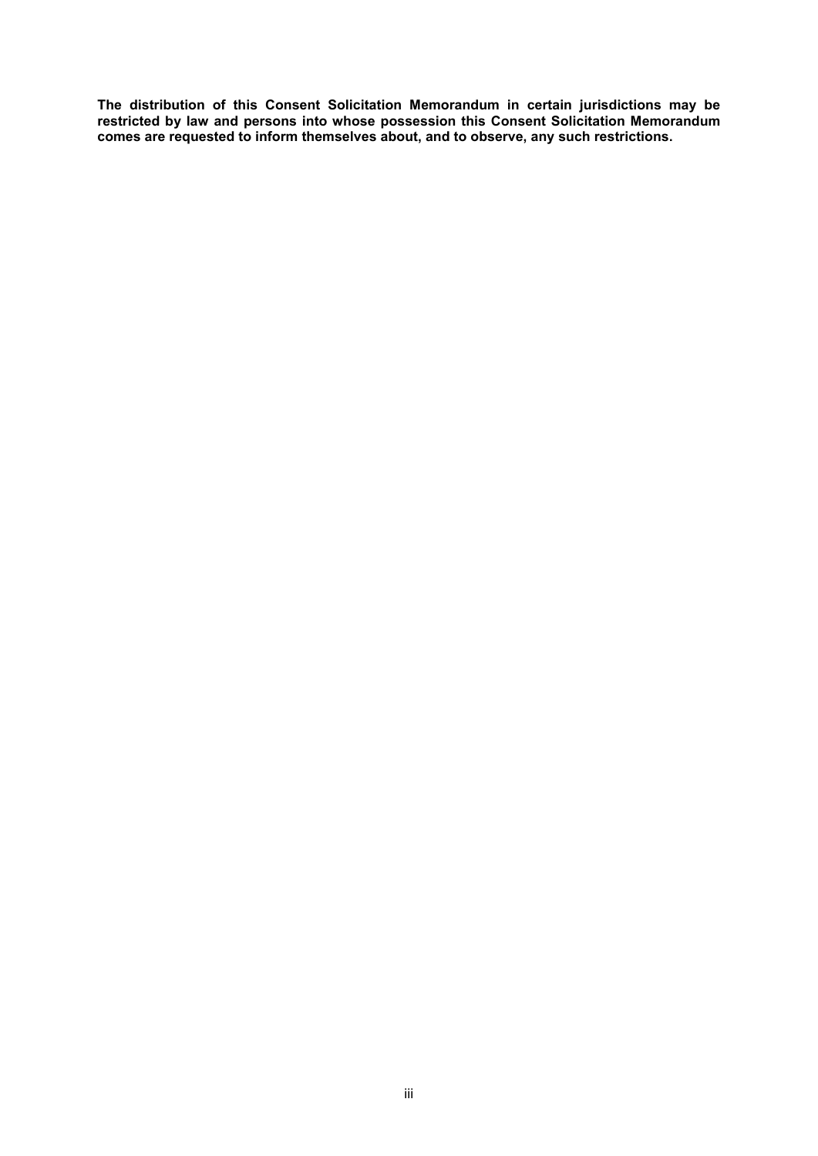**The distribution of this Consent Solicitation Memorandum in certain jurisdictions may be restricted by law and persons into whose possession this Consent Solicitation Memorandum comes are requested to inform themselves about, and to observe, any such restrictions.**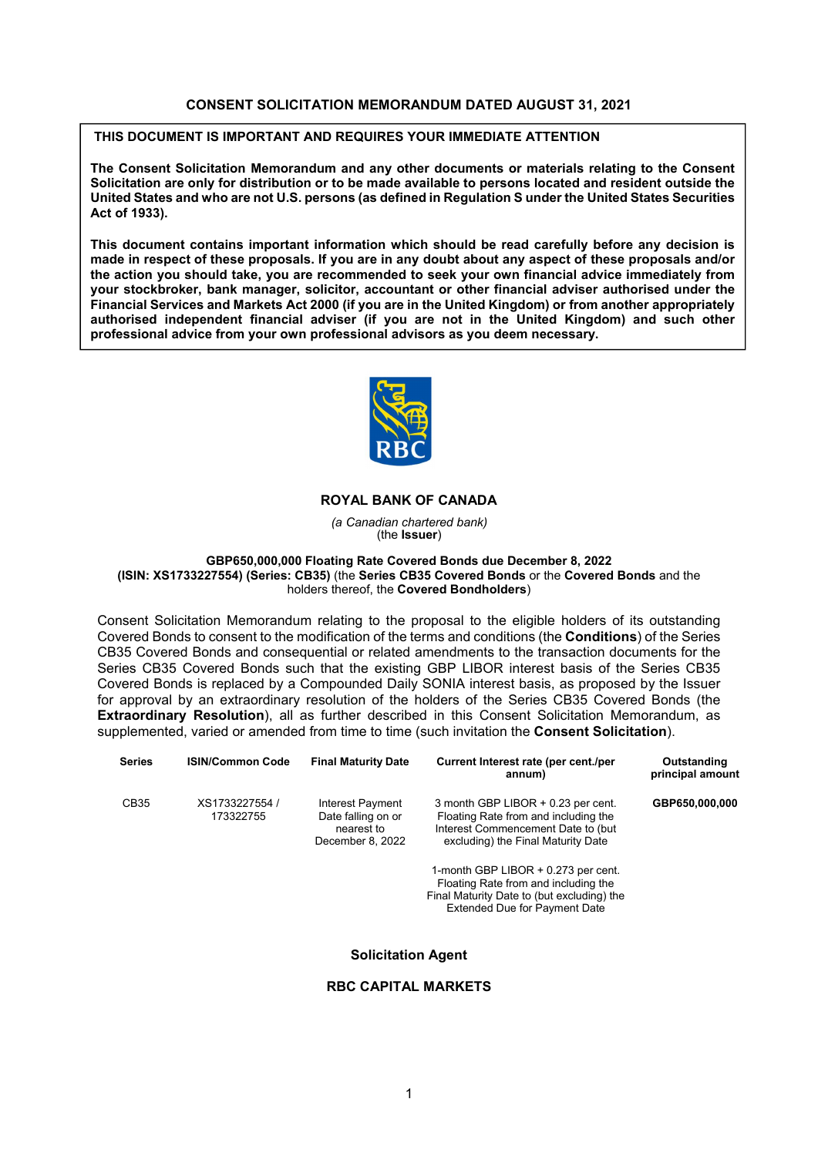#### **CONSENT SOLICITATION MEMORANDUM DATED AUGUST 31, 2021**

**THIS DOCUMENT IS IMPORTANT AND REQUIRES YOUR IMMEDIATE ATTENTION**

**The Consent Solicitation Memorandum and any other documents or materials relating to the Consent Solicitation are only for distribution or to be made available to persons located and resident outside the United States and who are not U.S. persons (as defined in Regulation S under the United States Securities Act of 1933).**

**This document contains important information which should be read carefully before any decision is made in respect of these proposals. If you are in any doubt about any aspect of these proposals and/or the action you should take, you are recommended to seek your own financial advice immediately from your stockbroker, bank manager, solicitor, accountant or other financial adviser authorised under the Financial Services and Markets Act 2000 (if you are in the United Kingdom) or from another appropriately authorised independent financial adviser (if you are not in the United Kingdom) and such other professional advice from your own professional advisors as you deem necessary.**



# **ROYAL BANK OF CANADA**

*(a Canadian chartered bank)*  (the **Issuer**)

**GBP650,000,000 Floating Rate Covered Bonds due December 8, 2022 (ISIN: XS1733227554) (Series: CB35)** (the **Series CB35 Covered Bonds** or the **Covered Bonds** and the holders thereof, the **Covered Bondholders**)

Consent Solicitation Memorandum relating to the proposal to the eligible holders of its outstanding Covered Bonds to consent to the modification of the terms and conditions (the **Conditions**) of the Series CB35 Covered Bonds and consequential or related amendments to the transaction documents for the Series CB35 Covered Bonds such that the existing GBP LIBOR interest basis of the Series CB35 Covered Bonds is replaced by a Compounded Daily SONIA interest basis, as proposed by the Issuer for approval by an extraordinary resolution of the holders of the Series CB35 Covered Bonds (the **Extraordinary Resolution**), all as further described in this Consent Solicitation Memorandum, as supplemented, varied or amended from time to time (such invitation the **Consent Solicitation**).

| <b>Series</b> | <b>ISIN/Common Code</b>     | <b>Final Maturity Date</b>                                               | Current Interest rate (per cent./per<br>annum)                                                                                                                                                                                                                                                                               | Outstanding<br>principal amount |
|---------------|-----------------------------|--------------------------------------------------------------------------|------------------------------------------------------------------------------------------------------------------------------------------------------------------------------------------------------------------------------------------------------------------------------------------------------------------------------|---------------------------------|
| CB35          | XS1733227554 /<br>173322755 | Interest Payment<br>Date falling on or<br>nearest to<br>December 8, 2022 | 3 month GBP LIBOR + 0.23 per cent.<br>Floating Rate from and including the<br>Interest Commencement Date to (but)<br>excluding) the Final Maturity Date<br>1-month GBP LIBOR + 0.273 per cent.<br>Floating Rate from and including the<br>Final Maturity Date to (but excluding) the<br><b>Extended Due for Payment Date</b> | GBP650,000,000                  |
|               |                             |                                                                          |                                                                                                                                                                                                                                                                                                                              |                                 |

# **Solicitation Agent**

# **RBC CAPITAL MARKETS**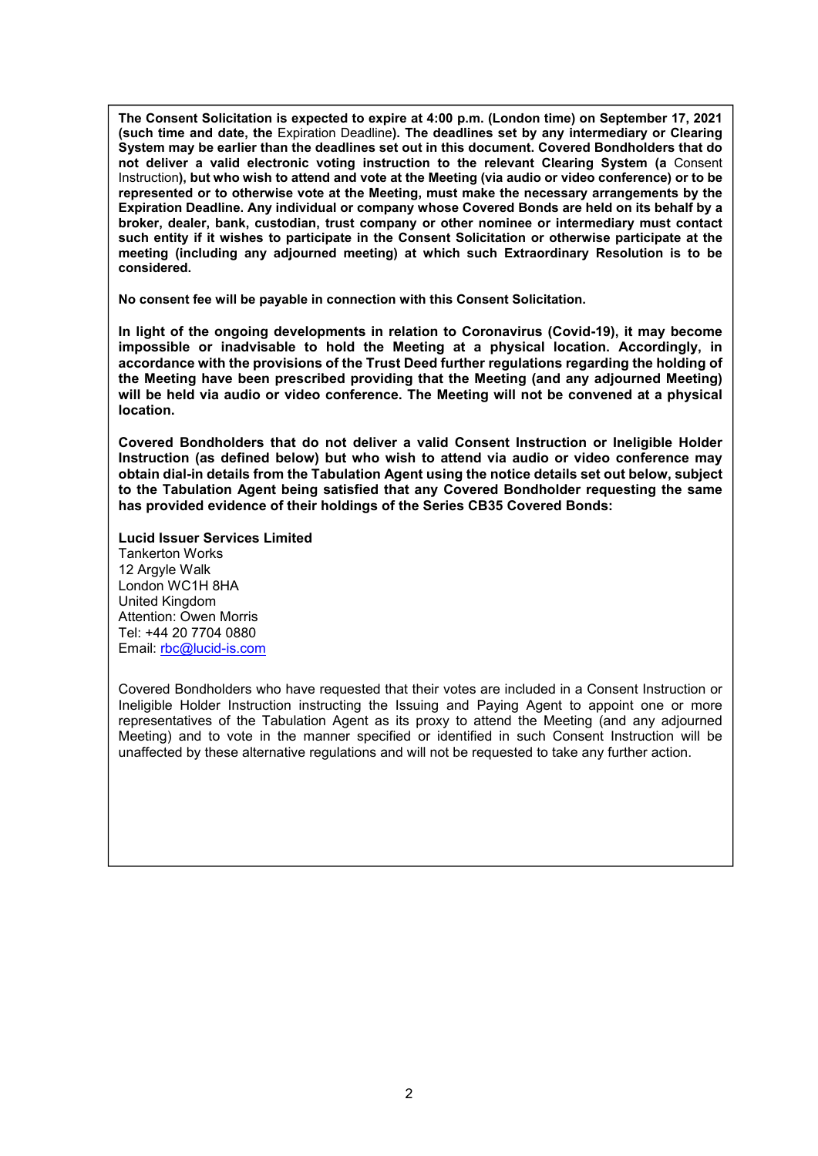**The Consent Solicitation is expected to expire at 4:00 p.m. (London time) on September 17, 2021 (such time and date, the** Expiration Deadline**). The deadlines set by any intermediary or Clearing System may be earlier than the deadlines set out in this document. Covered Bondholders that do not deliver a valid electronic voting instruction to the relevant Clearing System (a** Consent Instruction**), but who wish to attend and vote at the Meeting (via audio or video conference) or to be represented or to otherwise vote at the Meeting, must make the necessary arrangements by the Expiration Deadline. Any individual or company whose Covered Bonds are held on its behalf by a broker, dealer, bank, custodian, trust company or other nominee or intermediary must contact such entity if it wishes to participate in the Consent Solicitation or otherwise participate at the meeting (including any adjourned meeting) at which such Extraordinary Resolution is to be considered.**

**No consent fee will be payable in connection with this Consent Solicitation.**

**In light of the ongoing developments in relation to Coronavirus (Covid-19), it may become impossible or inadvisable to hold the Meeting at a physical location. Accordingly, in accordance with the provisions of the Trust Deed further regulations regarding the holding of the Meeting have been prescribed providing that the Meeting (and any adjourned Meeting) will be held via audio or video conference. The Meeting will not be convened at a physical location.** 

**Covered Bondholders that do not deliver a valid Consent Instruction or Ineligible Holder Instruction (as defined below) but who wish to attend via audio or video conference may obtain dial-in details from the Tabulation Agent using the notice details set out below, subject to the Tabulation Agent being satisfied that any Covered Bondholder requesting the same has provided evidence of their holdings of the Series CB35 Covered Bonds:** 

**Lucid Issuer Services Limited** Tankerton Works 12 Argyle Walk London WC1H 8HA United Kingdom Attention: Owen Morris Tel: +44 20 7704 0880 Email: rbc@lucid-is.com

Covered Bondholders who have requested that their votes are included in a Consent Instruction or Ineligible Holder Instruction instructing the Issuing and Paying Agent to appoint one or more representatives of the Tabulation Agent as its proxy to attend the Meeting (and any adjourned Meeting) and to vote in the manner specified or identified in such Consent Instruction will be unaffected by these alternative regulations and will not be requested to take any further action.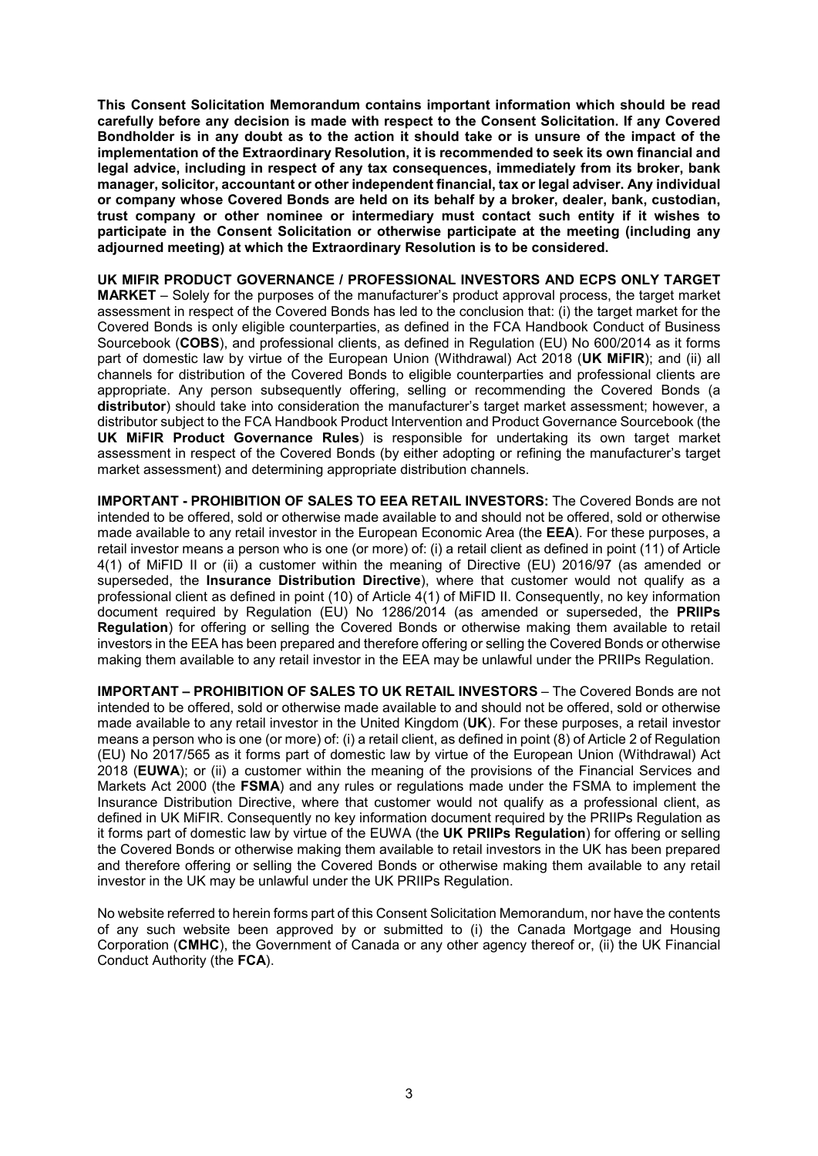**This Consent Solicitation Memorandum contains important information which should be read carefully before any decision is made with respect to the Consent Solicitation. If any Covered Bondholder is in any doubt as to the action it should take or is unsure of the impact of the implementation of the Extraordinary Resolution, it is recommended to seek its own financial and legal advice, including in respect of any tax consequences, immediately from its broker, bank manager, solicitor, accountant or other independent financial, tax or legal adviser. Any individual or company whose Covered Bonds are held on its behalf by a broker, dealer, bank, custodian, trust company or other nominee or intermediary must contact such entity if it wishes to participate in the Consent Solicitation or otherwise participate at the meeting (including any adjourned meeting) at which the Extraordinary Resolution is to be considered.**

**UK MIFIR PRODUCT GOVERNANCE / PROFESSIONAL INVESTORS AND ECPS ONLY TARGET MARKET** – Solely for the purposes of the manufacturer's product approval process, the target market assessment in respect of the Covered Bonds has led to the conclusion that: (i) the target market for the Covered Bonds is only eligible counterparties, as defined in the FCA Handbook Conduct of Business Sourcebook (**COBS**), and professional clients, as defined in Regulation (EU) No 600/2014 as it forms part of domestic law by virtue of the European Union (Withdrawal) Act 2018 (**UK MiFIR**); and (ii) all channels for distribution of the Covered Bonds to eligible counterparties and professional clients are appropriate. Any person subsequently offering, selling or recommending the Covered Bonds (a **distributor**) should take into consideration the manufacturer's target market assessment; however, a distributor subject to the FCA Handbook Product Intervention and Product Governance Sourcebook (the **UK MiFIR Product Governance Rules**) is responsible for undertaking its own target market assessment in respect of the Covered Bonds (by either adopting or refining the manufacturer's target market assessment) and determining appropriate distribution channels.

**IMPORTANT - PROHIBITION OF SALES TO EEA RETAIL INVESTORS:** The Covered Bonds are not intended to be offered, sold or otherwise made available to and should not be offered, sold or otherwise made available to any retail investor in the European Economic Area (the **EEA**). For these purposes, a retail investor means a person who is one (or more) of: (i) a retail client as defined in point (11) of Article 4(1) of MiFID II or (ii) a customer within the meaning of Directive (EU) 2016/97 (as amended or superseded, the **Insurance Distribution Directive**), where that customer would not qualify as a professional client as defined in point (10) of Article 4(1) of MiFID II. Consequently, no key information document required by Regulation (EU) No 1286/2014 (as amended or superseded, the **PRIIPs Regulation**) for offering or selling the Covered Bonds or otherwise making them available to retail investors in the EEA has been prepared and therefore offering or selling the Covered Bonds or otherwise making them available to any retail investor in the EEA may be unlawful under the PRIIPs Regulation.

**IMPORTANT – PROHIBITION OF SALES TO UK RETAIL INVESTORS** – The Covered Bonds are not intended to be offered, sold or otherwise made available to and should not be offered, sold or otherwise made available to any retail investor in the United Kingdom (**UK**). For these purposes, a retail investor means a person who is one (or more) of: (i) a retail client, as defined in point (8) of Article 2 of Regulation (EU) No 2017/565 as it forms part of domestic law by virtue of the European Union (Withdrawal) Act 2018 (**EUWA**); or (ii) a customer within the meaning of the provisions of the Financial Services and Markets Act 2000 (the **FSMA**) and any rules or regulations made under the FSMA to implement the Insurance Distribution Directive, where that customer would not qualify as a professional client, as defined in UK MiFIR. Consequently no key information document required by the PRIIPs Regulation as it forms part of domestic law by virtue of the EUWA (the **UK PRIIPs Regulation**) for offering or selling the Covered Bonds or otherwise making them available to retail investors in the UK has been prepared and therefore offering or selling the Covered Bonds or otherwise making them available to any retail investor in the UK may be unlawful under the UK PRIIPs Regulation.

No website referred to herein forms part of this Consent Solicitation Memorandum, nor have the contents of any such website been approved by or submitted to (i) the Canada Mortgage and Housing Corporation (**CMHC**), the Government of Canada or any other agency thereof or, (ii) the UK Financial Conduct Authority (the **FCA**).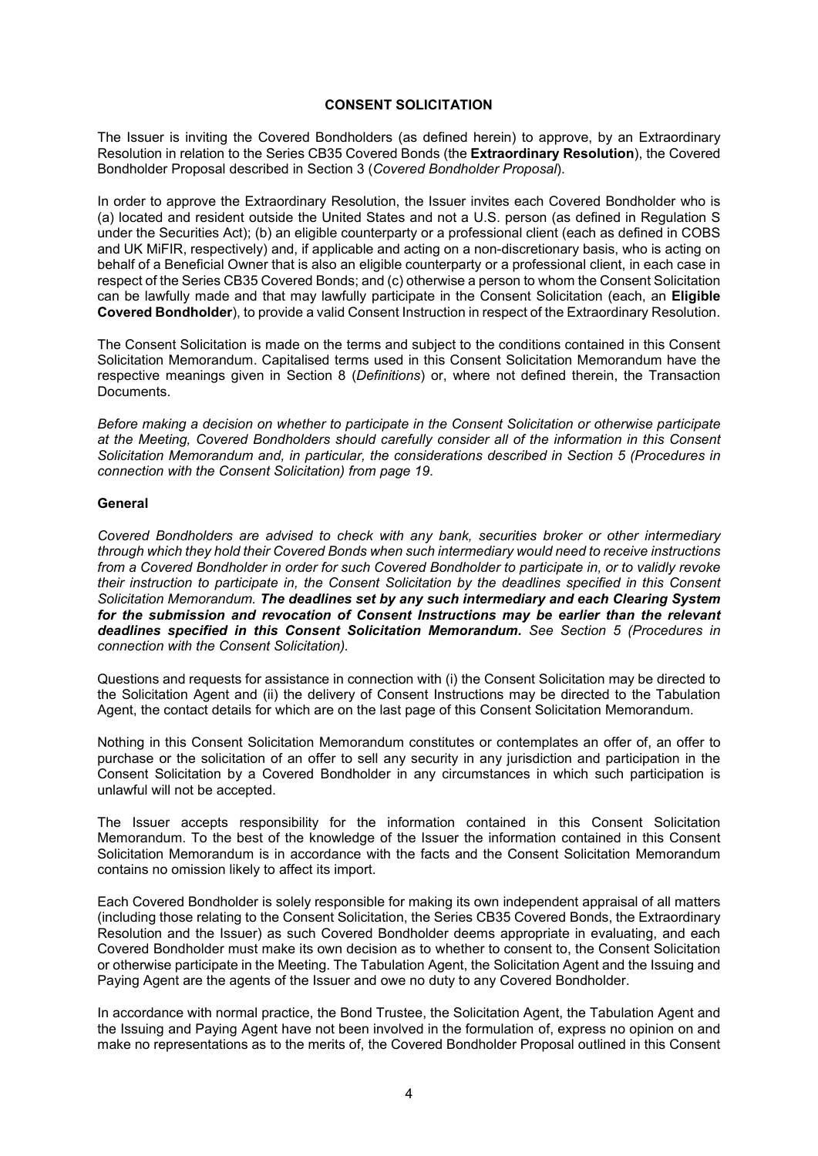#### **CONSENT SOLICITATION**

The Issuer is inviting the Covered Bondholders (as defined herein) to approve, by an Extraordinary Resolution in relation to the Series CB35 Covered Bonds (the **Extraordinary Resolution**), the Covered Bondholder Proposal described in Section 3 (*Covered Bondholder Proposal*).

In order to approve the Extraordinary Resolution, the Issuer invites each Covered Bondholder who is (a) located and resident outside the United States and not a U.S. person (as defined in Regulation S under the Securities Act); (b) an eligible counterparty or a professional client (each as defined in COBS and UK MiFIR, respectively) and, if applicable and acting on a non-discretionary basis, who is acting on behalf of a Beneficial Owner that is also an eligible counterparty or a professional client, in each case in respect of the Series CB35 Covered Bonds; and (c) otherwise a person to whom the Consent Solicitation can be lawfully made and that may lawfully participate in the Consent Solicitation (each, an **Eligible Covered Bondholder**), to provide a valid Consent Instruction in respect of the Extraordinary Resolution.

The Consent Solicitation is made on the terms and subject to the conditions contained in this Consent Solicitation Memorandum. Capitalised terms used in this Consent Solicitation Memorandum have the respective meanings given in Section 8 (*Definitions*) or, where not defined therein, the Transaction Documents.

*Before making a decision on whether to participate in the Consent Solicitation or otherwise participate at the Meeting, Covered Bondholders should carefully consider all of the information in this Consent Solicitation Memorandum and, in particular, the considerations described in Section 5 (Procedures in connection with the Consent Solicitation) from page 19*.

### **General**

*Covered Bondholders are advised to check with any bank, securities broker or other intermediary through which they hold their Covered Bonds when such intermediary would need to receive instructions from a Covered Bondholder in order for such Covered Bondholder to participate in, or to validly revoke their instruction to participate in, the Consent Solicitation by the deadlines specified in this Consent Solicitation Memorandum. The deadlines set by any such intermediary and each Clearing System for the submission and revocation of Consent Instructions may be earlier than the relevant deadlines specified in this Consent Solicitation Memorandum. See Section 5 (Procedures in connection with the Consent Solicitation).*

Questions and requests for assistance in connection with (i) the Consent Solicitation may be directed to the Solicitation Agent and (ii) the delivery of Consent Instructions may be directed to the Tabulation Agent, the contact details for which are on the last page of this Consent Solicitation Memorandum.

Nothing in this Consent Solicitation Memorandum constitutes or contemplates an offer of, an offer to purchase or the solicitation of an offer to sell any security in any jurisdiction and participation in the Consent Solicitation by a Covered Bondholder in any circumstances in which such participation is unlawful will not be accepted.

The Issuer accepts responsibility for the information contained in this Consent Solicitation Memorandum. To the best of the knowledge of the Issuer the information contained in this Consent Solicitation Memorandum is in accordance with the facts and the Consent Solicitation Memorandum contains no omission likely to affect its import.

Each Covered Bondholder is solely responsible for making its own independent appraisal of all matters (including those relating to the Consent Solicitation, the Series CB35 Covered Bonds, the Extraordinary Resolution and the Issuer) as such Covered Bondholder deems appropriate in evaluating, and each Covered Bondholder must make its own decision as to whether to consent to, the Consent Solicitation or otherwise participate in the Meeting. The Tabulation Agent, the Solicitation Agent and the Issuing and Paying Agent are the agents of the Issuer and owe no duty to any Covered Bondholder.

In accordance with normal practice, the Bond Trustee, the Solicitation Agent, the Tabulation Agent and the Issuing and Paying Agent have not been involved in the formulation of, express no opinion on and make no representations as to the merits of, the Covered Bondholder Proposal outlined in this Consent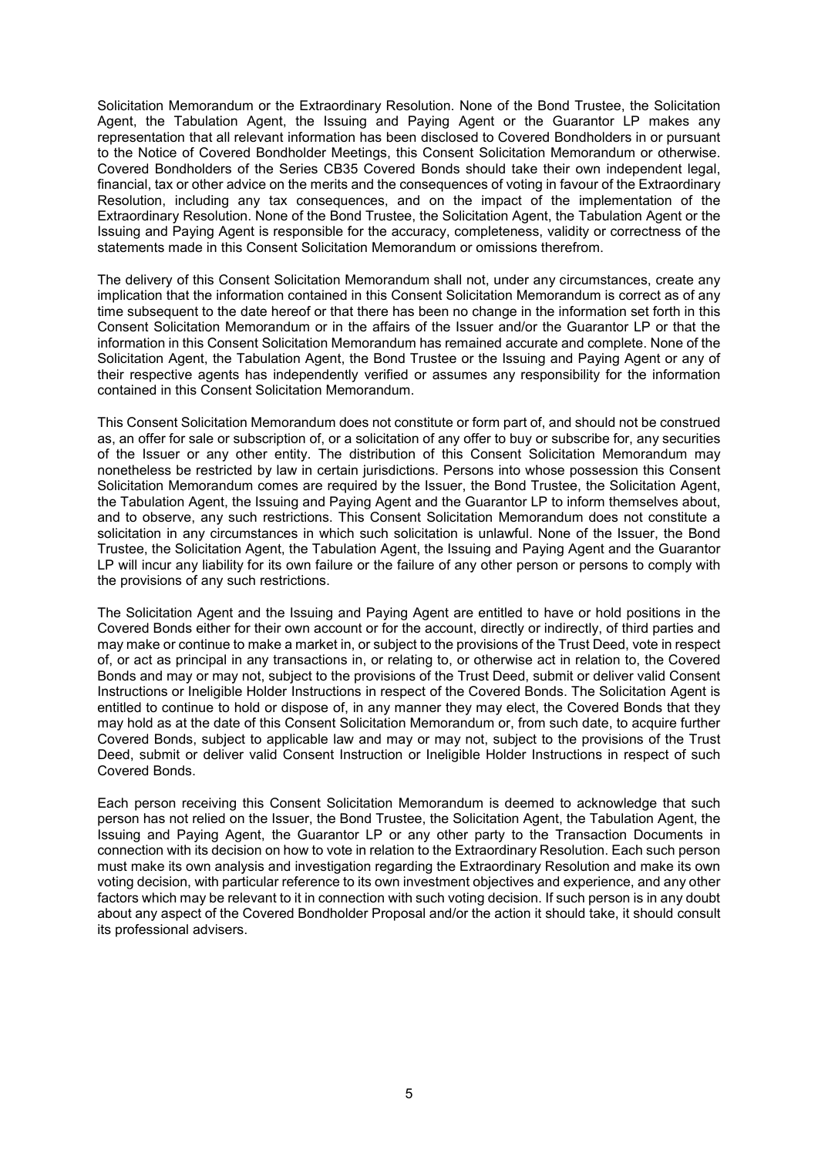Solicitation Memorandum or the Extraordinary Resolution. None of the Bond Trustee, the Solicitation Agent, the Tabulation Agent, the Issuing and Paying Agent or the Guarantor LP makes any representation that all relevant information has been disclosed to Covered Bondholders in or pursuant to the Notice of Covered Bondholder Meetings, this Consent Solicitation Memorandum or otherwise. Covered Bondholders of the Series CB35 Covered Bonds should take their own independent legal, financial, tax or other advice on the merits and the consequences of voting in favour of the Extraordinary Resolution, including any tax consequences, and on the impact of the implementation of the Extraordinary Resolution. None of the Bond Trustee, the Solicitation Agent, the Tabulation Agent or the Issuing and Paying Agent is responsible for the accuracy, completeness, validity or correctness of the statements made in this Consent Solicitation Memorandum or omissions therefrom.

The delivery of this Consent Solicitation Memorandum shall not, under any circumstances, create any implication that the information contained in this Consent Solicitation Memorandum is correct as of any time subsequent to the date hereof or that there has been no change in the information set forth in this Consent Solicitation Memorandum or in the affairs of the Issuer and/or the Guarantor LP or that the information in this Consent Solicitation Memorandum has remained accurate and complete. None of the Solicitation Agent, the Tabulation Agent, the Bond Trustee or the Issuing and Paying Agent or any of their respective agents has independently verified or assumes any responsibility for the information contained in this Consent Solicitation Memorandum.

This Consent Solicitation Memorandum does not constitute or form part of, and should not be construed as, an offer for sale or subscription of, or a solicitation of any offer to buy or subscribe for, any securities of the Issuer or any other entity. The distribution of this Consent Solicitation Memorandum may nonetheless be restricted by law in certain jurisdictions. Persons into whose possession this Consent Solicitation Memorandum comes are required by the Issuer, the Bond Trustee, the Solicitation Agent, the Tabulation Agent, the Issuing and Paying Agent and the Guarantor LP to inform themselves about, and to observe, any such restrictions. This Consent Solicitation Memorandum does not constitute a solicitation in any circumstances in which such solicitation is unlawful. None of the Issuer, the Bond Trustee, the Solicitation Agent, the Tabulation Agent, the Issuing and Paying Agent and the Guarantor LP will incur any liability for its own failure or the failure of any other person or persons to comply with the provisions of any such restrictions.

The Solicitation Agent and the Issuing and Paying Agent are entitled to have or hold positions in the Covered Bonds either for their own account or for the account, directly or indirectly, of third parties and may make or continue to make a market in, or subject to the provisions of the Trust Deed, vote in respect of, or act as principal in any transactions in, or relating to, or otherwise act in relation to, the Covered Bonds and may or may not, subject to the provisions of the Trust Deed, submit or deliver valid Consent Instructions or Ineligible Holder Instructions in respect of the Covered Bonds. The Solicitation Agent is entitled to continue to hold or dispose of, in any manner they may elect, the Covered Bonds that they may hold as at the date of this Consent Solicitation Memorandum or, from such date, to acquire further Covered Bonds, subject to applicable law and may or may not, subject to the provisions of the Trust Deed, submit or deliver valid Consent Instruction or Ineligible Holder Instructions in respect of such Covered Bonds.

Each person receiving this Consent Solicitation Memorandum is deemed to acknowledge that such person has not relied on the Issuer, the Bond Trustee, the Solicitation Agent, the Tabulation Agent, the Issuing and Paying Agent, the Guarantor LP or any other party to the Transaction Documents in connection with its decision on how to vote in relation to the Extraordinary Resolution. Each such person must make its own analysis and investigation regarding the Extraordinary Resolution and make its own voting decision, with particular reference to its own investment objectives and experience, and any other factors which may be relevant to it in connection with such voting decision. If such person is in any doubt about any aspect of the Covered Bondholder Proposal and/or the action it should take, it should consult its professional advisers.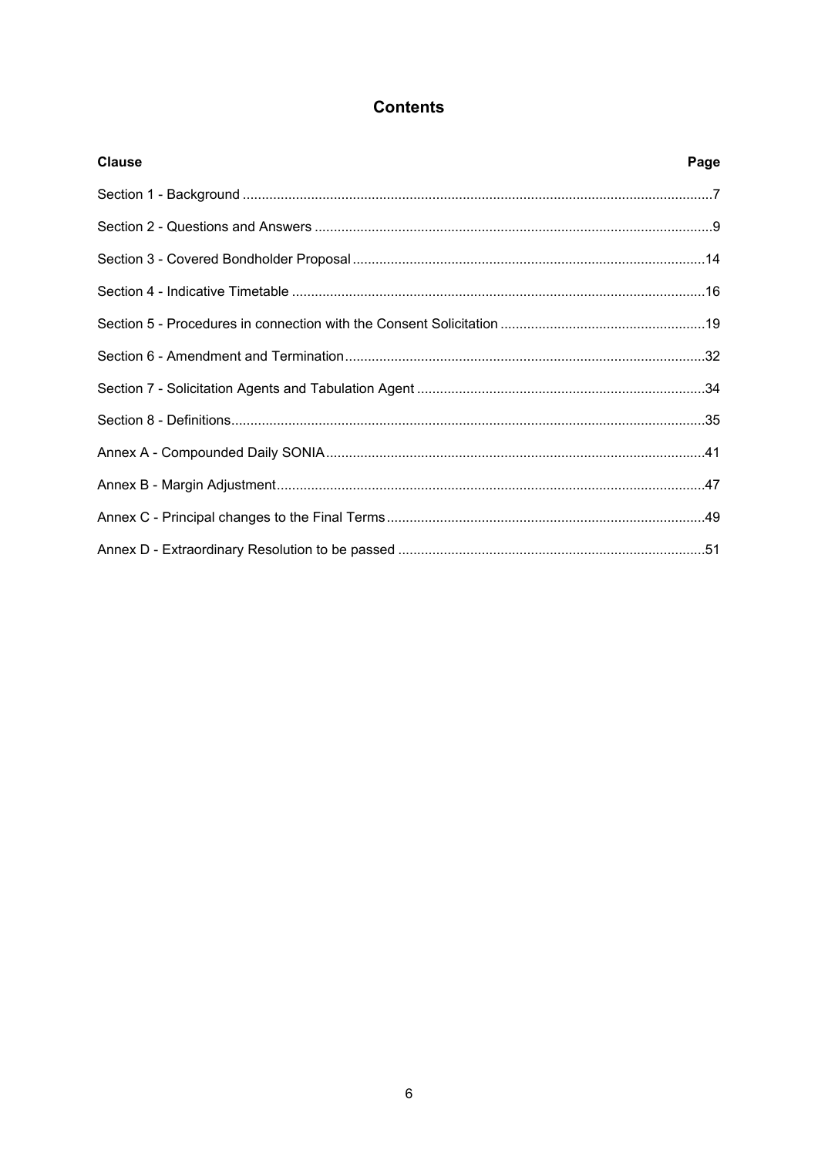# **Contents**

| <b>Clause</b> | Page |
|---------------|------|
|               |      |
|               |      |
|               |      |
|               |      |
|               |      |
|               |      |
|               |      |
|               |      |
|               |      |
|               |      |
|               |      |
|               |      |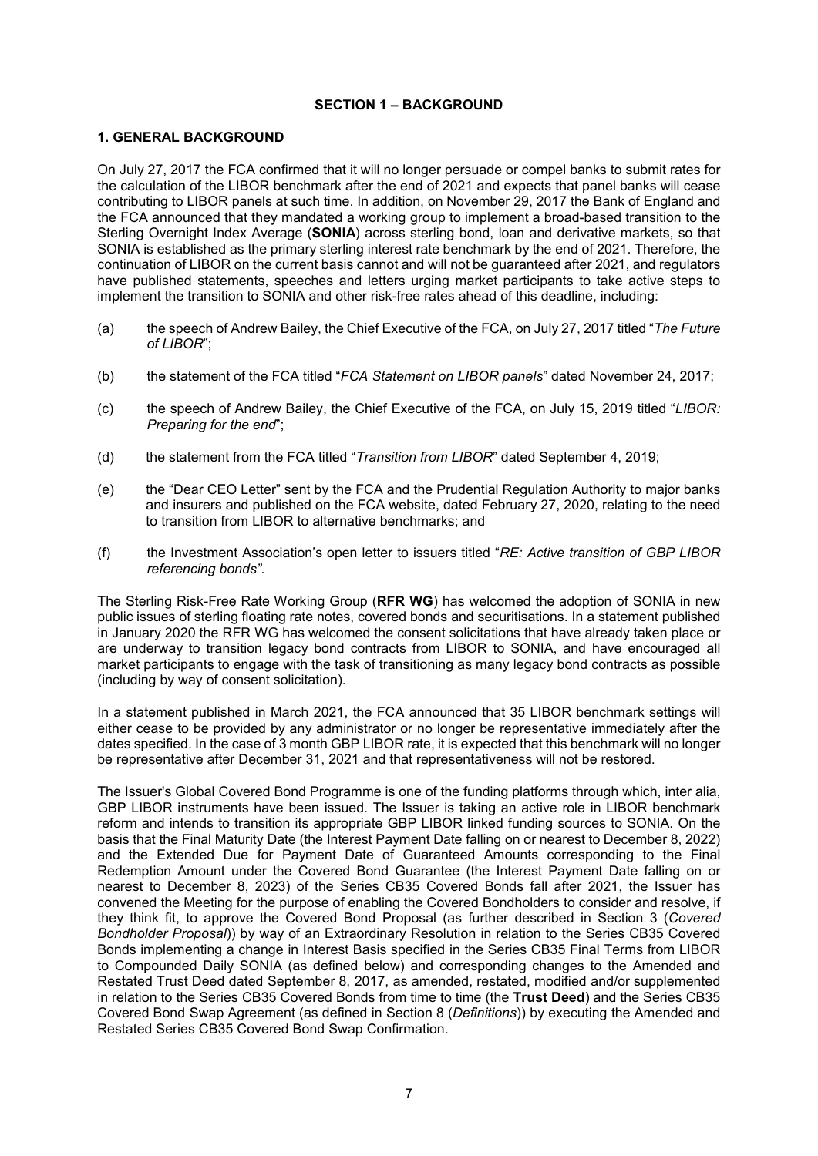### **SECTION 1 – BACKGROUND**

### **1. GENERAL BACKGROUND**

On July 27, 2017 the FCA confirmed that it will no longer persuade or compel banks to submit rates for the calculation of the LIBOR benchmark after the end of 2021 and expects that panel banks will cease contributing to LIBOR panels at such time. In addition, on November 29, 2017 the Bank of England and the FCA announced that they mandated a working group to implement a broad-based transition to the Sterling Overnight Index Average (**SONIA**) across sterling bond, loan and derivative markets, so that SONIA is established as the primary sterling interest rate benchmark by the end of 2021. Therefore, the continuation of LIBOR on the current basis cannot and will not be guaranteed after 2021, and regulators have published statements, speeches and letters urging market participants to take active steps to implement the transition to SONIA and other risk-free rates ahead of this deadline, including:

- (a) the speech of Andrew Bailey, the Chief Executive of the FCA, on July 27, 2017 titled "*The Future of LIBOR*";
- (b) the statement of the FCA titled "*FCA Statement on LIBOR panels*" dated November 24, 2017;
- (c) the speech of Andrew Bailey, the Chief Executive of the FCA, on July 15, 2019 titled "*LIBOR: Preparing for the end*";
- (d) the statement from the FCA titled "*Transition from LIBOR*" dated September 4, 2019;
- (e) the "Dear CEO Letter" sent by the FCA and the Prudential Regulation Authority to major banks and insurers and published on the FCA website, dated February 27, 2020, relating to the need to transition from LIBOR to alternative benchmarks; and
- (f) the Investment Association's open letter to issuers titled "*RE: Active transition of GBP LIBOR referencing bonds".*

The Sterling Risk-Free Rate Working Group (**RFR WG**) has welcomed the adoption of SONIA in new public issues of sterling floating rate notes, covered bonds and securitisations. In a statement published in January 2020 the RFR WG has welcomed the consent solicitations that have already taken place or are underway to transition legacy bond contracts from LIBOR to SONIA, and have encouraged all market participants to engage with the task of transitioning as many legacy bond contracts as possible (including by way of consent solicitation).

In a statement published in March 2021, the FCA announced that 35 LIBOR benchmark settings will either cease to be provided by any administrator or no longer be representative immediately after the dates specified. In the case of 3 month GBP LIBOR rate, it is expected that this benchmark will no longer be representative after December 31, 2021 and that representativeness will not be restored.

The Issuer's Global Covered Bond Programme is one of the funding platforms through which, inter alia, GBP LIBOR instruments have been issued. The Issuer is taking an active role in LIBOR benchmark reform and intends to transition its appropriate GBP LIBOR linked funding sources to SONIA. On the basis that the Final Maturity Date (the Interest Payment Date falling on or nearest to December 8, 2022) and the Extended Due for Payment Date of Guaranteed Amounts corresponding to the Final Redemption Amount under the Covered Bond Guarantee (the Interest Payment Date falling on or nearest to December 8, 2023) of the Series CB35 Covered Bonds fall after 2021, the Issuer has convened the Meeting for the purpose of enabling the Covered Bondholders to consider and resolve, if they think fit, to approve the Covered Bond Proposal (as further described in Section 3 (*Covered Bondholder Proposal*)) by way of an Extraordinary Resolution in relation to the Series CB35 Covered Bonds implementing a change in Interest Basis specified in the Series CB35 Final Terms from LIBOR to Compounded Daily SONIA (as defined below) and corresponding changes to the Amended and Restated Trust Deed dated September 8, 2017, as amended, restated, modified and/or supplemented in relation to the Series CB35 Covered Bonds from time to time (the **Trust Deed**) and the Series CB35 Covered Bond Swap Agreement (as defined in Section 8 (*Definitions*)) by executing the Amended and Restated Series CB35 Covered Bond Swap Confirmation.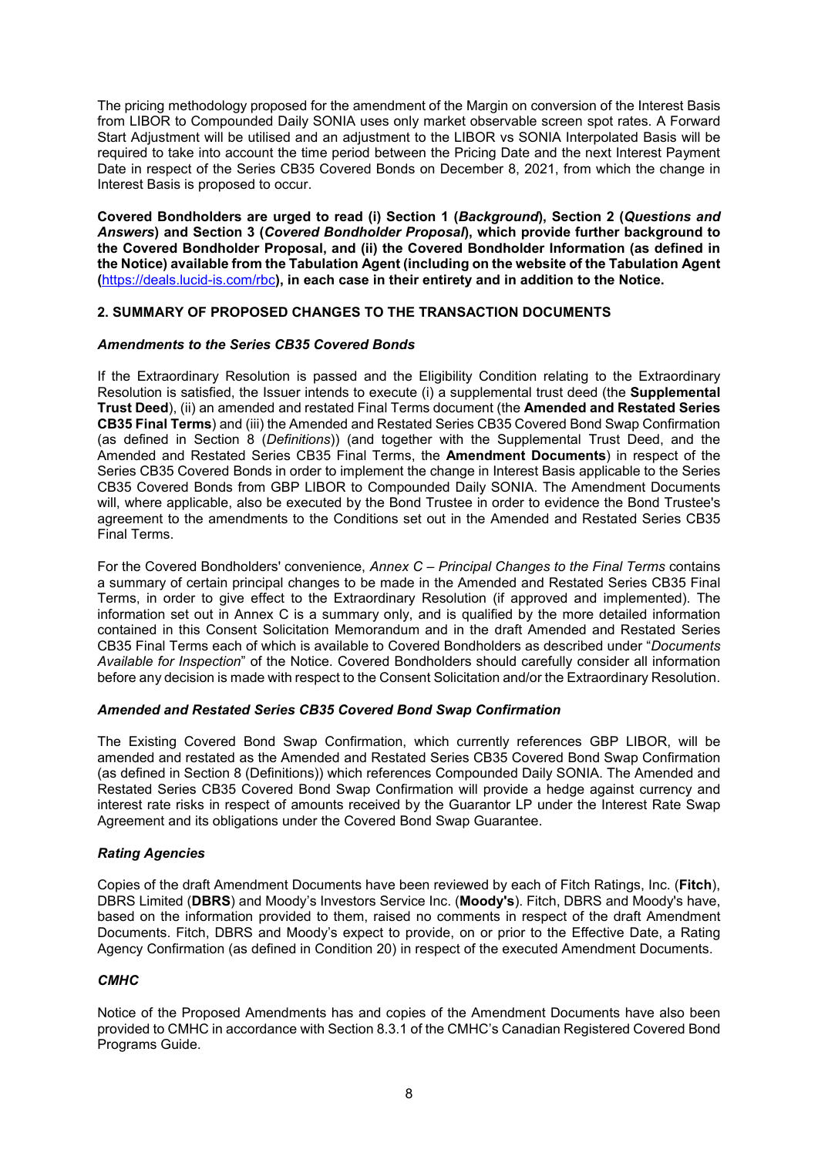The pricing methodology proposed for the amendment of the Margin on conversion of the Interest Basis from LIBOR to Compounded Daily SONIA uses only market observable screen spot rates. A Forward Start Adjustment will be utilised and an adjustment to the LIBOR vs SONIA Interpolated Basis will be required to take into account the time period between the Pricing Date and the next Interest Payment Date in respect of the Series CB35 Covered Bonds on December 8, 2021, from which the change in Interest Basis is proposed to occur.

**Covered Bondholders are urged to read (i) Section 1 (***Background***), Section 2 (***Questions and Answers***) and Section 3 (***Covered Bondholder Proposal***), which provide further background to the Covered Bondholder Proposal, and (ii) the Covered Bondholder Information (as defined in the Notice) available from the Tabulation Agent (including on the website of the Tabulation Agent (**https://deals.lucid-is.com/rbc**), in each case in their entirety and in addition to the Notice.**

# **2. SUMMARY OF PROPOSED CHANGES TO THE TRANSACTION DOCUMENTS**

### *Amendments to the Series CB35 Covered Bonds*

If the Extraordinary Resolution is passed and the Eligibility Condition relating to the Extraordinary Resolution is satisfied, the Issuer intends to execute (i) a supplemental trust deed (the **Supplemental Trust Deed**), (ii) an amended and restated Final Terms document (the **Amended and Restated Series CB35 Final Terms**) and (iii) the Amended and Restated Series CB35 Covered Bond Swap Confirmation (as defined in Section 8 (*Definitions*)) (and together with the Supplemental Trust Deed, and the Amended and Restated Series CB35 Final Terms, the **Amendment Documents**) in respect of the Series CB35 Covered Bonds in order to implement the change in Interest Basis applicable to the Series CB35 Covered Bonds from GBP LIBOR to Compounded Daily SONIA. The Amendment Documents will, where applicable, also be executed by the Bond Trustee in order to evidence the Bond Trustee's agreement to the amendments to the Conditions set out in the Amended and Restated Series CB35 Final Terms.

For the Covered Bondholders' convenience, *Annex C – Principal Changes to the Final Terms* contains a summary of certain principal changes to be made in the Amended and Restated Series CB35 Final Terms, in order to give effect to the Extraordinary Resolution (if approved and implemented). The information set out in Annex C is a summary only, and is qualified by the more detailed information contained in this Consent Solicitation Memorandum and in the draft Amended and Restated Series CB35 Final Terms each of which is available to Covered Bondholders as described under "*Documents Available for Inspection*" of the Notice. Covered Bondholders should carefully consider all information before any decision is made with respect to the Consent Solicitation and/or the Extraordinary Resolution.

# *Amended and Restated Series CB35 Covered Bond Swap Confirmation*

The Existing Covered Bond Swap Confirmation, which currently references GBP LIBOR, will be amended and restated as the Amended and Restated Series CB35 Covered Bond Swap Confirmation (as defined in Section 8 (Definitions)) which references Compounded Daily SONIA. The Amended and Restated Series CB35 Covered Bond Swap Confirmation will provide a hedge against currency and interest rate risks in respect of amounts received by the Guarantor LP under the Interest Rate Swap Agreement and its obligations under the Covered Bond Swap Guarantee.

# *Rating Agencies*

Copies of the draft Amendment Documents have been reviewed by each of Fitch Ratings, Inc. (**Fitch**), DBRS Limited (**DBRS**) and Moody's Investors Service Inc. (**Moody's**). Fitch, DBRS and Moody's have, based on the information provided to them, raised no comments in respect of the draft Amendment Documents. Fitch, DBRS and Moody's expect to provide, on or prior to the Effective Date, a Rating Agency Confirmation (as defined in Condition 20) in respect of the executed Amendment Documents.

# *CMHC*

Notice of the Proposed Amendments has and copies of the Amendment Documents have also been provided to CMHC in accordance with Section 8.3.1 of the CMHC's Canadian Registered Covered Bond Programs Guide.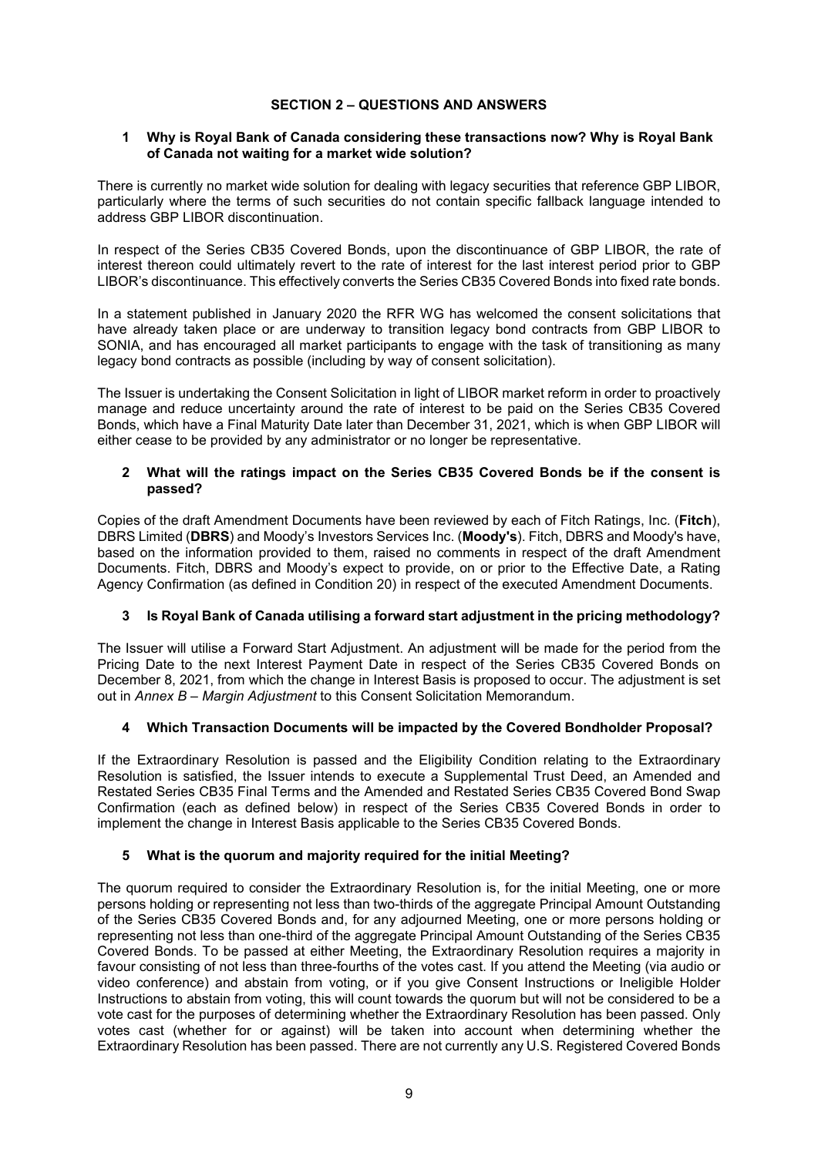# **SECTION 2 – QUESTIONS AND ANSWERS**

### **1 Why is Royal Bank of Canada considering these transactions now? Why is Royal Bank of Canada not waiting for a market wide solution?**

There is currently no market wide solution for dealing with legacy securities that reference GBP LIBOR, particularly where the terms of such securities do not contain specific fallback language intended to address GBP LIBOR discontinuation.

In respect of the Series CB35 Covered Bonds, upon the discontinuance of GBP LIBOR, the rate of interest thereon could ultimately revert to the rate of interest for the last interest period prior to GBP LIBOR's discontinuance. This effectively converts the Series CB35 Covered Bonds into fixed rate bonds.

In a statement published in January 2020 the RFR WG has welcomed the consent solicitations that have already taken place or are underway to transition legacy bond contracts from GBP LIBOR to SONIA, and has encouraged all market participants to engage with the task of transitioning as many legacy bond contracts as possible (including by way of consent solicitation).

The Issuer is undertaking the Consent Solicitation in light of LIBOR market reform in order to proactively manage and reduce uncertainty around the rate of interest to be paid on the Series CB35 Covered Bonds, which have a Final Maturity Date later than December 31, 2021, which is when GBP LIBOR will either cease to be provided by any administrator or no longer be representative.

### **2 What will the ratings impact on the Series CB35 Covered Bonds be if the consent is passed?**

Copies of the draft Amendment Documents have been reviewed by each of Fitch Ratings, Inc. (**Fitch**), DBRS Limited (**DBRS**) and Moody's Investors Services Inc. (**Moody's**). Fitch, DBRS and Moody's have, based on the information provided to them, raised no comments in respect of the draft Amendment Documents. Fitch, DBRS and Moody's expect to provide, on or prior to the Effective Date, a Rating Agency Confirmation (as defined in Condition 20) in respect of the executed Amendment Documents.

# **3 Is Royal Bank of Canada utilising a forward start adjustment in the pricing methodology?**

The Issuer will utilise a Forward Start Adjustment. An adjustment will be made for the period from the Pricing Date to the next Interest Payment Date in respect of the Series CB35 Covered Bonds on December 8, 2021, from which the change in Interest Basis is proposed to occur. The adjustment is set out in *Annex B – Margin Adjustment* to this Consent Solicitation Memorandum.

# **4 Which Transaction Documents will be impacted by the Covered Bondholder Proposal?**

If the Extraordinary Resolution is passed and the Eligibility Condition relating to the Extraordinary Resolution is satisfied, the Issuer intends to execute a Supplemental Trust Deed, an Amended and Restated Series CB35 Final Terms and the Amended and Restated Series CB35 Covered Bond Swap Confirmation (each as defined below) in respect of the Series CB35 Covered Bonds in order to implement the change in Interest Basis applicable to the Series CB35 Covered Bonds.

# **5 What is the quorum and majority required for the initial Meeting?**

The quorum required to consider the Extraordinary Resolution is, for the initial Meeting, one or more persons holding or representing not less than two-thirds of the aggregate Principal Amount Outstanding of the Series CB35 Covered Bonds and, for any adjourned Meeting, one or more persons holding or representing not less than one-third of the aggregate Principal Amount Outstanding of the Series CB35 Covered Bonds. To be passed at either Meeting, the Extraordinary Resolution requires a majority in favour consisting of not less than three-fourths of the votes cast. If you attend the Meeting (via audio or video conference) and abstain from voting, or if you give Consent Instructions or Ineligible Holder Instructions to abstain from voting, this will count towards the quorum but will not be considered to be a vote cast for the purposes of determining whether the Extraordinary Resolution has been passed. Only votes cast (whether for or against) will be taken into account when determining whether the Extraordinary Resolution has been passed. There are not currently any U.S. Registered Covered Bonds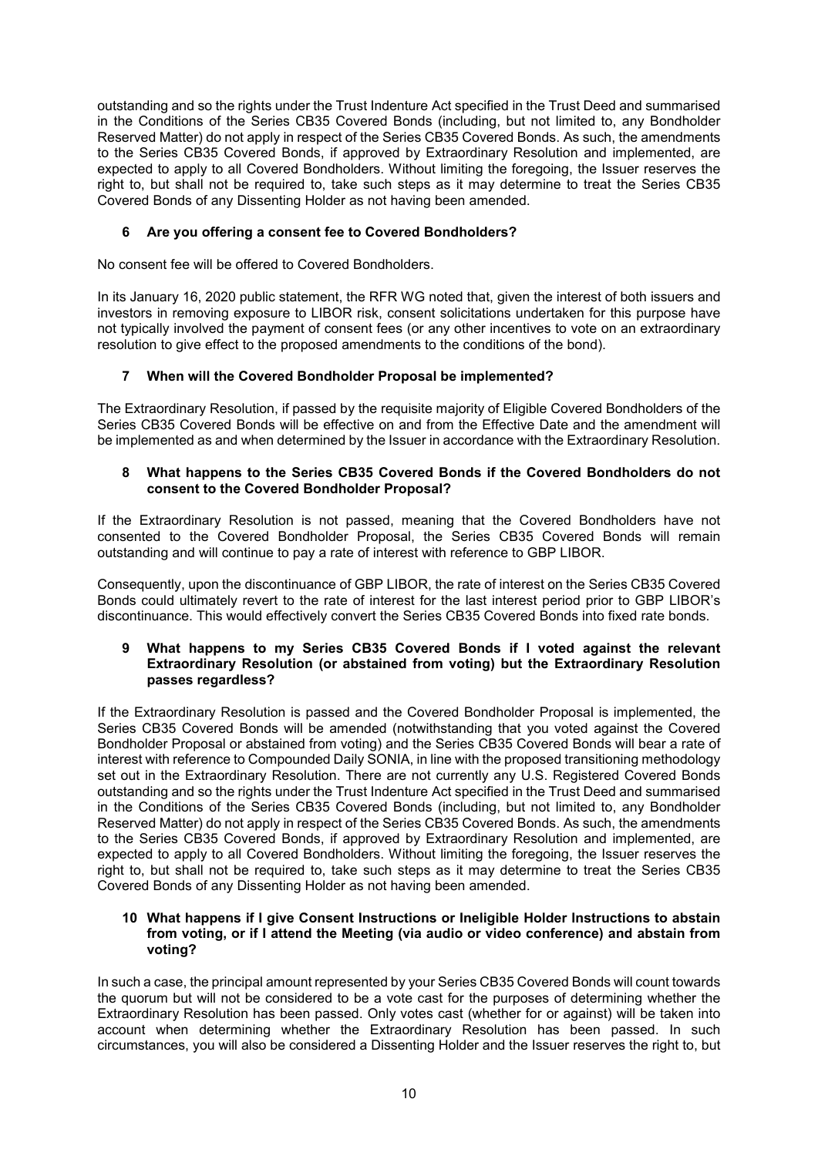outstanding and so the rights under the Trust Indenture Act specified in the Trust Deed and summarised in the Conditions of the Series CB35 Covered Bonds (including, but not limited to, any Bondholder Reserved Matter) do not apply in respect of the Series CB35 Covered Bonds. As such, the amendments to the Series CB35 Covered Bonds, if approved by Extraordinary Resolution and implemented, are expected to apply to all Covered Bondholders. Without limiting the foregoing, the Issuer reserves the right to, but shall not be required to, take such steps as it may determine to treat the Series CB35 Covered Bonds of any Dissenting Holder as not having been amended.

# **6 Are you offering a consent fee to Covered Bondholders?**

No consent fee will be offered to Covered Bondholders.

In its January 16, 2020 public statement, the RFR WG noted that, given the interest of both issuers and investors in removing exposure to LIBOR risk, consent solicitations undertaken for this purpose have not typically involved the payment of consent fees (or any other incentives to vote on an extraordinary resolution to give effect to the proposed amendments to the conditions of the bond).

# **7 When will the Covered Bondholder Proposal be implemented?**

The Extraordinary Resolution, if passed by the requisite majority of Eligible Covered Bondholders of the Series CB35 Covered Bonds will be effective on and from the Effective Date and the amendment will be implemented as and when determined by the Issuer in accordance with the Extraordinary Resolution.

#### **8 What happens to the Series CB35 Covered Bonds if the Covered Bondholders do not consent to the Covered Bondholder Proposal?**

If the Extraordinary Resolution is not passed, meaning that the Covered Bondholders have not consented to the Covered Bondholder Proposal, the Series CB35 Covered Bonds will remain outstanding and will continue to pay a rate of interest with reference to GBP LIBOR.

Consequently, upon the discontinuance of GBP LIBOR, the rate of interest on the Series CB35 Covered Bonds could ultimately revert to the rate of interest for the last interest period prior to GBP LIBOR's discontinuance. This would effectively convert the Series CB35 Covered Bonds into fixed rate bonds.

#### **9 What happens to my Series CB35 Covered Bonds if I voted against the relevant Extraordinary Resolution (or abstained from voting) but the Extraordinary Resolution passes regardless?**

If the Extraordinary Resolution is passed and the Covered Bondholder Proposal is implemented, the Series CB35 Covered Bonds will be amended (notwithstanding that you voted against the Covered Bondholder Proposal or abstained from voting) and the Series CB35 Covered Bonds will bear a rate of interest with reference to Compounded Daily SONIA, in line with the proposed transitioning methodology set out in the Extraordinary Resolution. There are not currently any U.S. Registered Covered Bonds outstanding and so the rights under the Trust Indenture Act specified in the Trust Deed and summarised in the Conditions of the Series CB35 Covered Bonds (including, but not limited to, any Bondholder Reserved Matter) do not apply in respect of the Series CB35 Covered Bonds. As such, the amendments to the Series CB35 Covered Bonds, if approved by Extraordinary Resolution and implemented, are expected to apply to all Covered Bondholders. Without limiting the foregoing, the Issuer reserves the right to, but shall not be required to, take such steps as it may determine to treat the Series CB35 Covered Bonds of any Dissenting Holder as not having been amended.

#### **10 What happens if I give Consent Instructions or Ineligible Holder Instructions to abstain from voting, or if I attend the Meeting (via audio or video conference) and abstain from voting?**

In such a case, the principal amount represented by your Series CB35 Covered Bonds will count towards the quorum but will not be considered to be a vote cast for the purposes of determining whether the Extraordinary Resolution has been passed. Only votes cast (whether for or against) will be taken into account when determining whether the Extraordinary Resolution has been passed. In such circumstances, you will also be considered a Dissenting Holder and the Issuer reserves the right to, but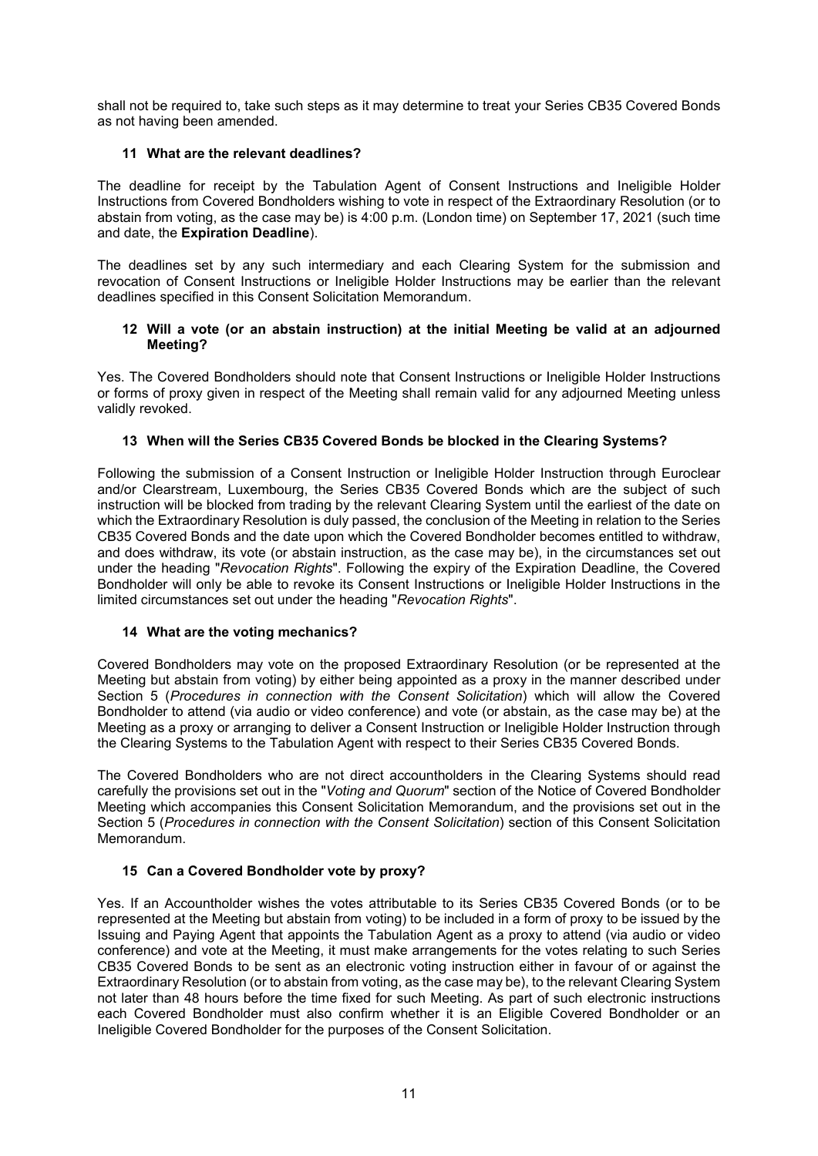shall not be required to, take such steps as it may determine to treat your Series CB35 Covered Bonds as not having been amended.

### **11 What are the relevant deadlines?**

The deadline for receipt by the Tabulation Agent of Consent Instructions and Ineligible Holder Instructions from Covered Bondholders wishing to vote in respect of the Extraordinary Resolution (or to abstain from voting, as the case may be) is 4:00 p.m. (London time) on September 17, 2021 (such time and date, the **Expiration Deadline**).

The deadlines set by any such intermediary and each Clearing System for the submission and revocation of Consent Instructions or Ineligible Holder Instructions may be earlier than the relevant deadlines specified in this Consent Solicitation Memorandum.

### **12 Will a vote (or an abstain instruction) at the initial Meeting be valid at an adjourned Meeting?**

Yes. The Covered Bondholders should note that Consent Instructions or Ineligible Holder Instructions or forms of proxy given in respect of the Meeting shall remain valid for any adjourned Meeting unless validly revoked.

### **13 When will the Series CB35 Covered Bonds be blocked in the Clearing Systems?**

Following the submission of a Consent Instruction or Ineligible Holder Instruction through Euroclear and/or Clearstream, Luxembourg, the Series CB35 Covered Bonds which are the subject of such instruction will be blocked from trading by the relevant Clearing System until the earliest of the date on which the Extraordinary Resolution is duly passed, the conclusion of the Meeting in relation to the Series CB35 Covered Bonds and the date upon which the Covered Bondholder becomes entitled to withdraw, and does withdraw, its vote (or abstain instruction, as the case may be), in the circumstances set out under the heading "*Revocation Rights*". Following the expiry of the Expiration Deadline, the Covered Bondholder will only be able to revoke its Consent Instructions or Ineligible Holder Instructions in the limited circumstances set out under the heading "*Revocation Rights*".

# **14 What are the voting mechanics?**

Covered Bondholders may vote on the proposed Extraordinary Resolution (or be represented at the Meeting but abstain from voting) by either being appointed as a proxy in the manner described under Section 5 (*Procedures in connection with the Consent Solicitation*) which will allow the Covered Bondholder to attend (via audio or video conference) and vote (or abstain, as the case may be) at the Meeting as a proxy or arranging to deliver a Consent Instruction or Ineligible Holder Instruction through the Clearing Systems to the Tabulation Agent with respect to their Series CB35 Covered Bonds.

The Covered Bondholders who are not direct accountholders in the Clearing Systems should read carefully the provisions set out in the "*Voting and Quorum*" section of the Notice of Covered Bondholder Meeting which accompanies this Consent Solicitation Memorandum, and the provisions set out in the Section 5 (*Procedures in connection with the Consent Solicitation*) section of this Consent Solicitation Memorandum.

# **15 Can a Covered Bondholder vote by proxy?**

Yes. If an Accountholder wishes the votes attributable to its Series CB35 Covered Bonds (or to be represented at the Meeting but abstain from voting) to be included in a form of proxy to be issued by the Issuing and Paying Agent that appoints the Tabulation Agent as a proxy to attend (via audio or video conference) and vote at the Meeting, it must make arrangements for the votes relating to such Series CB35 Covered Bonds to be sent as an electronic voting instruction either in favour of or against the Extraordinary Resolution (or to abstain from voting, as the case may be), to the relevant Clearing System not later than 48 hours before the time fixed for such Meeting. As part of such electronic instructions each Covered Bondholder must also confirm whether it is an Eligible Covered Bondholder or an Ineligible Covered Bondholder for the purposes of the Consent Solicitation.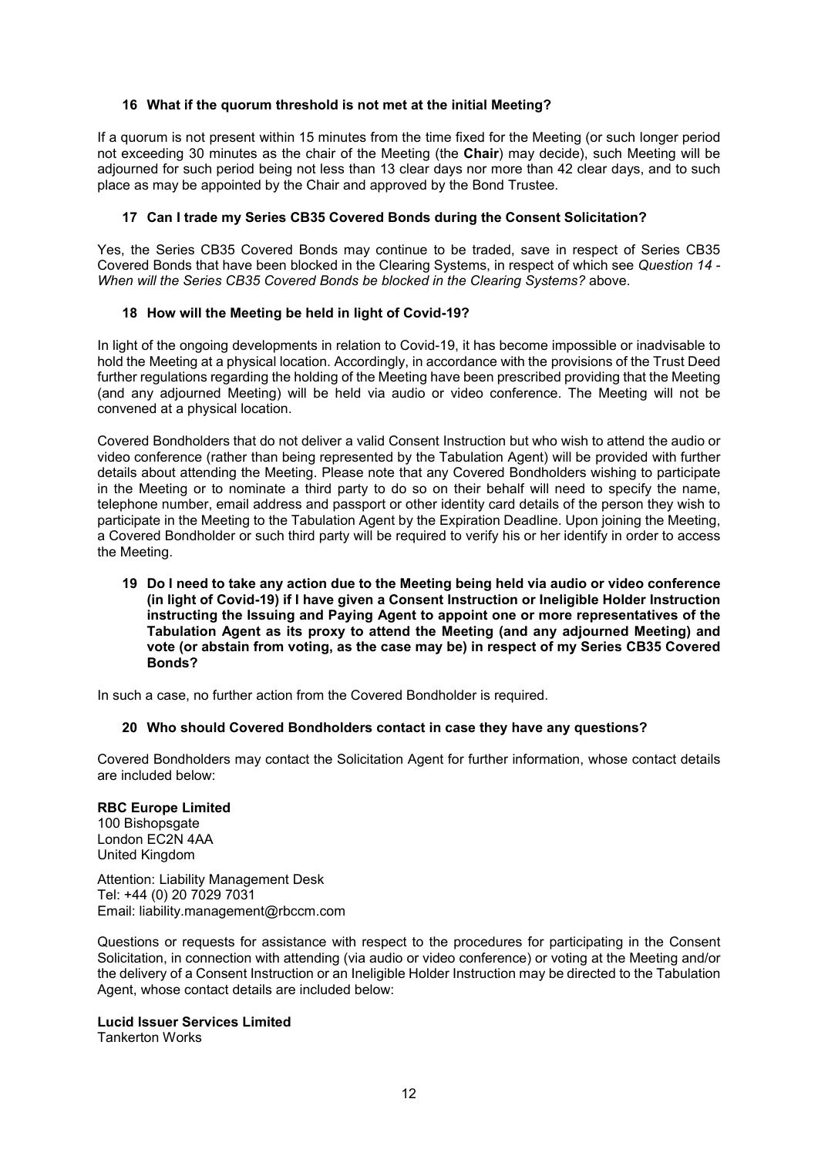# **16 What if the quorum threshold is not met at the initial Meeting?**

If a quorum is not present within 15 minutes from the time fixed for the Meeting (or such longer period not exceeding 30 minutes as the chair of the Meeting (the **Chair**) may decide), such Meeting will be adjourned for such period being not less than 13 clear days nor more than 42 clear days, and to such place as may be appointed by the Chair and approved by the Bond Trustee.

# **17 Can I trade my Series CB35 Covered Bonds during the Consent Solicitation?**

Yes, the Series CB35 Covered Bonds may continue to be traded, save in respect of Series CB35 Covered Bonds that have been blocked in the Clearing Systems, in respect of which see *Question 14 - When will the Series CB35 Covered Bonds be blocked in the Clearing Systems?* above.

### **18 How will the Meeting be held in light of Covid-19?**

In light of the ongoing developments in relation to Covid-19, it has become impossible or inadvisable to hold the Meeting at a physical location. Accordingly, in accordance with the provisions of the Trust Deed further regulations regarding the holding of the Meeting have been prescribed providing that the Meeting (and any adjourned Meeting) will be held via audio or video conference. The Meeting will not be convened at a physical location.

Covered Bondholders that do not deliver a valid Consent Instruction but who wish to attend the audio or video conference (rather than being represented by the Tabulation Agent) will be provided with further details about attending the Meeting. Please note that any Covered Bondholders wishing to participate in the Meeting or to nominate a third party to do so on their behalf will need to specify the name, telephone number, email address and passport or other identity card details of the person they wish to participate in the Meeting to the Tabulation Agent by the Expiration Deadline. Upon joining the Meeting, a Covered Bondholder or such third party will be required to verify his or her identify in order to access the Meeting.

**19 Do I need to take any action due to the Meeting being held via audio or video conference (in light of Covid-19) if I have given a Consent Instruction or Ineligible Holder Instruction instructing the Issuing and Paying Agent to appoint one or more representatives of the Tabulation Agent as its proxy to attend the Meeting (and any adjourned Meeting) and vote (or abstain from voting, as the case may be) in respect of my Series CB35 Covered Bonds?**

In such a case, no further action from the Covered Bondholder is required.

#### **20 Who should Covered Bondholders contact in case they have any questions?**

Covered Bondholders may contact the Solicitation Agent for further information, whose contact details are included below:

# **RBC Europe Limited**

100 Bishopsgate London EC2N 4AA United Kingdom

Attention: Liability Management Desk Tel: +44 (0) 20 7029 7031 Email: liability.management@rbccm.com

Questions or requests for assistance with respect to the procedures for participating in the Consent Solicitation, in connection with attending (via audio or video conference) or voting at the Meeting and/or the delivery of a Consent Instruction or an Ineligible Holder Instruction may be directed to the Tabulation Agent, whose contact details are included below:

#### **Lucid Issuer Services Limited**

Tankerton Works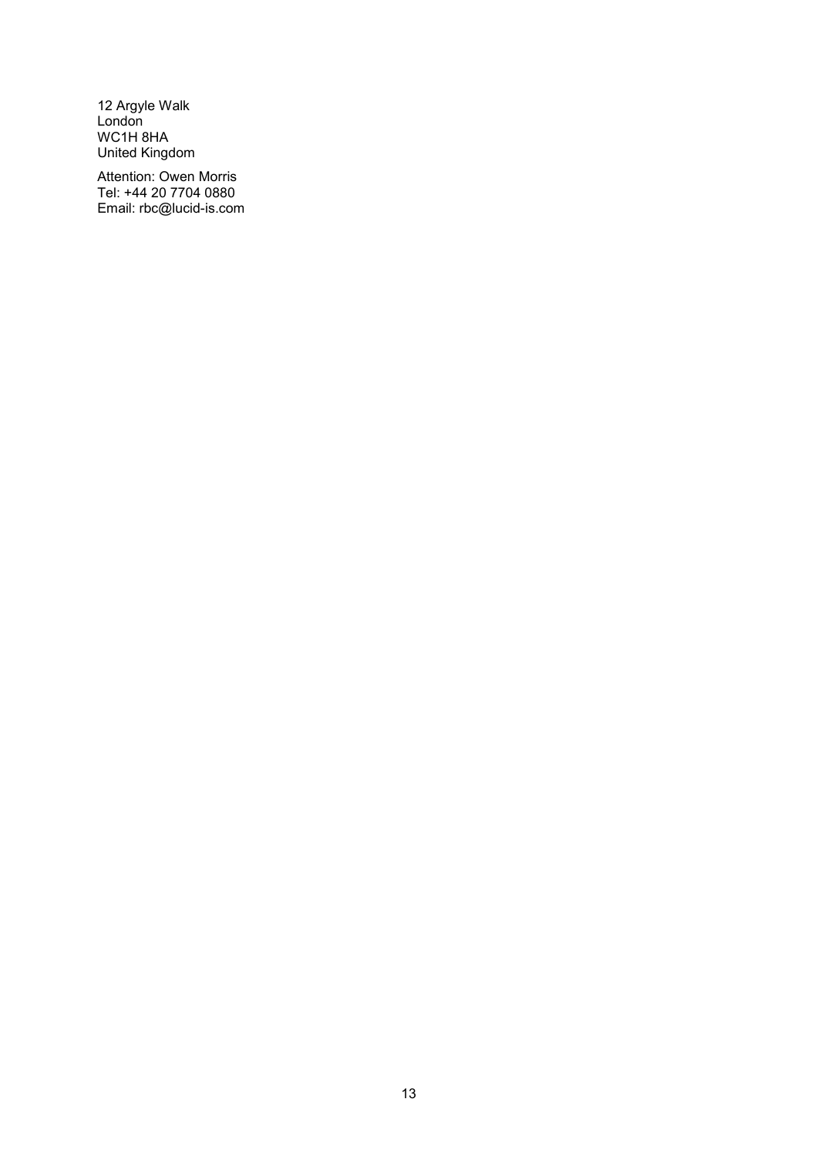12 Argyle Walk London WC1H 8HA United Kingdom

Attention: Owen Morris Tel: +44 20 7704 0880 Email: rbc@lucid-is.com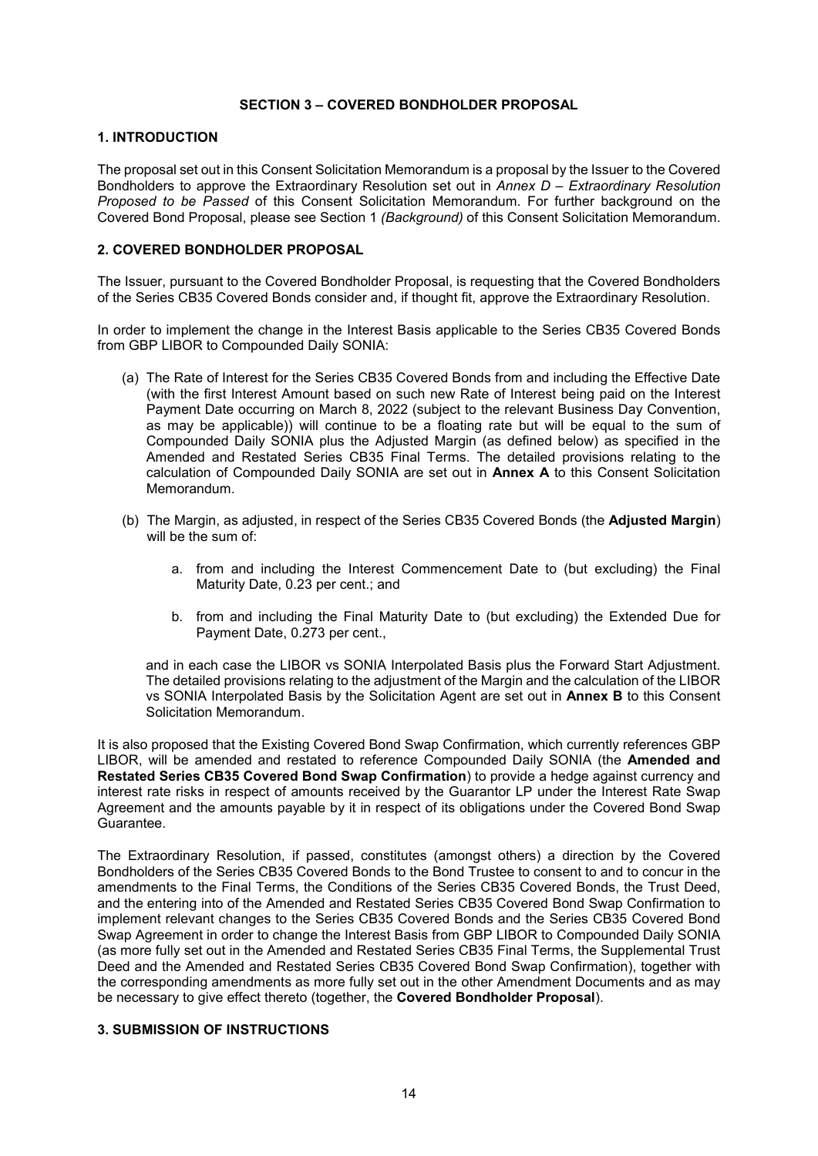### **SECTION 3 – COVERED BONDHOLDER PROPOSAL**

### **1. INTRODUCTION**

The proposal set out in this Consent Solicitation Memorandum is a proposal by the Issuer to the Covered Bondholders to approve the Extraordinary Resolution set out in *Annex D – Extraordinary Resolution Proposed to be Passed* of this Consent Solicitation Memorandum. For further background on the Covered Bond Proposal, please see Section 1 *(Background)* of this Consent Solicitation Memorandum.

# **2. COVERED BONDHOLDER PROPOSAL**

The Issuer, pursuant to the Covered Bondholder Proposal, is requesting that the Covered Bondholders of the Series CB35 Covered Bonds consider and, if thought fit, approve the Extraordinary Resolution.

In order to implement the change in the Interest Basis applicable to the Series CB35 Covered Bonds from GBP LIBOR to Compounded Daily SONIA:

- (a) The Rate of Interest for the Series CB35 Covered Bonds from and including the Effective Date (with the first Interest Amount based on such new Rate of Interest being paid on the Interest Payment Date occurring on March 8, 2022 (subject to the relevant Business Day Convention, as may be applicable)) will continue to be a floating rate but will be equal to the sum of Compounded Daily SONIA plus the Adjusted Margin (as defined below) as specified in the Amended and Restated Series CB35 Final Terms. The detailed provisions relating to the calculation of Compounded Daily SONIA are set out in **Annex A** to this Consent Solicitation Memorandum.
- (b) The Margin, as adjusted, in respect of the Series CB35 Covered Bonds (the **Adjusted Margin**) will be the sum of:
	- a. from and including the Interest Commencement Date to (but excluding) the Final Maturity Date, 0.23 per cent.; and
	- b. from and including the Final Maturity Date to (but excluding) the Extended Due for Payment Date, 0.273 per cent.,

and in each case the LIBOR vs SONIA Interpolated Basis plus the Forward Start Adjustment. The detailed provisions relating to the adjustment of the Margin and the calculation of the LIBOR vs SONIA Interpolated Basis by the Solicitation Agent are set out in **Annex B** to this Consent Solicitation Memorandum.

It is also proposed that the Existing Covered Bond Swap Confirmation, which currently references GBP LIBOR, will be amended and restated to reference Compounded Daily SONIA (the **Amended and Restated Series CB35 Covered Bond Swap Confirmation**) to provide a hedge against currency and interest rate risks in respect of amounts received by the Guarantor LP under the Interest Rate Swap Agreement and the amounts payable by it in respect of its obligations under the Covered Bond Swap Guarantee.

The Extraordinary Resolution, if passed, constitutes (amongst others) a direction by the Covered Bondholders of the Series CB35 Covered Bonds to the Bond Trustee to consent to and to concur in the amendments to the Final Terms, the Conditions of the Series CB35 Covered Bonds, the Trust Deed, and the entering into of the Amended and Restated Series CB35 Covered Bond Swap Confirmation to implement relevant changes to the Series CB35 Covered Bonds and the Series CB35 Covered Bond Swap Agreement in order to change the Interest Basis from GBP LIBOR to Compounded Daily SONIA (as more fully set out in the Amended and Restated Series CB35 Final Terms, the Supplemental Trust Deed and the Amended and Restated Series CB35 Covered Bond Swap Confirmation), together with the corresponding amendments as more fully set out in the other Amendment Documents and as may be necessary to give effect thereto (together, the **Covered Bondholder Proposal**).

# **3. SUBMISSION OF INSTRUCTIONS**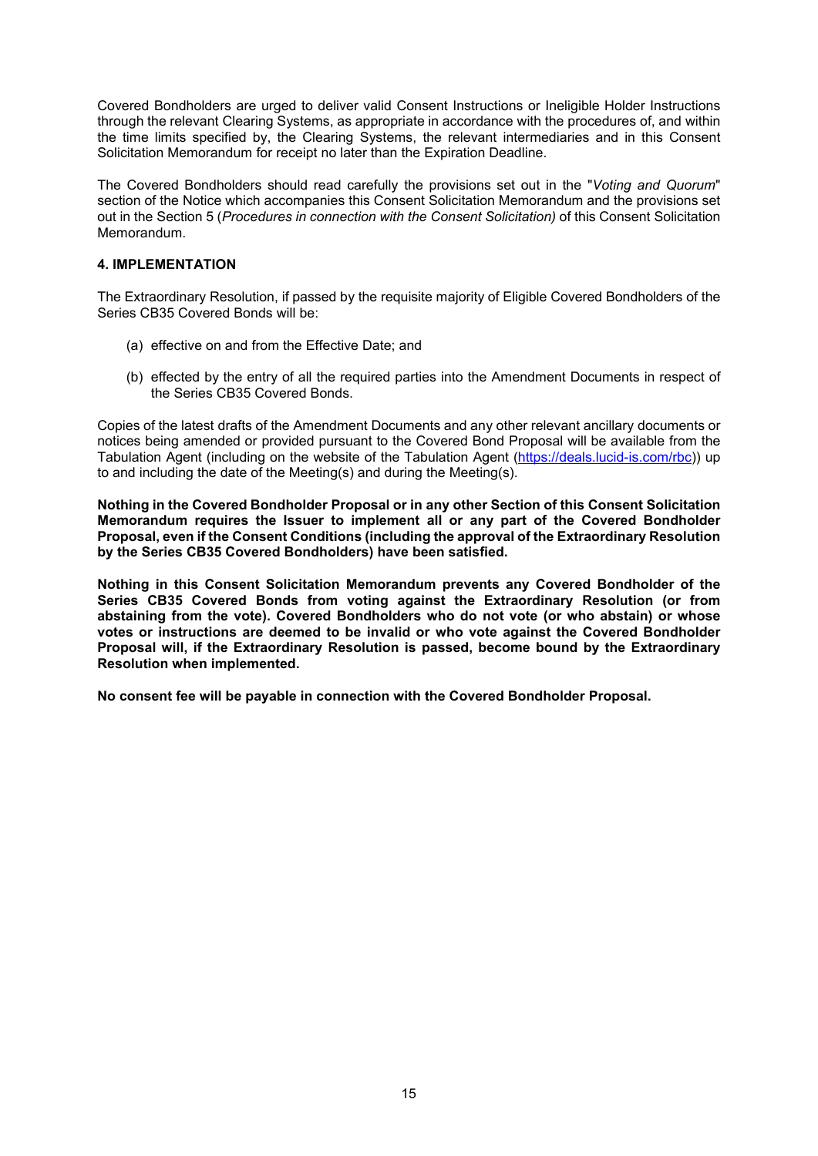Covered Bondholders are urged to deliver valid Consent Instructions or Ineligible Holder Instructions through the relevant Clearing Systems, as appropriate in accordance with the procedures of, and within the time limits specified by, the Clearing Systems, the relevant intermediaries and in this Consent Solicitation Memorandum for receipt no later than the Expiration Deadline.

The Covered Bondholders should read carefully the provisions set out in the "*Voting and Quorum*" section of the Notice which accompanies this Consent Solicitation Memorandum and the provisions set out in the Section 5 (*Procedures in connection with the Consent Solicitation)* of this Consent Solicitation Memorandum.

# **4. IMPLEMENTATION**

The Extraordinary Resolution, if passed by the requisite majority of Eligible Covered Bondholders of the Series CB35 Covered Bonds will be:

- (a) effective on and from the Effective Date; and
- (b) effected by the entry of all the required parties into the Amendment Documents in respect of the Series CB35 Covered Bonds.

Copies of the latest drafts of the Amendment Documents and any other relevant ancillary documents or notices being amended or provided pursuant to the Covered Bond Proposal will be available from the Tabulation Agent (including on the website of the Tabulation Agent (https://deals.lucid-is.com/rbc)) up to and including the date of the Meeting(s) and during the Meeting(s).

**Nothing in the Covered Bondholder Proposal or in any other Section of this Consent Solicitation Memorandum requires the Issuer to implement all or any part of the Covered Bondholder Proposal, even if the Consent Conditions (including the approval of the Extraordinary Resolution by the Series CB35 Covered Bondholders) have been satisfied.**

**Nothing in this Consent Solicitation Memorandum prevents any Covered Bondholder of the Series CB35 Covered Bonds from voting against the Extraordinary Resolution (or from abstaining from the vote). Covered Bondholders who do not vote (or who abstain) or whose votes or instructions are deemed to be invalid or who vote against the Covered Bondholder Proposal will, if the Extraordinary Resolution is passed, become bound by the Extraordinary Resolution when implemented.**

**No consent fee will be payable in connection with the Covered Bondholder Proposal.**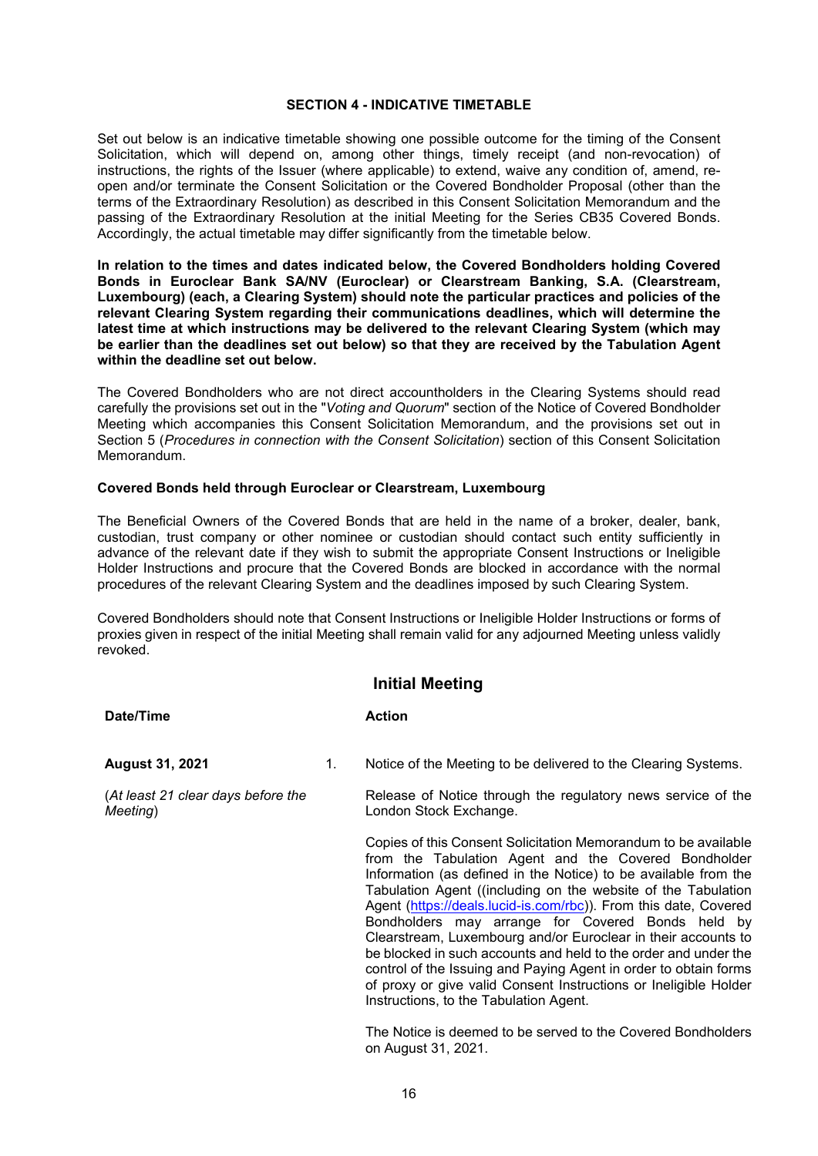#### **SECTION 4 - INDICATIVE TIMETABLE**

Set out below is an indicative timetable showing one possible outcome for the timing of the Consent Solicitation, which will depend on, among other things, timely receipt (and non-revocation) of instructions, the rights of the Issuer (where applicable) to extend, waive any condition of, amend, reopen and/or terminate the Consent Solicitation or the Covered Bondholder Proposal (other than the terms of the Extraordinary Resolution) as described in this Consent Solicitation Memorandum and the passing of the Extraordinary Resolution at the initial Meeting for the Series CB35 Covered Bonds. Accordingly, the actual timetable may differ significantly from the timetable below.

**In relation to the times and dates indicated below, the Covered Bondholders holding Covered Bonds in Euroclear Bank SA/NV (Euroclear) or Clearstream Banking, S.A. (Clearstream, Luxembourg) (each, a Clearing System) should note the particular practices and policies of the relevant Clearing System regarding their communications deadlines, which will determine the latest time at which instructions may be delivered to the relevant Clearing System (which may be earlier than the deadlines set out below) so that they are received by the Tabulation Agent within the deadline set out below.** 

The Covered Bondholders who are not direct accountholders in the Clearing Systems should read carefully the provisions set out in the "*Voting and Quorum*" section of the Notice of Covered Bondholder Meeting which accompanies this Consent Solicitation Memorandum, and the provisions set out in Section 5 (*Procedures in connection with the Consent Solicitation*) section of this Consent Solicitation Memorandum.

#### **Covered Bonds held through Euroclear or Clearstream, Luxembourg**

The Beneficial Owners of the Covered Bonds that are held in the name of a broker, dealer, bank, custodian, trust company or other nominee or custodian should contact such entity sufficiently in advance of the relevant date if they wish to submit the appropriate Consent Instructions or Ineligible Holder Instructions and procure that the Covered Bonds are blocked in accordance with the normal procedures of the relevant Clearing System and the deadlines imposed by such Clearing System.

Covered Bondholders should note that Consent Instructions or Ineligible Holder Instructions or forms of proxies given in respect of the initial Meeting shall remain valid for any adjourned Meeting unless validly revoked.

# **Initial Meeting**

#### **Date/Time Action**

**August 31, 2021**

(*At least 21 clear days before the Meeting*)

1. Notice of the Meeting to be delivered to the Clearing Systems.

Release of Notice through the regulatory news service of the London Stock Exchange.

Copies of this Consent Solicitation Memorandum to be available from the Tabulation Agent and the Covered Bondholder Information (as defined in the Notice) to be available from the Tabulation Agent ((including on the website of the Tabulation Agent (https://deals.lucid-is.com/rbc)). From this date, Covered Bondholders may arrange for Covered Bonds held by Clearstream, Luxembourg and/or Euroclear in their accounts to be blocked in such accounts and held to the order and under the control of the Issuing and Paying Agent in order to obtain forms of proxy or give valid Consent Instructions or Ineligible Holder Instructions, to the Tabulation Agent.

The Notice is deemed to be served to the Covered Bondholders on August 31, 2021.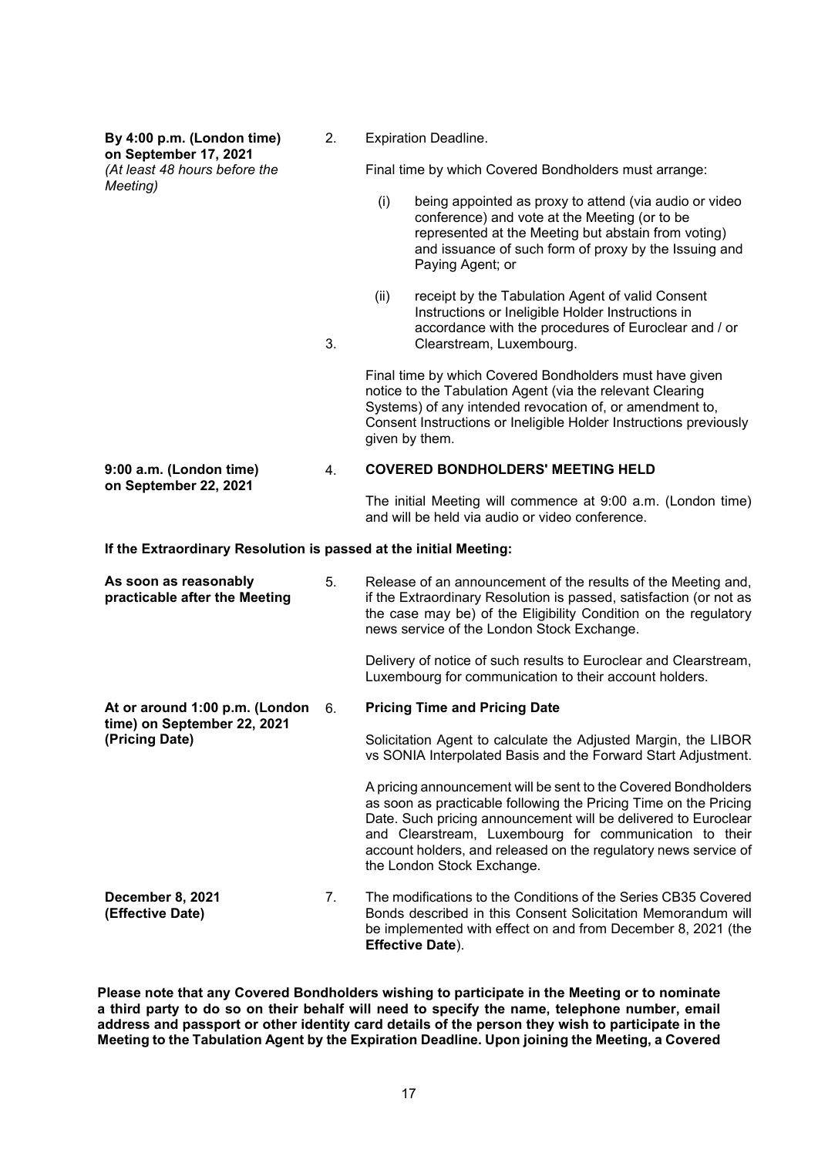**By 4:00 p.m. (London time) on September 17, 2021** *(At least 48 hours before the Meeting)* 2. 3. Expiration Deadline. Final time by which Covered Bondholders must arrange: (i) being appointed as proxy to attend (via audio or video conference) and vote at the Meeting (or to be represented at the Meeting but abstain from voting) and issuance of such form of proxy by the Issuing and Paying Agent; or (ii) receipt by the Tabulation Agent of valid Consent Instructions or Ineligible Holder Instructions in accordance with the procedures of Euroclear and / or Clearstream, Luxembourg. Final time by which Covered Bondholders must have given notice to the Tabulation Agent (via the relevant Clearing Systems) of any intended revocation of, or amendment to, Consent Instructions or Ineligible Holder Instructions previously given by them. **9:00 a.m. (London time) on September 22, 2021** 4. **COVERED BONDHOLDERS' MEETING HELD** The initial Meeting will commence at 9:00 a.m. (London time) and will be held via audio or video conference. **If the Extraordinary Resolution is passed at the initial Meeting: As soon as reasonably practicable after the Meeting** 5. Release of an announcement of the results of the Meeting and, if the Extraordinary Resolution is passed, satisfaction (or not as the case may be) of the Eligibility Condition on the regulatory news service of the London Stock Exchange. Delivery of notice of such results to Euroclear and Clearstream, Luxembourg for communication to their account holders. **At or around 1:00 p.m. (London time) on September 22, 2021 (Pricing Date)** 6. **Pricing Time and Pricing Date** Solicitation Agent to calculate the Adjusted Margin, the LIBOR vs SONIA Interpolated Basis and the Forward Start Adjustment. A pricing announcement will be sent to the Covered Bondholders as soon as practicable following the Pricing Time on the Pricing Date. Such pricing announcement will be delivered to Euroclear and Clearstream, Luxembourg for communication to their account holders, and released on the regulatory news service of the London Stock Exchange.

**December 8, 2021 (Effective Date)** 7. The modifications to the Conditions of the Series CB35 Covered Bonds described in this Consent Solicitation Memorandum will be implemented with effect on and from December 8, 2021 (the **Effective Date**).

**Please note that any Covered Bondholders wishing to participate in the Meeting or to nominate a third party to do so on their behalf will need to specify the name, telephone number, email address and passport or other identity card details of the person they wish to participate in the Meeting to the Tabulation Agent by the Expiration Deadline. Upon joining the Meeting, a Covered**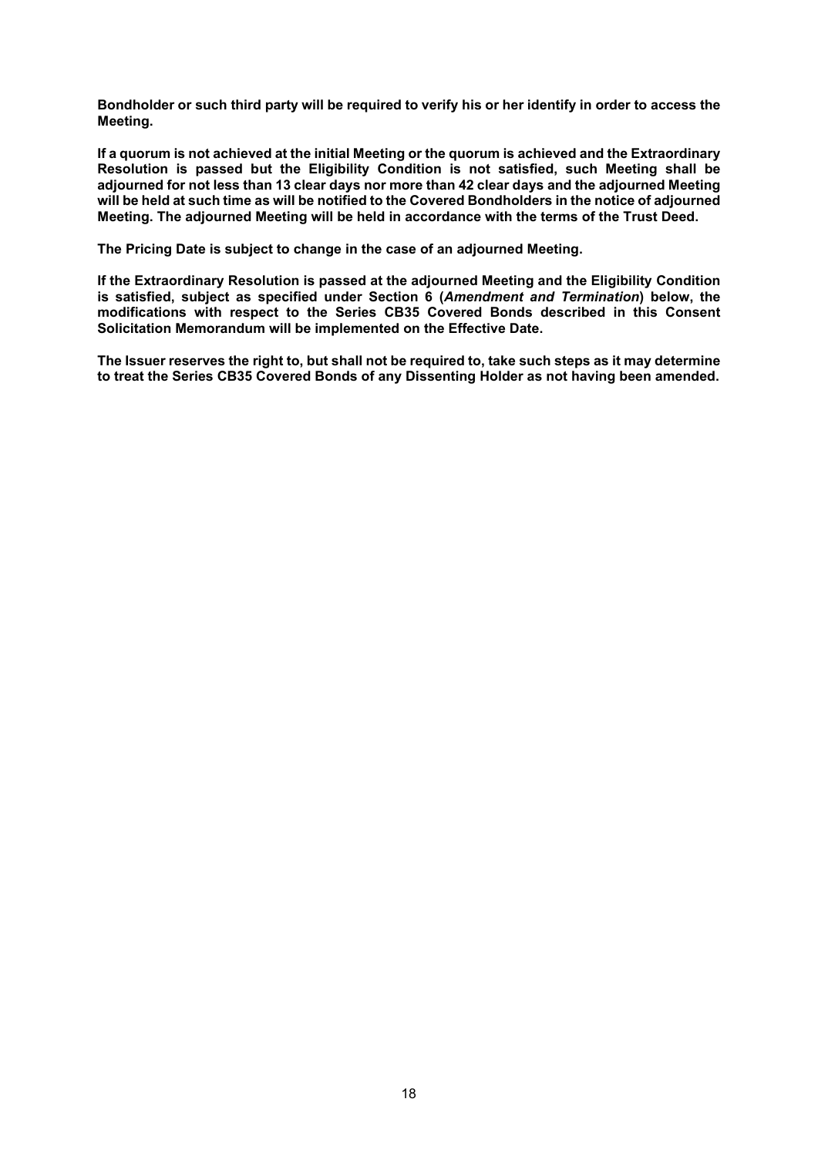**Bondholder or such third party will be required to verify his or her identify in order to access the Meeting.**

**If a quorum is not achieved at the initial Meeting or the quorum is achieved and the Extraordinary Resolution is passed but the Eligibility Condition is not satisfied, such Meeting shall be adjourned for not less than 13 clear days nor more than 42 clear days and the adjourned Meeting will be held at such time as will be notified to the Covered Bondholders in the notice of adjourned Meeting. The adjourned Meeting will be held in accordance with the terms of the Trust Deed.** 

**The Pricing Date is subject to change in the case of an adjourned Meeting.** 

**If the Extraordinary Resolution is passed at the adjourned Meeting and the Eligibility Condition is satisfied, subject as specified under Section 6 (***Amendment and Termination***) below, the modifications with respect to the Series CB35 Covered Bonds described in this Consent Solicitation Memorandum will be implemented on the Effective Date.**

**The Issuer reserves the right to, but shall not be required to, take such steps as it may determine to treat the Series CB35 Covered Bonds of any Dissenting Holder as not having been amended.**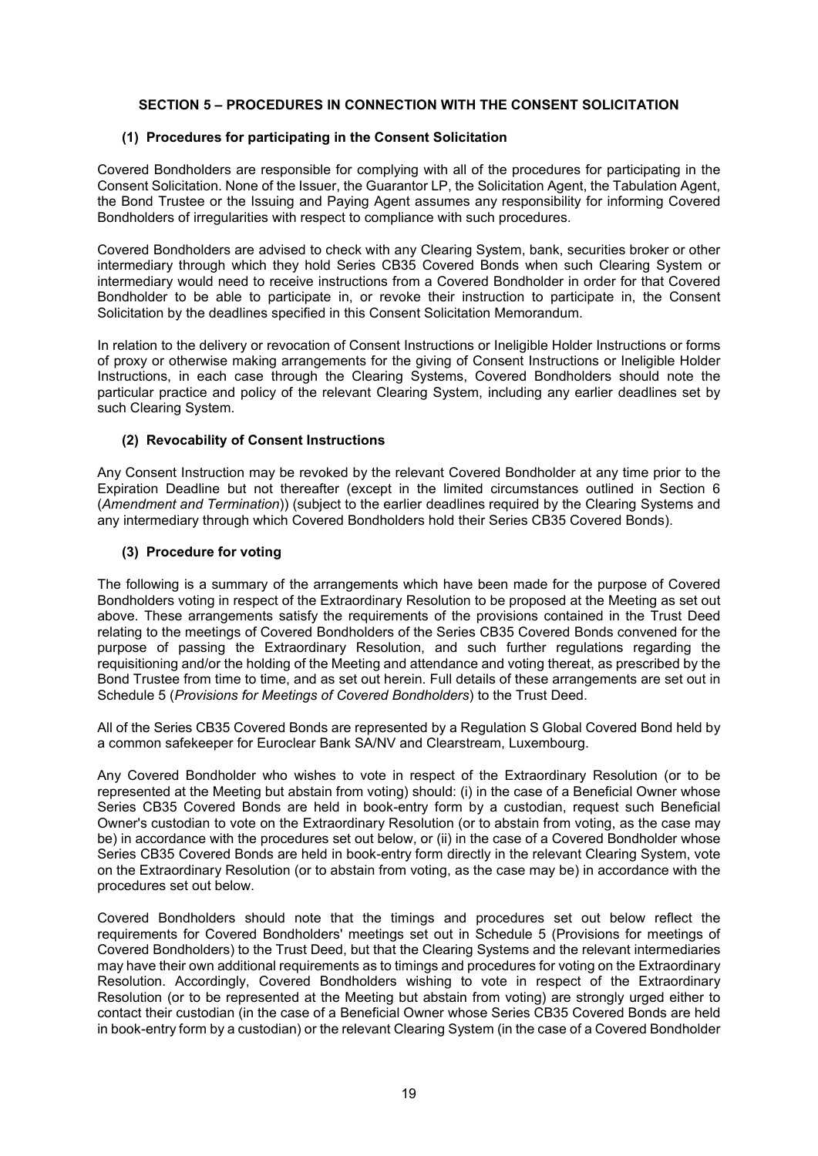# **SECTION 5 – PROCEDURES IN CONNECTION WITH THE CONSENT SOLICITATION**

#### **(1) Procedures for participating in the Consent Solicitation**

Covered Bondholders are responsible for complying with all of the procedures for participating in the Consent Solicitation. None of the Issuer, the Guarantor LP, the Solicitation Agent, the Tabulation Agent, the Bond Trustee or the Issuing and Paying Agent assumes any responsibility for informing Covered Bondholders of irregularities with respect to compliance with such procedures.

Covered Bondholders are advised to check with any Clearing System, bank, securities broker or other intermediary through which they hold Series CB35 Covered Bonds when such Clearing System or intermediary would need to receive instructions from a Covered Bondholder in order for that Covered Bondholder to be able to participate in, or revoke their instruction to participate in, the Consent Solicitation by the deadlines specified in this Consent Solicitation Memorandum.

In relation to the delivery or revocation of Consent Instructions or Ineligible Holder Instructions or forms of proxy or otherwise making arrangements for the giving of Consent Instructions or Ineligible Holder Instructions, in each case through the Clearing Systems, Covered Bondholders should note the particular practice and policy of the relevant Clearing System, including any earlier deadlines set by such Clearing System.

### **(2) Revocability of Consent Instructions**

Any Consent Instruction may be revoked by the relevant Covered Bondholder at any time prior to the Expiration Deadline but not thereafter (except in the limited circumstances outlined in Section 6 (*Amendment and Termination*)) (subject to the earlier deadlines required by the Clearing Systems and any intermediary through which Covered Bondholders hold their Series CB35 Covered Bonds).

### **(3) Procedure for voting**

The following is a summary of the arrangements which have been made for the purpose of Covered Bondholders voting in respect of the Extraordinary Resolution to be proposed at the Meeting as set out above. These arrangements satisfy the requirements of the provisions contained in the Trust Deed relating to the meetings of Covered Bondholders of the Series CB35 Covered Bonds convened for the purpose of passing the Extraordinary Resolution, and such further regulations regarding the requisitioning and/or the holding of the Meeting and attendance and voting thereat, as prescribed by the Bond Trustee from time to time, and as set out herein. Full details of these arrangements are set out in Schedule 5 (*Provisions for Meetings of Covered Bondholders*) to the Trust Deed.

All of the Series CB35 Covered Bonds are represented by a Regulation S Global Covered Bond held by a common safekeeper for Euroclear Bank SA/NV and Clearstream, Luxembourg.

Any Covered Bondholder who wishes to vote in respect of the Extraordinary Resolution (or to be represented at the Meeting but abstain from voting) should: (i) in the case of a Beneficial Owner whose Series CB35 Covered Bonds are held in book-entry form by a custodian, request such Beneficial Owner's custodian to vote on the Extraordinary Resolution (or to abstain from voting, as the case may be) in accordance with the procedures set out below, or (ii) in the case of a Covered Bondholder whose Series CB35 Covered Bonds are held in book-entry form directly in the relevant Clearing System, vote on the Extraordinary Resolution (or to abstain from voting, as the case may be) in accordance with the procedures set out below.

Covered Bondholders should note that the timings and procedures set out below reflect the requirements for Covered Bondholders' meetings set out in Schedule 5 (Provisions for meetings of Covered Bondholders) to the Trust Deed, but that the Clearing Systems and the relevant intermediaries may have their own additional requirements as to timings and procedures for voting on the Extraordinary Resolution. Accordingly, Covered Bondholders wishing to vote in respect of the Extraordinary Resolution (or to be represented at the Meeting but abstain from voting) are strongly urged either to contact their custodian (in the case of a Beneficial Owner whose Series CB35 Covered Bonds are held in book-entry form by a custodian) or the relevant Clearing System (in the case of a Covered Bondholder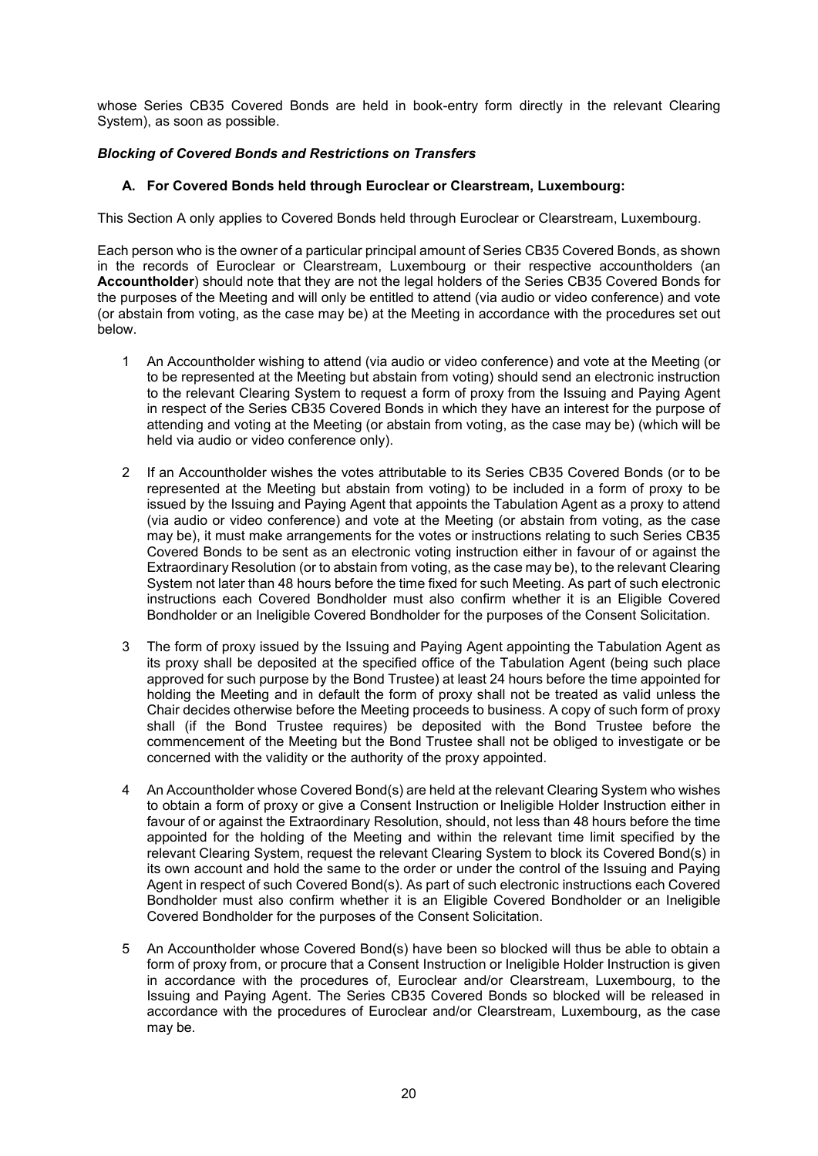whose Series CB35 Covered Bonds are held in book-entry form directly in the relevant Clearing System), as soon as possible.

# *Blocking of Covered Bonds and Restrictions on Transfers*

# **A. For Covered Bonds held through Euroclear or Clearstream, Luxembourg:**

This Section A only applies to Covered Bonds held through Euroclear or Clearstream, Luxembourg.

Each person who is the owner of a particular principal amount of Series CB35 Covered Bonds, as shown in the records of Euroclear or Clearstream, Luxembourg or their respective accountholders (an **Accountholder**) should note that they are not the legal holders of the Series CB35 Covered Bonds for the purposes of the Meeting and will only be entitled to attend (via audio or video conference) and vote (or abstain from voting, as the case may be) at the Meeting in accordance with the procedures set out below.

- 1 An Accountholder wishing to attend (via audio or video conference) and vote at the Meeting (or to be represented at the Meeting but abstain from voting) should send an electronic instruction to the relevant Clearing System to request a form of proxy from the Issuing and Paying Agent in respect of the Series CB35 Covered Bonds in which they have an interest for the purpose of attending and voting at the Meeting (or abstain from voting, as the case may be) (which will be held via audio or video conference only).
- 2 If an Accountholder wishes the votes attributable to its Series CB35 Covered Bonds (or to be represented at the Meeting but abstain from voting) to be included in a form of proxy to be issued by the Issuing and Paying Agent that appoints the Tabulation Agent as a proxy to attend (via audio or video conference) and vote at the Meeting (or abstain from voting, as the case may be), it must make arrangements for the votes or instructions relating to such Series CB35 Covered Bonds to be sent as an electronic voting instruction either in favour of or against the Extraordinary Resolution (or to abstain from voting, as the case may be), to the relevant Clearing System not later than 48 hours before the time fixed for such Meeting. As part of such electronic instructions each Covered Bondholder must also confirm whether it is an Eligible Covered Bondholder or an Ineligible Covered Bondholder for the purposes of the Consent Solicitation.
- 3 The form of proxy issued by the Issuing and Paying Agent appointing the Tabulation Agent as its proxy shall be deposited at the specified office of the Tabulation Agent (being such place approved for such purpose by the Bond Trustee) at least 24 hours before the time appointed for holding the Meeting and in default the form of proxy shall not be treated as valid unless the Chair decides otherwise before the Meeting proceeds to business. A copy of such form of proxy shall (if the Bond Trustee requires) be deposited with the Bond Trustee before the commencement of the Meeting but the Bond Trustee shall not be obliged to investigate or be concerned with the validity or the authority of the proxy appointed.
- 4 An Accountholder whose Covered Bond(s) are held at the relevant Clearing System who wishes to obtain a form of proxy or give a Consent Instruction or Ineligible Holder Instruction either in favour of or against the Extraordinary Resolution, should, not less than 48 hours before the time appointed for the holding of the Meeting and within the relevant time limit specified by the relevant Clearing System, request the relevant Clearing System to block its Covered Bond(s) in its own account and hold the same to the order or under the control of the Issuing and Paying Agent in respect of such Covered Bond(s). As part of such electronic instructions each Covered Bondholder must also confirm whether it is an Eligible Covered Bondholder or an Ineligible Covered Bondholder for the purposes of the Consent Solicitation.
- 5 An Accountholder whose Covered Bond(s) have been so blocked will thus be able to obtain a form of proxy from, or procure that a Consent Instruction or Ineligible Holder Instruction is given in accordance with the procedures of, Euroclear and/or Clearstream, Luxembourg, to the Issuing and Paying Agent. The Series CB35 Covered Bonds so blocked will be released in accordance with the procedures of Euroclear and/or Clearstream, Luxembourg, as the case may be.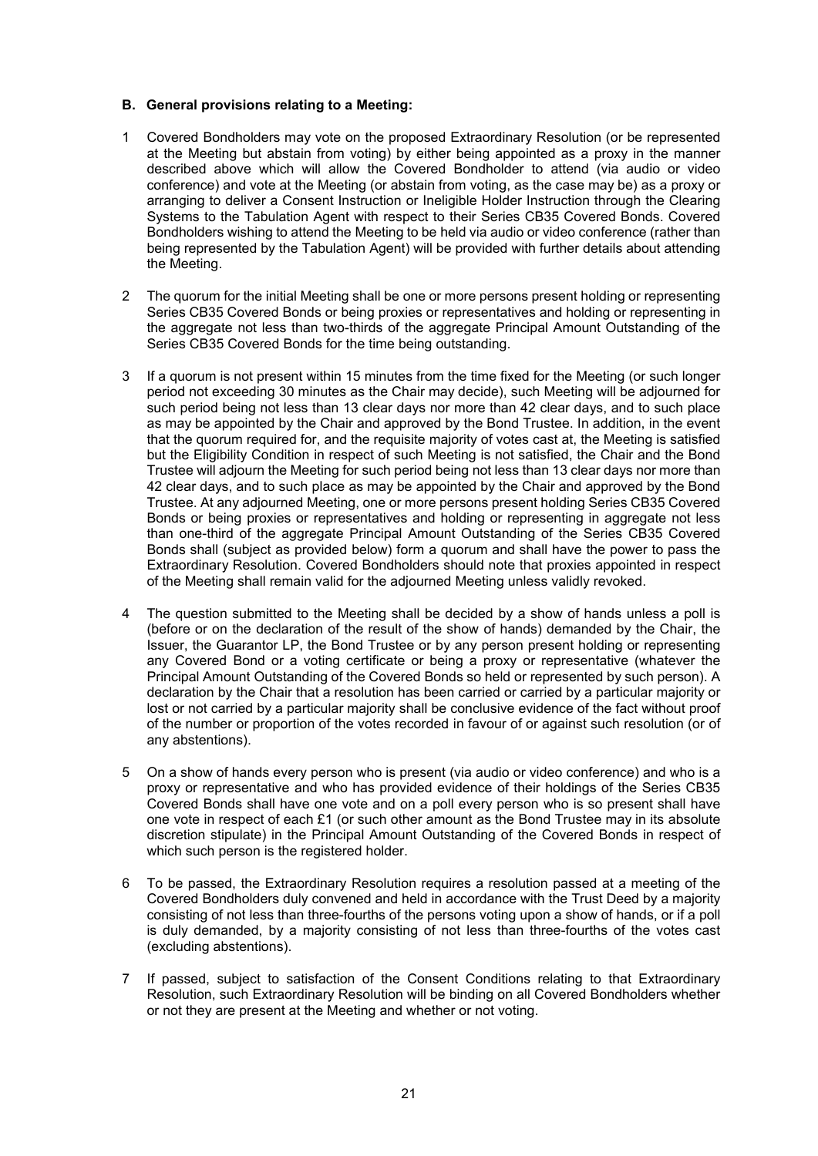### **B. General provisions relating to a Meeting:**

- 1 Covered Bondholders may vote on the proposed Extraordinary Resolution (or be represented at the Meeting but abstain from voting) by either being appointed as a proxy in the manner described above which will allow the Covered Bondholder to attend (via audio or video conference) and vote at the Meeting (or abstain from voting, as the case may be) as a proxy or arranging to deliver a Consent Instruction or Ineligible Holder Instruction through the Clearing Systems to the Tabulation Agent with respect to their Series CB35 Covered Bonds. Covered Bondholders wishing to attend the Meeting to be held via audio or video conference (rather than being represented by the Tabulation Agent) will be provided with further details about attending the Meeting.
- 2 The quorum for the initial Meeting shall be one or more persons present holding or representing Series CB35 Covered Bonds or being proxies or representatives and holding or representing in the aggregate not less than two-thirds of the aggregate Principal Amount Outstanding of the Series CB35 Covered Bonds for the time being outstanding.
- 3 If a quorum is not present within 15 minutes from the time fixed for the Meeting (or such longer period not exceeding 30 minutes as the Chair may decide), such Meeting will be adjourned for such period being not less than 13 clear days nor more than 42 clear days, and to such place as may be appointed by the Chair and approved by the Bond Trustee. In addition, in the event that the quorum required for, and the requisite majority of votes cast at, the Meeting is satisfied but the Eligibility Condition in respect of such Meeting is not satisfied, the Chair and the Bond Trustee will adjourn the Meeting for such period being not less than 13 clear days nor more than 42 clear days, and to such place as may be appointed by the Chair and approved by the Bond Trustee. At any adjourned Meeting, one or more persons present holding Series CB35 Covered Bonds or being proxies or representatives and holding or representing in aggregate not less than one-third of the aggregate Principal Amount Outstanding of the Series CB35 Covered Bonds shall (subject as provided below) form a quorum and shall have the power to pass the Extraordinary Resolution. Covered Bondholders should note that proxies appointed in respect of the Meeting shall remain valid for the adjourned Meeting unless validly revoked.
- 4 The question submitted to the Meeting shall be decided by a show of hands unless a poll is (before or on the declaration of the result of the show of hands) demanded by the Chair, the Issuer, the Guarantor LP, the Bond Trustee or by any person present holding or representing any Covered Bond or a voting certificate or being a proxy or representative (whatever the Principal Amount Outstanding of the Covered Bonds so held or represented by such person). A declaration by the Chair that a resolution has been carried or carried by a particular majority or lost or not carried by a particular majority shall be conclusive evidence of the fact without proof of the number or proportion of the votes recorded in favour of or against such resolution (or of any abstentions).
- 5 On a show of hands every person who is present (via audio or video conference) and who is a proxy or representative and who has provided evidence of their holdings of the Series CB35 Covered Bonds shall have one vote and on a poll every person who is so present shall have one vote in respect of each  $£1$  (or such other amount as the Bond Trustee may in its absolute discretion stipulate) in the Principal Amount Outstanding of the Covered Bonds in respect of which such person is the registered holder.
- 6 To be passed, the Extraordinary Resolution requires a resolution passed at a meeting of the Covered Bondholders duly convened and held in accordance with the Trust Deed by a majority consisting of not less than three-fourths of the persons voting upon a show of hands, or if a poll is duly demanded, by a majority consisting of not less than three-fourths of the votes cast (excluding abstentions).
- 7 If passed, subject to satisfaction of the Consent Conditions relating to that Extraordinary Resolution, such Extraordinary Resolution will be binding on all Covered Bondholders whether or not they are present at the Meeting and whether or not voting.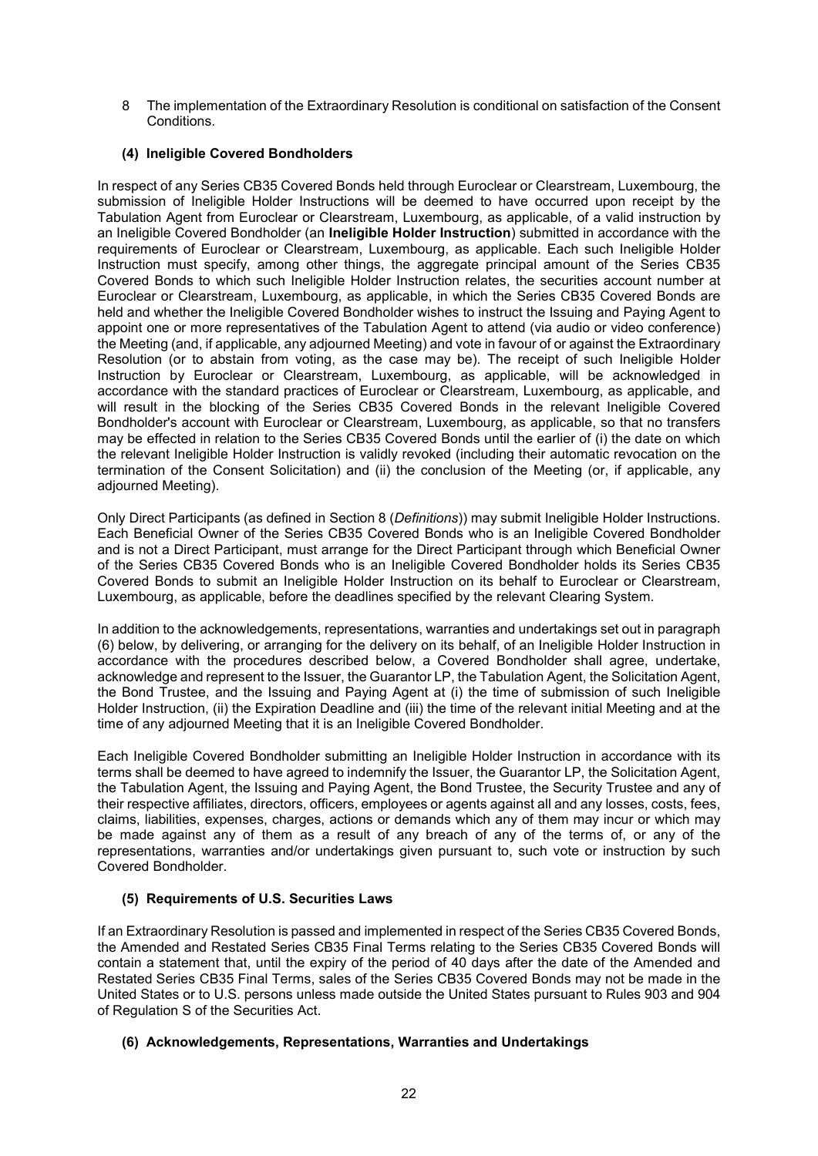8 The implementation of the Extraordinary Resolution is conditional on satisfaction of the Consent Conditions.

# **(4) Ineligible Covered Bondholders**

In respect of any Series CB35 Covered Bonds held through Euroclear or Clearstream, Luxembourg, the submission of Ineligible Holder Instructions will be deemed to have occurred upon receipt by the Tabulation Agent from Euroclear or Clearstream, Luxembourg, as applicable, of a valid instruction by an Ineligible Covered Bondholder (an **Ineligible Holder Instruction**) submitted in accordance with the requirements of Euroclear or Clearstream, Luxembourg, as applicable. Each such Ineligible Holder Instruction must specify, among other things, the aggregate principal amount of the Series CB35 Covered Bonds to which such Ineligible Holder Instruction relates, the securities account number at Euroclear or Clearstream, Luxembourg, as applicable, in which the Series CB35 Covered Bonds are held and whether the Ineligible Covered Bondholder wishes to instruct the Issuing and Paying Agent to appoint one or more representatives of the Tabulation Agent to attend (via audio or video conference) the Meeting (and, if applicable, any adjourned Meeting) and vote in favour of or against the Extraordinary Resolution (or to abstain from voting, as the case may be). The receipt of such Ineligible Holder Instruction by Euroclear or Clearstream, Luxembourg, as applicable, will be acknowledged in accordance with the standard practices of Euroclear or Clearstream, Luxembourg, as applicable, and will result in the blocking of the Series CB35 Covered Bonds in the relevant Ineligible Covered Bondholder's account with Euroclear or Clearstream, Luxembourg, as applicable, so that no transfers may be effected in relation to the Series CB35 Covered Bonds until the earlier of (i) the date on which the relevant Ineligible Holder Instruction is validly revoked (including their automatic revocation on the termination of the Consent Solicitation) and (ii) the conclusion of the Meeting (or, if applicable, any adjourned Meeting).

Only Direct Participants (as defined in Section 8 (*Definitions*)) may submit Ineligible Holder Instructions. Each Beneficial Owner of the Series CB35 Covered Bonds who is an Ineligible Covered Bondholder and is not a Direct Participant, must arrange for the Direct Participant through which Beneficial Owner of the Series CB35 Covered Bonds who is an Ineligible Covered Bondholder holds its Series CB35 Covered Bonds to submit an Ineligible Holder Instruction on its behalf to Euroclear or Clearstream, Luxembourg, as applicable, before the deadlines specified by the relevant Clearing System.

In addition to the acknowledgements, representations, warranties and undertakings set out in paragraph (6) below, by delivering, or arranging for the delivery on its behalf, of an Ineligible Holder Instruction in accordance with the procedures described below, a Covered Bondholder shall agree, undertake, acknowledge and represent to the Issuer, the Guarantor LP, the Tabulation Agent, the Solicitation Agent, the Bond Trustee, and the Issuing and Paying Agent at (i) the time of submission of such Ineligible Holder Instruction, (ii) the Expiration Deadline and (iii) the time of the relevant initial Meeting and at the time of any adjourned Meeting that it is an Ineligible Covered Bondholder.

Each Ineligible Covered Bondholder submitting an Ineligible Holder Instruction in accordance with its terms shall be deemed to have agreed to indemnify the Issuer, the Guarantor LP, the Solicitation Agent, the Tabulation Agent, the Issuing and Paying Agent, the Bond Trustee, the Security Trustee and any of their respective affiliates, directors, officers, employees or agents against all and any losses, costs, fees, claims, liabilities, expenses, charges, actions or demands which any of them may incur or which may be made against any of them as a result of any breach of any of the terms of, or any of the representations, warranties and/or undertakings given pursuant to, such vote or instruction by such Covered Bondholder.

# **(5) Requirements of U.S. Securities Laws**

If an Extraordinary Resolution is passed and implemented in respect of the Series CB35 Covered Bonds, the Amended and Restated Series CB35 Final Terms relating to the Series CB35 Covered Bonds will contain a statement that, until the expiry of the period of 40 days after the date of the Amended and Restated Series CB35 Final Terms, sales of the Series CB35 Covered Bonds may not be made in the United States or to U.S. persons unless made outside the United States pursuant to Rules 903 and 904 of Regulation S of the Securities Act.

# **(6) Acknowledgements, Representations, Warranties and Undertakings**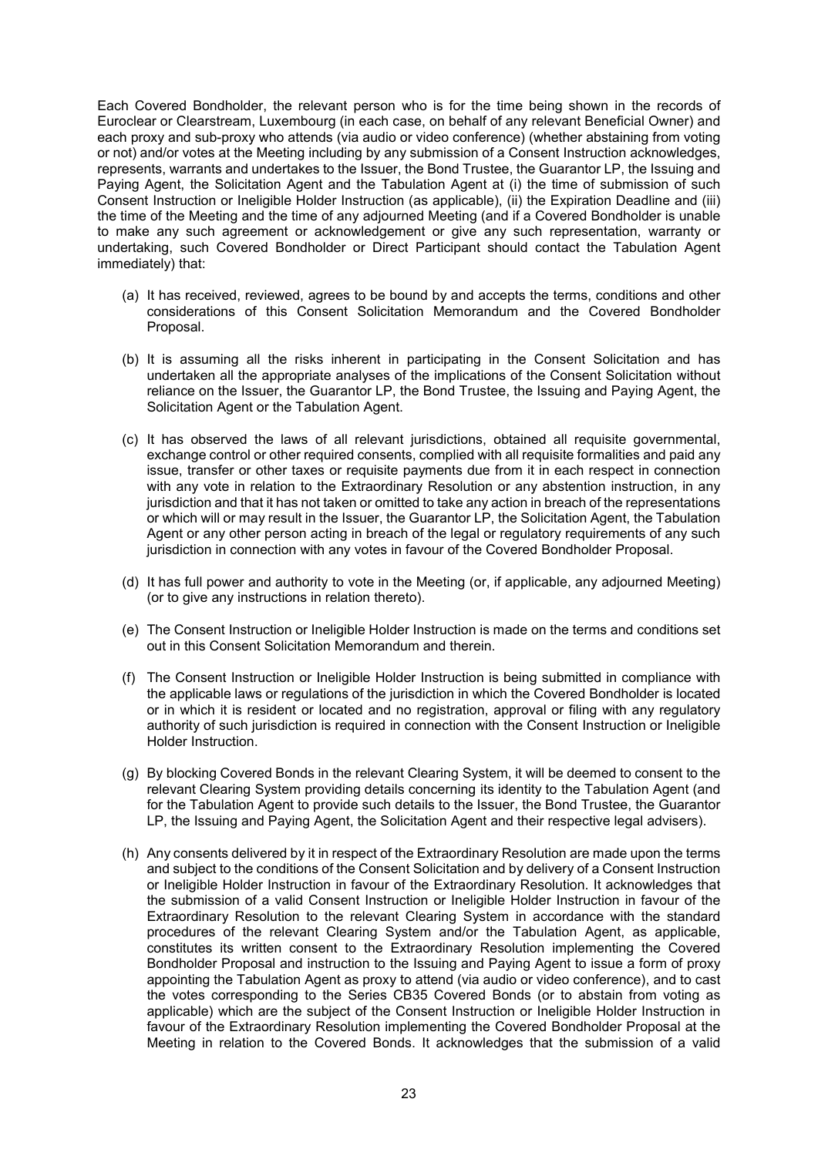Each Covered Bondholder, the relevant person who is for the time being shown in the records of Euroclear or Clearstream, Luxembourg (in each case, on behalf of any relevant Beneficial Owner) and each proxy and sub-proxy who attends (via audio or video conference) (whether abstaining from voting or not) and/or votes at the Meeting including by any submission of a Consent Instruction acknowledges, represents, warrants and undertakes to the Issuer, the Bond Trustee, the Guarantor LP, the Issuing and Paying Agent, the Solicitation Agent and the Tabulation Agent at (i) the time of submission of such Consent Instruction or Ineligible Holder Instruction (as applicable), (ii) the Expiration Deadline and (iii) the time of the Meeting and the time of any adjourned Meeting (and if a Covered Bondholder is unable to make any such agreement or acknowledgement or give any such representation, warranty or undertaking, such Covered Bondholder or Direct Participant should contact the Tabulation Agent immediately) that:

- (a) It has received, reviewed, agrees to be bound by and accepts the terms, conditions and other considerations of this Consent Solicitation Memorandum and the Covered Bondholder Proposal.
- (b) It is assuming all the risks inherent in participating in the Consent Solicitation and has undertaken all the appropriate analyses of the implications of the Consent Solicitation without reliance on the Issuer, the Guarantor LP, the Bond Trustee, the Issuing and Paying Agent, the Solicitation Agent or the Tabulation Agent.
- (c) It has observed the laws of all relevant jurisdictions, obtained all requisite governmental, exchange control or other required consents, complied with all requisite formalities and paid any issue, transfer or other taxes or requisite payments due from it in each respect in connection with any vote in relation to the Extraordinary Resolution or any abstention instruction, in any jurisdiction and that it has not taken or omitted to take any action in breach of the representations or which will or may result in the Issuer, the Guarantor LP, the Solicitation Agent, the Tabulation Agent or any other person acting in breach of the legal or regulatory requirements of any such jurisdiction in connection with any votes in favour of the Covered Bondholder Proposal.
- (d) It has full power and authority to vote in the Meeting (or, if applicable, any adjourned Meeting) (or to give any instructions in relation thereto).
- (e) The Consent Instruction or Ineligible Holder Instruction is made on the terms and conditions set out in this Consent Solicitation Memorandum and therein.
- (f) The Consent Instruction or Ineligible Holder Instruction is being submitted in compliance with the applicable laws or regulations of the jurisdiction in which the Covered Bondholder is located or in which it is resident or located and no registration, approval or filing with any regulatory authority of such jurisdiction is required in connection with the Consent Instruction or Ineligible Holder Instruction.
- (g) By blocking Covered Bonds in the relevant Clearing System, it will be deemed to consent to the relevant Clearing System providing details concerning its identity to the Tabulation Agent (and for the Tabulation Agent to provide such details to the Issuer, the Bond Trustee, the Guarantor LP, the Issuing and Paying Agent, the Solicitation Agent and their respective legal advisers).
- (h) Any consents delivered by it in respect of the Extraordinary Resolution are made upon the terms and subject to the conditions of the Consent Solicitation and by delivery of a Consent Instruction or Ineligible Holder Instruction in favour of the Extraordinary Resolution. It acknowledges that the submission of a valid Consent Instruction or Ineligible Holder Instruction in favour of the Extraordinary Resolution to the relevant Clearing System in accordance with the standard procedures of the relevant Clearing System and/or the Tabulation Agent, as applicable, constitutes its written consent to the Extraordinary Resolution implementing the Covered Bondholder Proposal and instruction to the Issuing and Paying Agent to issue a form of proxy appointing the Tabulation Agent as proxy to attend (via audio or video conference), and to cast the votes corresponding to the Series CB35 Covered Bonds (or to abstain from voting as applicable) which are the subject of the Consent Instruction or Ineligible Holder Instruction in favour of the Extraordinary Resolution implementing the Covered Bondholder Proposal at the Meeting in relation to the Covered Bonds. It acknowledges that the submission of a valid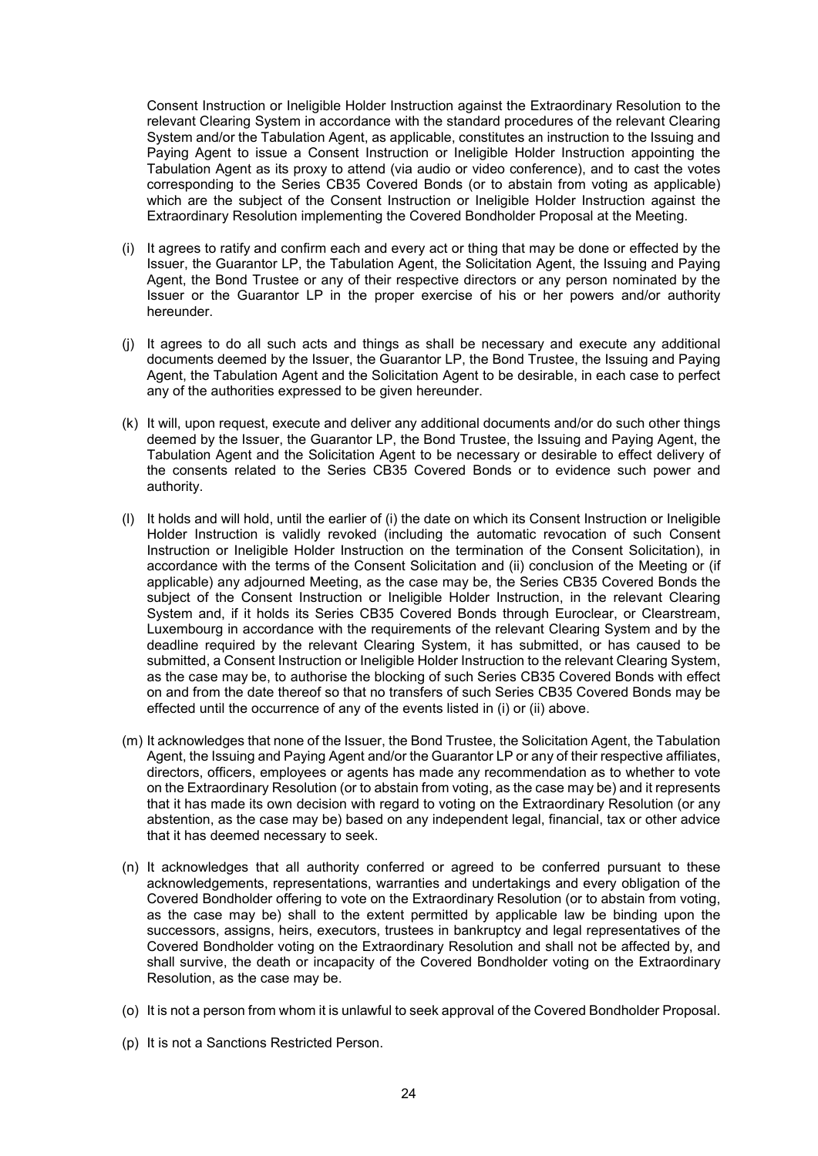Consent Instruction or Ineligible Holder Instruction against the Extraordinary Resolution to the relevant Clearing System in accordance with the standard procedures of the relevant Clearing System and/or the Tabulation Agent, as applicable, constitutes an instruction to the Issuing and Paying Agent to issue a Consent Instruction or Ineligible Holder Instruction appointing the Tabulation Agent as its proxy to attend (via audio or video conference), and to cast the votes corresponding to the Series CB35 Covered Bonds (or to abstain from voting as applicable) which are the subject of the Consent Instruction or Ineligible Holder Instruction against the Extraordinary Resolution implementing the Covered Bondholder Proposal at the Meeting.

- (i) It agrees to ratify and confirm each and every act or thing that may be done or effected by the Issuer, the Guarantor LP, the Tabulation Agent, the Solicitation Agent, the Issuing and Paying Agent, the Bond Trustee or any of their respective directors or any person nominated by the Issuer or the Guarantor LP in the proper exercise of his or her powers and/or authority hereunder.
- (j) It agrees to do all such acts and things as shall be necessary and execute any additional documents deemed by the Issuer, the Guarantor LP, the Bond Trustee, the Issuing and Paying Agent, the Tabulation Agent and the Solicitation Agent to be desirable, in each case to perfect any of the authorities expressed to be given hereunder.
- (k) It will, upon request, execute and deliver any additional documents and/or do such other things deemed by the Issuer, the Guarantor LP, the Bond Trustee, the Issuing and Paying Agent, the Tabulation Agent and the Solicitation Agent to be necessary or desirable to effect delivery of the consents related to the Series CB35 Covered Bonds or to evidence such power and authority.
- (l) It holds and will hold, until the earlier of (i) the date on which its Consent Instruction or Ineligible Holder Instruction is validly revoked (including the automatic revocation of such Consent Instruction or Ineligible Holder Instruction on the termination of the Consent Solicitation), in accordance with the terms of the Consent Solicitation and (ii) conclusion of the Meeting or (if applicable) any adjourned Meeting, as the case may be, the Series CB35 Covered Bonds the subject of the Consent Instruction or Ineligible Holder Instruction, in the relevant Clearing System and, if it holds its Series CB35 Covered Bonds through Euroclear, or Clearstream, Luxembourg in accordance with the requirements of the relevant Clearing System and by the deadline required by the relevant Clearing System, it has submitted, or has caused to be submitted, a Consent Instruction or Ineligible Holder Instruction to the relevant Clearing System, as the case may be, to authorise the blocking of such Series CB35 Covered Bonds with effect on and from the date thereof so that no transfers of such Series CB35 Covered Bonds may be effected until the occurrence of any of the events listed in (i) or (ii) above.
- (m) It acknowledges that none of the Issuer, the Bond Trustee, the Solicitation Agent, the Tabulation Agent, the Issuing and Paying Agent and/or the Guarantor LP or any of their respective affiliates, directors, officers, employees or agents has made any recommendation as to whether to vote on the Extraordinary Resolution (or to abstain from voting, as the case may be) and it represents that it has made its own decision with regard to voting on the Extraordinary Resolution (or any abstention, as the case may be) based on any independent legal, financial, tax or other advice that it has deemed necessary to seek.
- (n) It acknowledges that all authority conferred or agreed to be conferred pursuant to these acknowledgements, representations, warranties and undertakings and every obligation of the Covered Bondholder offering to vote on the Extraordinary Resolution (or to abstain from voting, as the case may be) shall to the extent permitted by applicable law be binding upon the successors, assigns, heirs, executors, trustees in bankruptcy and legal representatives of the Covered Bondholder voting on the Extraordinary Resolution and shall not be affected by, and shall survive, the death or incapacity of the Covered Bondholder voting on the Extraordinary Resolution, as the case may be.
- (o) It is not a person from whom it is unlawful to seek approval of the Covered Bondholder Proposal.
- (p) It is not a Sanctions Restricted Person.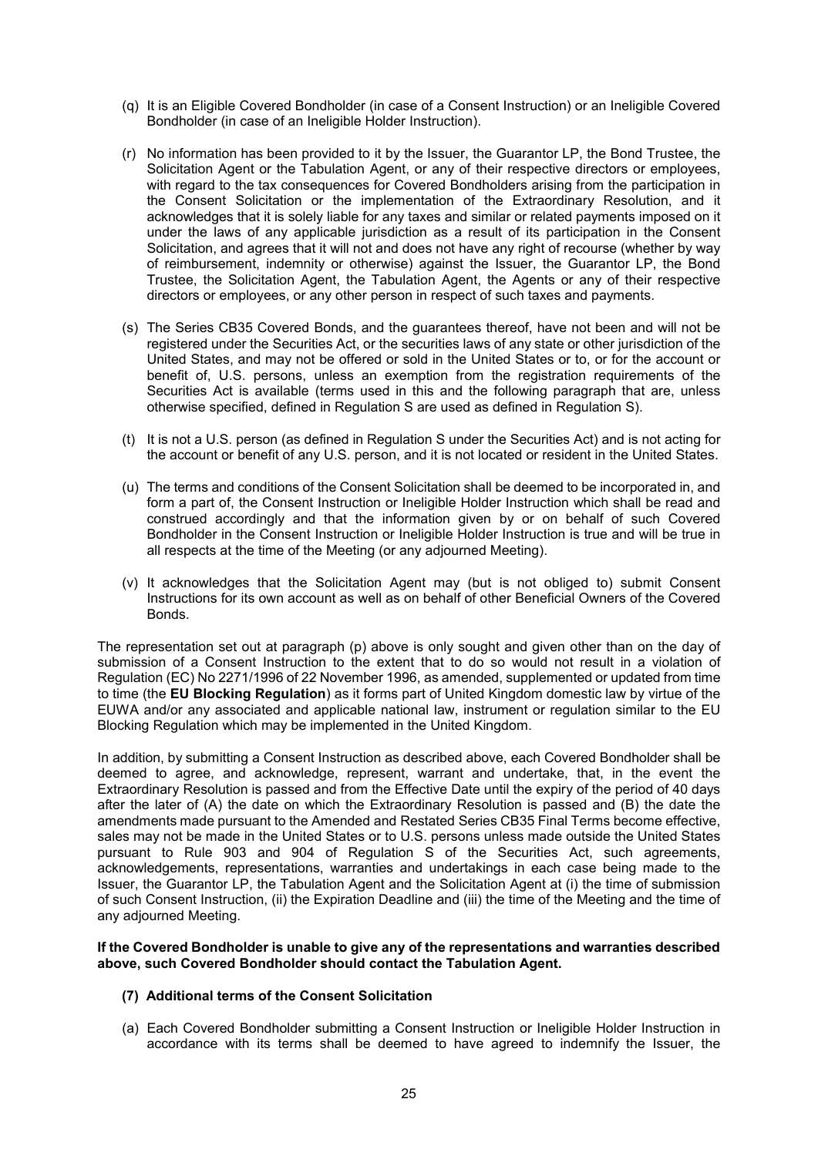- (q) It is an Eligible Covered Bondholder (in case of a Consent Instruction) or an Ineligible Covered Bondholder (in case of an Ineligible Holder Instruction).
- (r) No information has been provided to it by the Issuer, the Guarantor LP, the Bond Trustee, the Solicitation Agent or the Tabulation Agent, or any of their respective directors or employees, with regard to the tax consequences for Covered Bondholders arising from the participation in the Consent Solicitation or the implementation of the Extraordinary Resolution, and it acknowledges that it is solely liable for any taxes and similar or related payments imposed on it under the laws of any applicable jurisdiction as a result of its participation in the Consent Solicitation, and agrees that it will not and does not have any right of recourse (whether by way of reimbursement, indemnity or otherwise) against the Issuer, the Guarantor LP, the Bond Trustee, the Solicitation Agent, the Tabulation Agent, the Agents or any of their respective directors or employees, or any other person in respect of such taxes and payments.
- (s) The Series CB35 Covered Bonds, and the guarantees thereof, have not been and will not be registered under the Securities Act, or the securities laws of any state or other jurisdiction of the United States, and may not be offered or sold in the United States or to, or for the account or benefit of, U.S. persons, unless an exemption from the registration requirements of the Securities Act is available (terms used in this and the following paragraph that are, unless otherwise specified, defined in Regulation S are used as defined in Regulation S).
- (t) It is not a U.S. person (as defined in Regulation S under the Securities Act) and is not acting for the account or benefit of any U.S. person, and it is not located or resident in the United States.
- (u) The terms and conditions of the Consent Solicitation shall be deemed to be incorporated in, and form a part of, the Consent Instruction or Ineligible Holder Instruction which shall be read and construed accordingly and that the information given by or on behalf of such Covered Bondholder in the Consent Instruction or Ineligible Holder Instruction is true and will be true in all respects at the time of the Meeting (or any adjourned Meeting).
- (v) It acknowledges that the Solicitation Agent may (but is not obliged to) submit Consent Instructions for its own account as well as on behalf of other Beneficial Owners of the Covered **Bonds**

The representation set out at paragraph (p) above is only sought and given other than on the day of submission of a Consent Instruction to the extent that to do so would not result in a violation of Regulation (EC) No 2271/1996 of 22 November 1996, as amended, supplemented or updated from time to time (the **EU Blocking Regulation**) as it forms part of United Kingdom domestic law by virtue of the EUWA and/or any associated and applicable national law, instrument or regulation similar to the EU Blocking Regulation which may be implemented in the United Kingdom.

In addition, by submitting a Consent Instruction as described above, each Covered Bondholder shall be deemed to agree, and acknowledge, represent, warrant and undertake, that, in the event the Extraordinary Resolution is passed and from the Effective Date until the expiry of the period of 40 days after the later of (A) the date on which the Extraordinary Resolution is passed and (B) the date the amendments made pursuant to the Amended and Restated Series CB35 Final Terms become effective, sales may not be made in the United States or to U.S. persons unless made outside the United States pursuant to Rule 903 and 904 of Regulation S of the Securities Act, such agreements, acknowledgements, representations, warranties and undertakings in each case being made to the Issuer, the Guarantor LP, the Tabulation Agent and the Solicitation Agent at (i) the time of submission of such Consent Instruction, (ii) the Expiration Deadline and (iii) the time of the Meeting and the time of any adjourned Meeting.

#### **If the Covered Bondholder is unable to give any of the representations and warranties described above, such Covered Bondholder should contact the Tabulation Agent.**

# **(7) Additional terms of the Consent Solicitation**

(a) Each Covered Bondholder submitting a Consent Instruction or Ineligible Holder Instruction in accordance with its terms shall be deemed to have agreed to indemnify the Issuer, the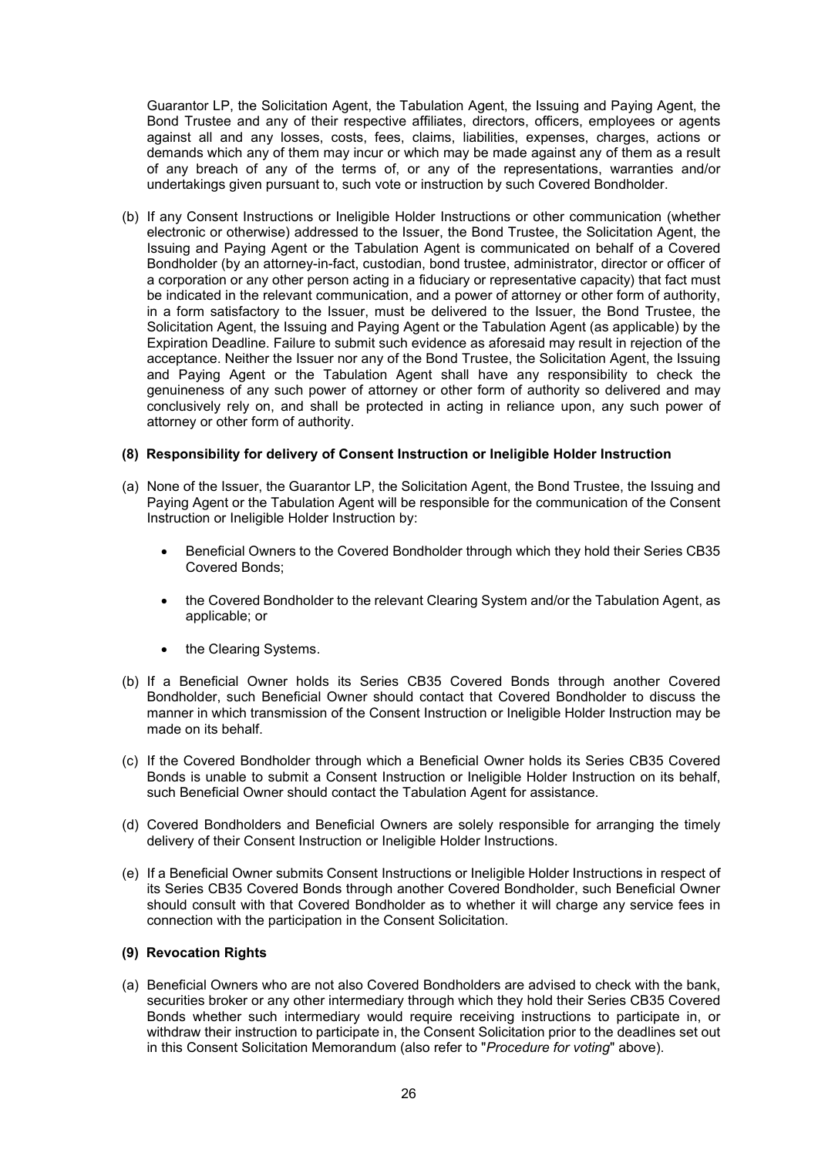Guarantor LP, the Solicitation Agent, the Tabulation Agent, the Issuing and Paying Agent, the Bond Trustee and any of their respective affiliates, directors, officers, employees or agents against all and any losses, costs, fees, claims, liabilities, expenses, charges, actions or demands which any of them may incur or which may be made against any of them as a result of any breach of any of the terms of, or any of the representations, warranties and/or undertakings given pursuant to, such vote or instruction by such Covered Bondholder.

(b) If any Consent Instructions or Ineligible Holder Instructions or other communication (whether electronic or otherwise) addressed to the Issuer, the Bond Trustee, the Solicitation Agent, the Issuing and Paying Agent or the Tabulation Agent is communicated on behalf of a Covered Bondholder (by an attorney-in-fact, custodian, bond trustee, administrator, director or officer of a corporation or any other person acting in a fiduciary or representative capacity) that fact must be indicated in the relevant communication, and a power of attorney or other form of authority, in a form satisfactory to the Issuer, must be delivered to the Issuer, the Bond Trustee, the Solicitation Agent, the Issuing and Paying Agent or the Tabulation Agent (as applicable) by the Expiration Deadline. Failure to submit such evidence as aforesaid may result in rejection of the acceptance. Neither the Issuer nor any of the Bond Trustee, the Solicitation Agent, the Issuing and Paying Agent or the Tabulation Agent shall have any responsibility to check the genuineness of any such power of attorney or other form of authority so delivered and may conclusively rely on, and shall be protected in acting in reliance upon, any such power of attorney or other form of authority.

#### **(8) Responsibility for delivery of Consent Instruction or Ineligible Holder Instruction**

- (a) None of the Issuer, the Guarantor LP, the Solicitation Agent, the Bond Trustee, the Issuing and Paying Agent or the Tabulation Agent will be responsible for the communication of the Consent Instruction or Ineligible Holder Instruction by:
	- Beneficial Owners to the Covered Bondholder through which they hold their Series CB35 Covered Bonds;
	- the Covered Bondholder to the relevant Clearing System and/or the Tabulation Agent, as applicable; or
	- the Clearing Systems.
- (b) If a Beneficial Owner holds its Series CB35 Covered Bonds through another Covered Bondholder, such Beneficial Owner should contact that Covered Bondholder to discuss the manner in which transmission of the Consent Instruction or Ineligible Holder Instruction may be made on its behalf.
- (c) If the Covered Bondholder through which a Beneficial Owner holds its Series CB35 Covered Bonds is unable to submit a Consent Instruction or Ineligible Holder Instruction on its behalf, such Beneficial Owner should contact the Tabulation Agent for assistance.
- (d) Covered Bondholders and Beneficial Owners are solely responsible for arranging the timely delivery of their Consent Instruction or Ineligible Holder Instructions.
- (e) If a Beneficial Owner submits Consent Instructions or Ineligible Holder Instructions in respect of its Series CB35 Covered Bonds through another Covered Bondholder, such Beneficial Owner should consult with that Covered Bondholder as to whether it will charge any service fees in connection with the participation in the Consent Solicitation.

### **(9) Revocation Rights**

(a) Beneficial Owners who are not also Covered Bondholders are advised to check with the bank, securities broker or any other intermediary through which they hold their Series CB35 Covered Bonds whether such intermediary would require receiving instructions to participate in, or withdraw their instruction to participate in, the Consent Solicitation prior to the deadlines set out in this Consent Solicitation Memorandum (also refer to "*Procedure for voting*" above).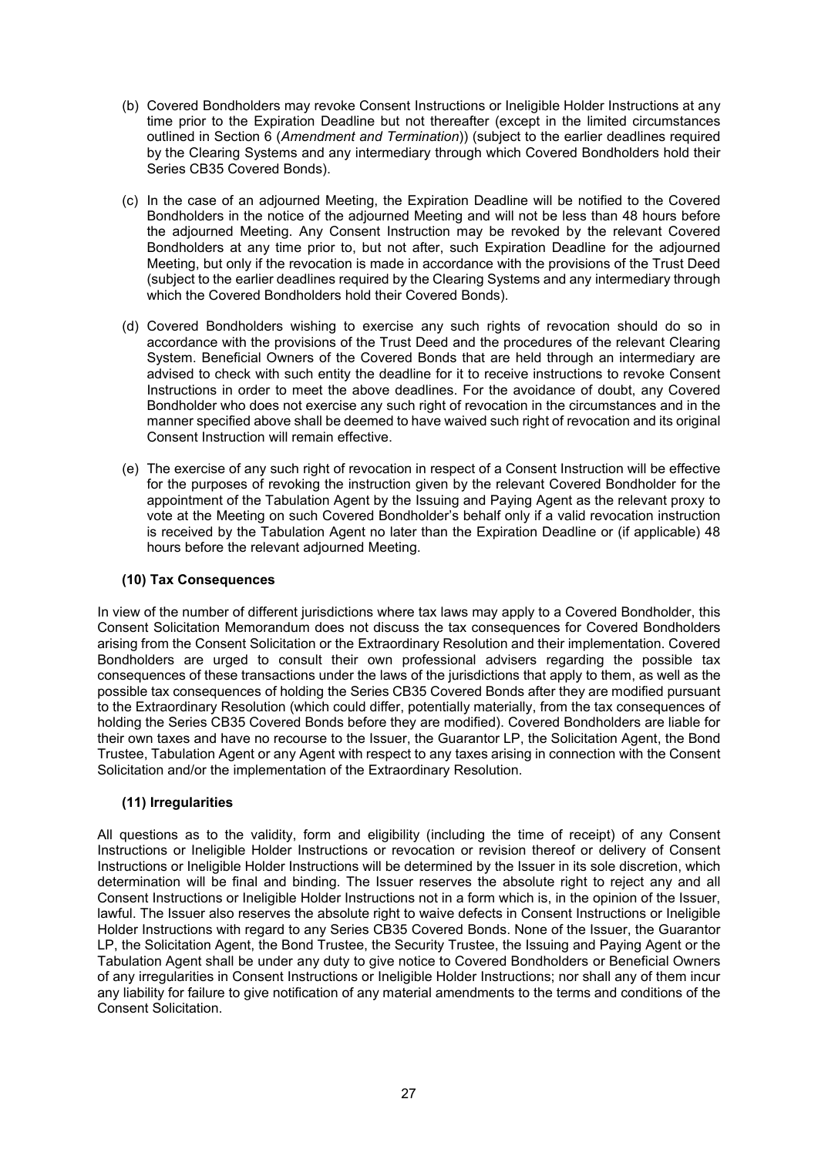- (b) Covered Bondholders may revoke Consent Instructions or Ineligible Holder Instructions at any time prior to the Expiration Deadline but not thereafter (except in the limited circumstances outlined in Section 6 (*Amendment and Termination*)) (subject to the earlier deadlines required by the Clearing Systems and any intermediary through which Covered Bondholders hold their Series CB35 Covered Bonds).
- (c) In the case of an adjourned Meeting, the Expiration Deadline will be notified to the Covered Bondholders in the notice of the adjourned Meeting and will not be less than 48 hours before the adjourned Meeting. Any Consent Instruction may be revoked by the relevant Covered Bondholders at any time prior to, but not after, such Expiration Deadline for the adjourned Meeting, but only if the revocation is made in accordance with the provisions of the Trust Deed (subject to the earlier deadlines required by the Clearing Systems and any intermediary through which the Covered Bondholders hold their Covered Bonds).
- (d) Covered Bondholders wishing to exercise any such rights of revocation should do so in accordance with the provisions of the Trust Deed and the procedures of the relevant Clearing System. Beneficial Owners of the Covered Bonds that are held through an intermediary are advised to check with such entity the deadline for it to receive instructions to revoke Consent Instructions in order to meet the above deadlines. For the avoidance of doubt, any Covered Bondholder who does not exercise any such right of revocation in the circumstances and in the manner specified above shall be deemed to have waived such right of revocation and its original Consent Instruction will remain effective.
- (e) The exercise of any such right of revocation in respect of a Consent Instruction will be effective for the purposes of revoking the instruction given by the relevant Covered Bondholder for the appointment of the Tabulation Agent by the Issuing and Paying Agent as the relevant proxy to vote at the Meeting on such Covered Bondholder's behalf only if a valid revocation instruction is received by the Tabulation Agent no later than the Expiration Deadline or (if applicable) 48 hours before the relevant adjourned Meeting.

# **(10) Tax Consequences**

In view of the number of different jurisdictions where tax laws may apply to a Covered Bondholder, this Consent Solicitation Memorandum does not discuss the tax consequences for Covered Bondholders arising from the Consent Solicitation or the Extraordinary Resolution and their implementation. Covered Bondholders are urged to consult their own professional advisers regarding the possible tax consequences of these transactions under the laws of the jurisdictions that apply to them, as well as the possible tax consequences of holding the Series CB35 Covered Bonds after they are modified pursuant to the Extraordinary Resolution (which could differ, potentially materially, from the tax consequences of holding the Series CB35 Covered Bonds before they are modified). Covered Bondholders are liable for their own taxes and have no recourse to the Issuer, the Guarantor LP, the Solicitation Agent, the Bond Trustee, Tabulation Agent or any Agent with respect to any taxes arising in connection with the Consent Solicitation and/or the implementation of the Extraordinary Resolution.

# **(11) Irregularities**

All questions as to the validity, form and eligibility (including the time of receipt) of any Consent Instructions or Ineligible Holder Instructions or revocation or revision thereof or delivery of Consent Instructions or Ineligible Holder Instructions will be determined by the Issuer in its sole discretion, which determination will be final and binding. The Issuer reserves the absolute right to reject any and all Consent Instructions or Ineligible Holder Instructions not in a form which is, in the opinion of the Issuer, lawful. The Issuer also reserves the absolute right to waive defects in Consent Instructions or Ineligible Holder Instructions with regard to any Series CB35 Covered Bonds. None of the Issuer, the Guarantor LP, the Solicitation Agent, the Bond Trustee, the Security Trustee, the Issuing and Paying Agent or the Tabulation Agent shall be under any duty to give notice to Covered Bondholders or Beneficial Owners of any irregularities in Consent Instructions or Ineligible Holder Instructions; nor shall any of them incur any liability for failure to give notification of any material amendments to the terms and conditions of the Consent Solicitation.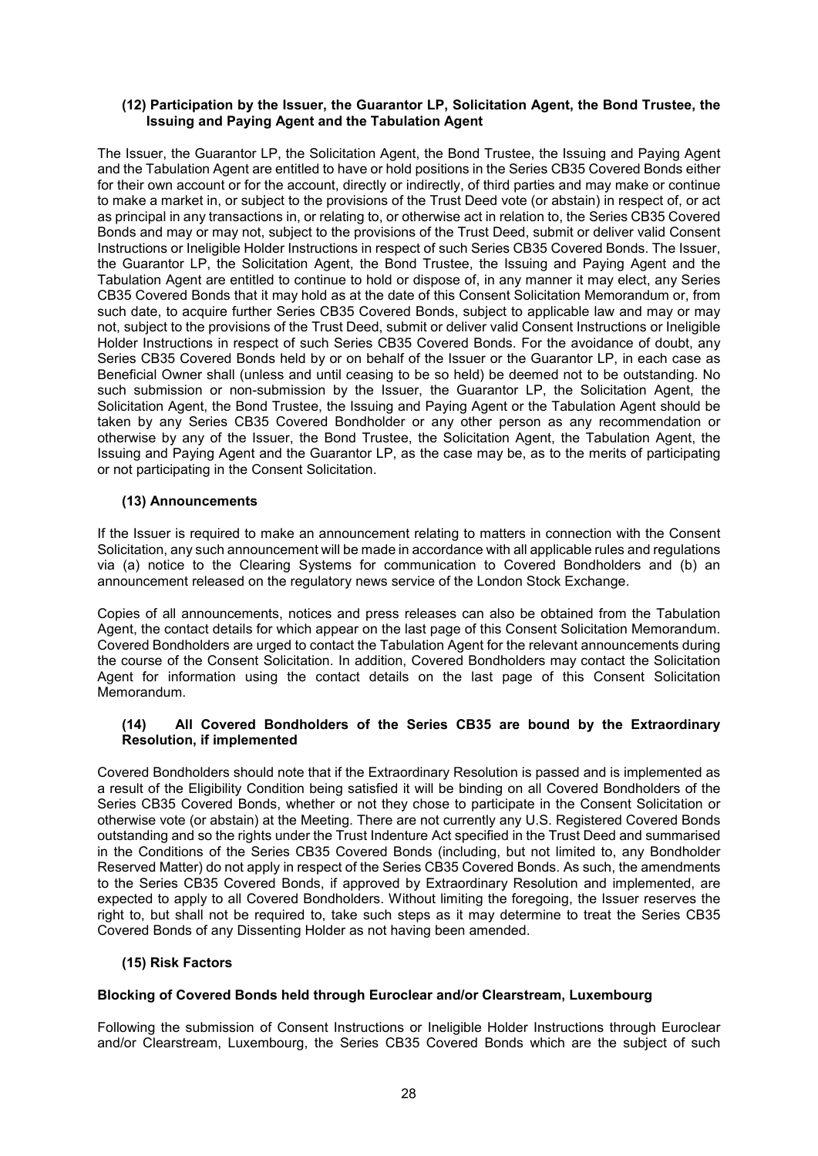#### **(12) Participation by the Issuer, the Guarantor LP, Solicitation Agent, the Bond Trustee, the Issuing and Paying Agent and the Tabulation Agent**

The Issuer, the Guarantor LP, the Solicitation Agent, the Bond Trustee, the Issuing and Paying Agent and the Tabulation Agent are entitled to have or hold positions in the Series CB35 Covered Bonds either for their own account or for the account, directly or indirectly, of third parties and may make or continue to make a market in, or subject to the provisions of the Trust Deed vote (or abstain) in respect of, or act as principal in any transactions in, or relating to, or otherwise act in relation to, the Series CB35 Covered Bonds and may or may not, subject to the provisions of the Trust Deed, submit or deliver valid Consent Instructions or Ineligible Holder Instructions in respect of such Series CB35 Covered Bonds. The Issuer, the Guarantor LP, the Solicitation Agent, the Bond Trustee, the Issuing and Paying Agent and the Tabulation Agent are entitled to continue to hold or dispose of, in any manner it may elect, any Series CB35 Covered Bonds that it may hold as at the date of this Consent Solicitation Memorandum or, from such date, to acquire further Series CB35 Covered Bonds, subject to applicable law and may or may not, subject to the provisions of the Trust Deed, submit or deliver valid Consent Instructions or Ineligible Holder Instructions in respect of such Series CB35 Covered Bonds. For the avoidance of doubt, any Series CB35 Covered Bonds held by or on behalf of the Issuer or the Guarantor LP, in each case as Beneficial Owner shall (unless and until ceasing to be so held) be deemed not to be outstanding. No such submission or non-submission by the Issuer, the Guarantor LP, the Solicitation Agent, the Solicitation Agent, the Bond Trustee, the Issuing and Paying Agent or the Tabulation Agent should be taken by any Series CB35 Covered Bondholder or any other person as any recommendation or otherwise by any of the Issuer, the Bond Trustee, the Solicitation Agent, the Tabulation Agent, the Issuing and Paying Agent and the Guarantor LP, as the case may be, as to the merits of participating or not participating in the Consent Solicitation.

# **(13) Announcements**

If the Issuer is required to make an announcement relating to matters in connection with the Consent Solicitation, any such announcement will be made in accordance with all applicable rules and regulations via (a) notice to the Clearing Systems for communication to Covered Bondholders and (b) an announcement released on the regulatory news service of the London Stock Exchange.

Copies of all announcements, notices and press releases can also be obtained from the Tabulation Agent, the contact details for which appear on the last page of this Consent Solicitation Memorandum. Covered Bondholders are urged to contact the Tabulation Agent for the relevant announcements during the course of the Consent Solicitation. In addition, Covered Bondholders may contact the Solicitation Agent for information using the contact details on the last page of this Consent Solicitation Memorandum.

# **(14) All Covered Bondholders of the Series CB35 are bound by the Extraordinary Resolution, if implemented**

Covered Bondholders should note that if the Extraordinary Resolution is passed and is implemented as a result of the Eligibility Condition being satisfied it will be binding on all Covered Bondholders of the Series CB35 Covered Bonds, whether or not they chose to participate in the Consent Solicitation or otherwise vote (or abstain) at the Meeting. There are not currently any U.S. Registered Covered Bonds outstanding and so the rights under the Trust Indenture Act specified in the Trust Deed and summarised in the Conditions of the Series CB35 Covered Bonds (including, but not limited to, any Bondholder Reserved Matter) do not apply in respect of the Series CB35 Covered Bonds. As such, the amendments to the Series CB35 Covered Bonds, if approved by Extraordinary Resolution and implemented, are expected to apply to all Covered Bondholders. Without limiting the foregoing, the Issuer reserves the right to, but shall not be required to, take such steps as it may determine to treat the Series CB35 Covered Bonds of any Dissenting Holder as not having been amended.

# **(15) Risk Factors**

# **Blocking of Covered Bonds held through Euroclear and/or Clearstream, Luxembourg**

Following the submission of Consent Instructions or Ineligible Holder Instructions through Euroclear and/or Clearstream, Luxembourg, the Series CB35 Covered Bonds which are the subject of such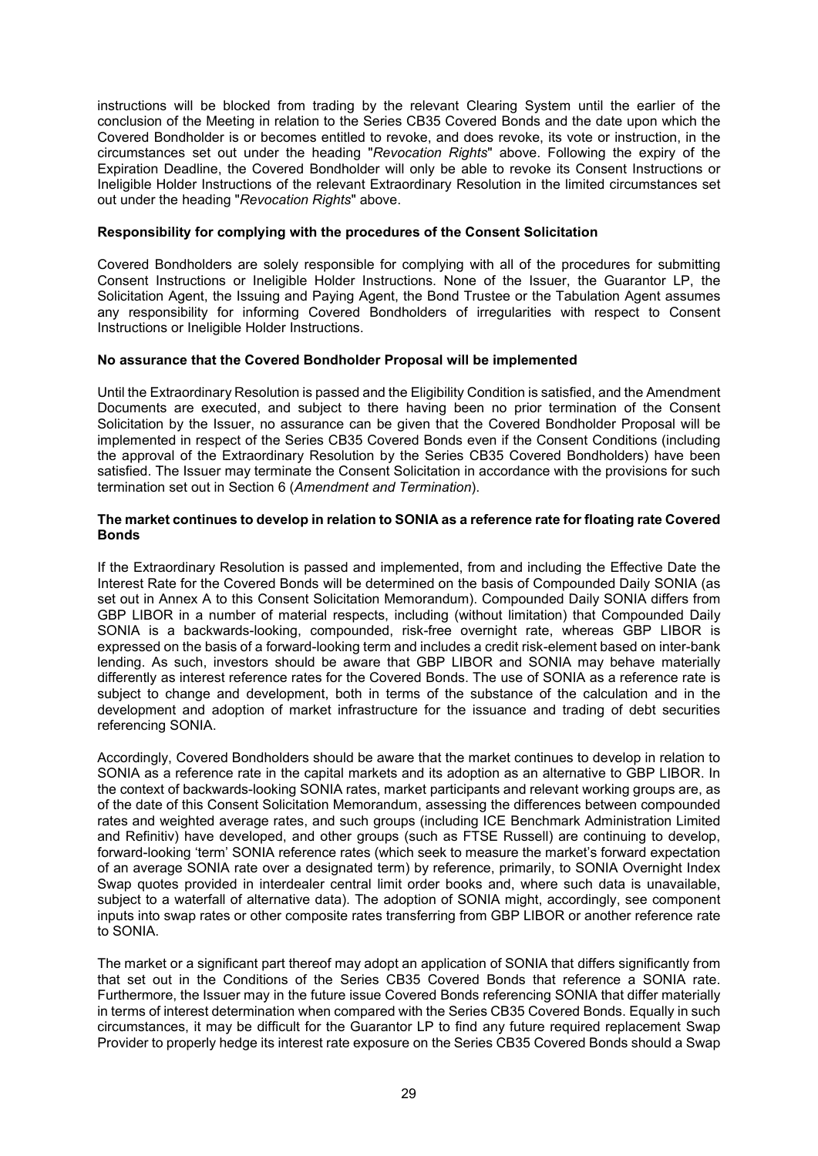instructions will be blocked from trading by the relevant Clearing System until the earlier of the conclusion of the Meeting in relation to the Series CB35 Covered Bonds and the date upon which the Covered Bondholder is or becomes entitled to revoke, and does revoke, its vote or instruction, in the circumstances set out under the heading "*Revocation Rights*" above. Following the expiry of the Expiration Deadline, the Covered Bondholder will only be able to revoke its Consent Instructions or Ineligible Holder Instructions of the relevant Extraordinary Resolution in the limited circumstances set out under the heading "*Revocation Rights*" above.

### **Responsibility for complying with the procedures of the Consent Solicitation**

Covered Bondholders are solely responsible for complying with all of the procedures for submitting Consent Instructions or Ineligible Holder Instructions. None of the Issuer, the Guarantor LP, the Solicitation Agent, the Issuing and Paying Agent, the Bond Trustee or the Tabulation Agent assumes any responsibility for informing Covered Bondholders of irregularities with respect to Consent Instructions or Ineligible Holder Instructions.

# **No assurance that the Covered Bondholder Proposal will be implemented**

Until the Extraordinary Resolution is passed and the Eligibility Condition is satisfied, and the Amendment Documents are executed, and subject to there having been no prior termination of the Consent Solicitation by the Issuer, no assurance can be given that the Covered Bondholder Proposal will be implemented in respect of the Series CB35 Covered Bonds even if the Consent Conditions (including the approval of the Extraordinary Resolution by the Series CB35 Covered Bondholders) have been satisfied. The Issuer may terminate the Consent Solicitation in accordance with the provisions for such termination set out in Section 6 (*Amendment and Termination*).

#### **The market continues to develop in relation to SONIA as a reference rate for floating rate Covered Bonds**

If the Extraordinary Resolution is passed and implemented, from and including the Effective Date the Interest Rate for the Covered Bonds will be determined on the basis of Compounded Daily SONIA (as set out in Annex A to this Consent Solicitation Memorandum). Compounded Daily SONIA differs from GBP LIBOR in a number of material respects, including (without limitation) that Compounded Daily SONIA is a backwards-looking, compounded, risk-free overnight rate, whereas GBP LIBOR is expressed on the basis of a forward-looking term and includes a credit risk-element based on inter-bank lending. As such, investors should be aware that GBP LIBOR and SONIA may behave materially differently as interest reference rates for the Covered Bonds. The use of SONIA as a reference rate is subject to change and development, both in terms of the substance of the calculation and in the development and adoption of market infrastructure for the issuance and trading of debt securities referencing SONIA.

Accordingly, Covered Bondholders should be aware that the market continues to develop in relation to SONIA as a reference rate in the capital markets and its adoption as an alternative to GBP LIBOR. In the context of backwards-looking SONIA rates, market participants and relevant working groups are, as of the date of this Consent Solicitation Memorandum, assessing the differences between compounded rates and weighted average rates, and such groups (including ICE Benchmark Administration Limited and Refinitiv) have developed, and other groups (such as FTSE Russell) are continuing to develop, forward-looking 'term' SONIA reference rates (which seek to measure the market's forward expectation of an average SONIA rate over a designated term) by reference, primarily, to SONIA Overnight Index Swap quotes provided in interdealer central limit order books and, where such data is unavailable, subject to a waterfall of alternative data). The adoption of SONIA might, accordingly, see component inputs into swap rates or other composite rates transferring from GBP LIBOR or another reference rate to SONIA.

The market or a significant part thereof may adopt an application of SONIA that differs significantly from that set out in the Conditions of the Series CB35 Covered Bonds that reference a SONIA rate. Furthermore, the Issuer may in the future issue Covered Bonds referencing SONIA that differ materially in terms of interest determination when compared with the Series CB35 Covered Bonds. Equally in such circumstances, it may be difficult for the Guarantor LP to find any future required replacement Swap Provider to properly hedge its interest rate exposure on the Series CB35 Covered Bonds should a Swap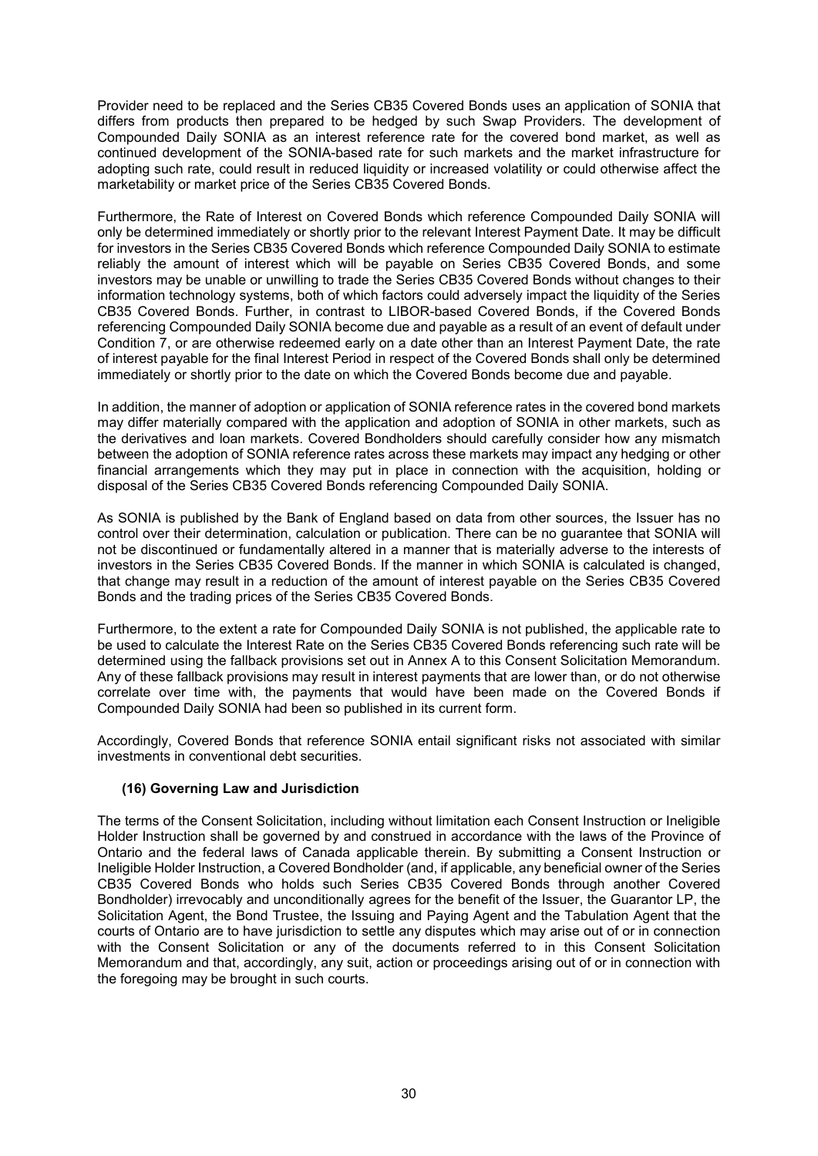Provider need to be replaced and the Series CB35 Covered Bonds uses an application of SONIA that differs from products then prepared to be hedged by such Swap Providers. The development of Compounded Daily SONIA as an interest reference rate for the covered bond market, as well as continued development of the SONIA-based rate for such markets and the market infrastructure for adopting such rate, could result in reduced liquidity or increased volatility or could otherwise affect the marketability or market price of the Series CB35 Covered Bonds.

Furthermore, the Rate of Interest on Covered Bonds which reference Compounded Daily SONIA will only be determined immediately or shortly prior to the relevant Interest Payment Date. It may be difficult for investors in the Series CB35 Covered Bonds which reference Compounded Daily SONIA to estimate reliably the amount of interest which will be payable on Series CB35 Covered Bonds, and some investors may be unable or unwilling to trade the Series CB35 Covered Bonds without changes to their information technology systems, both of which factors could adversely impact the liquidity of the Series CB35 Covered Bonds. Further, in contrast to LIBOR-based Covered Bonds, if the Covered Bonds referencing Compounded Daily SONIA become due and payable as a result of an event of default under Condition 7, or are otherwise redeemed early on a date other than an Interest Payment Date, the rate of interest payable for the final Interest Period in respect of the Covered Bonds shall only be determined immediately or shortly prior to the date on which the Covered Bonds become due and payable.

In addition, the manner of adoption or application of SONIA reference rates in the covered bond markets may differ materially compared with the application and adoption of SONIA in other markets, such as the derivatives and loan markets. Covered Bondholders should carefully consider how any mismatch between the adoption of SONIA reference rates across these markets may impact any hedging or other financial arrangements which they may put in place in connection with the acquisition, holding or disposal of the Series CB35 Covered Bonds referencing Compounded Daily SONIA.

As SONIA is published by the Bank of England based on data from other sources, the Issuer has no control over their determination, calculation or publication. There can be no guarantee that SONIA will not be discontinued or fundamentally altered in a manner that is materially adverse to the interests of investors in the Series CB35 Covered Bonds. If the manner in which SONIA is calculated is changed, that change may result in a reduction of the amount of interest payable on the Series CB35 Covered Bonds and the trading prices of the Series CB35 Covered Bonds.

Furthermore, to the extent a rate for Compounded Daily SONIA is not published, the applicable rate to be used to calculate the Interest Rate on the Series CB35 Covered Bonds referencing such rate will be determined using the fallback provisions set out in Annex A to this Consent Solicitation Memorandum. Any of these fallback provisions may result in interest payments that are lower than, or do not otherwise correlate over time with, the payments that would have been made on the Covered Bonds if Compounded Daily SONIA had been so published in its current form.

Accordingly, Covered Bonds that reference SONIA entail significant risks not associated with similar investments in conventional debt securities.

# **(16) Governing Law and Jurisdiction**

The terms of the Consent Solicitation, including without limitation each Consent Instruction or Ineligible Holder Instruction shall be governed by and construed in accordance with the laws of the Province of Ontario and the federal laws of Canada applicable therein. By submitting a Consent Instruction or Ineligible Holder Instruction, a Covered Bondholder (and, if applicable, any beneficial owner of the Series CB35 Covered Bonds who holds such Series CB35 Covered Bonds through another Covered Bondholder) irrevocably and unconditionally agrees for the benefit of the Issuer, the Guarantor LP, the Solicitation Agent, the Bond Trustee, the Issuing and Paying Agent and the Tabulation Agent that the courts of Ontario are to have jurisdiction to settle any disputes which may arise out of or in connection with the Consent Solicitation or any of the documents referred to in this Consent Solicitation Memorandum and that, accordingly, any suit, action or proceedings arising out of or in connection with the foregoing may be brought in such courts.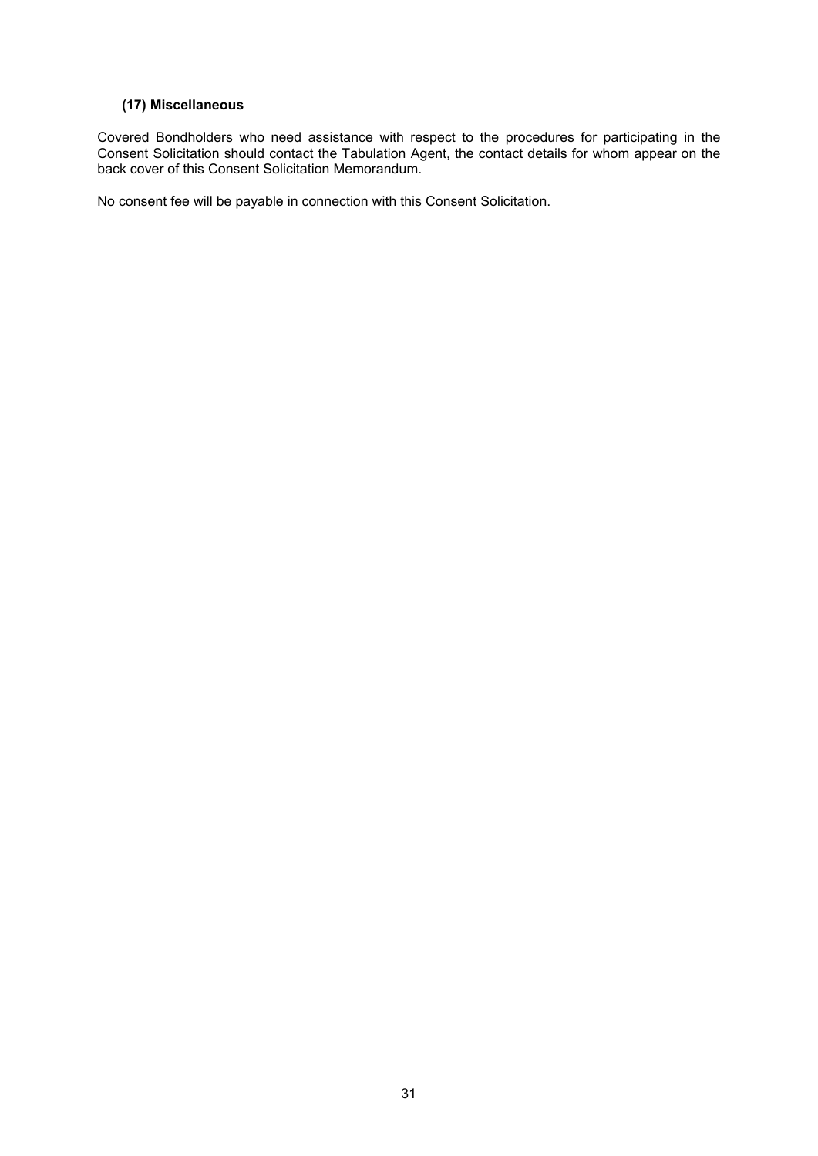# **(17) Miscellaneous**

Covered Bondholders who need assistance with respect to the procedures for participating in the Consent Solicitation should contact the Tabulation Agent, the contact details for whom appear on the back cover of this Consent Solicitation Memorandum.

No consent fee will be payable in connection with this Consent Solicitation.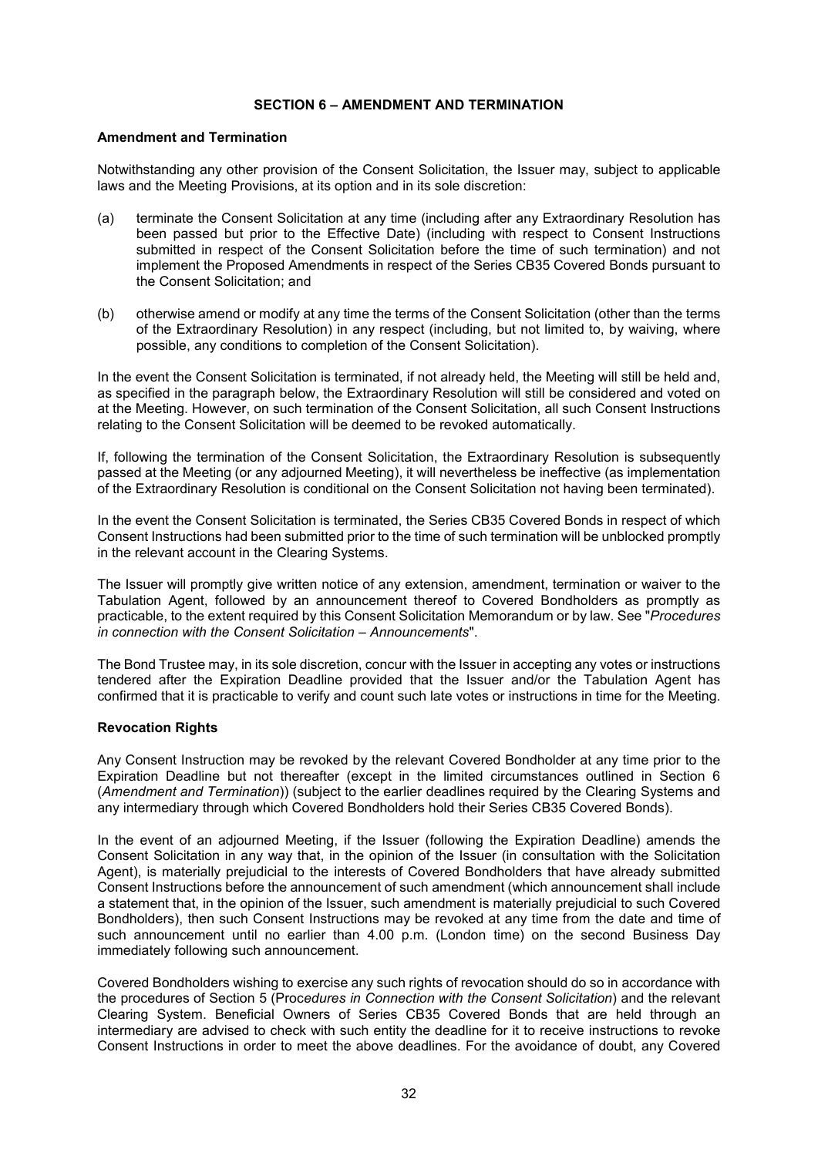#### **SECTION 6 – AMENDMENT AND TERMINATION**

# **Amendment and Termination**

Notwithstanding any other provision of the Consent Solicitation, the Issuer may, subject to applicable laws and the Meeting Provisions, at its option and in its sole discretion:

- (a) terminate the Consent Solicitation at any time (including after any Extraordinary Resolution has been passed but prior to the Effective Date) (including with respect to Consent Instructions submitted in respect of the Consent Solicitation before the time of such termination) and not implement the Proposed Amendments in respect of the Series CB35 Covered Bonds pursuant to the Consent Solicitation; and
- (b) otherwise amend or modify at any time the terms of the Consent Solicitation (other than the terms of the Extraordinary Resolution) in any respect (including, but not limited to, by waiving, where possible, any conditions to completion of the Consent Solicitation).

In the event the Consent Solicitation is terminated, if not already held, the Meeting will still be held and, as specified in the paragraph below, the Extraordinary Resolution will still be considered and voted on at the Meeting. However, on such termination of the Consent Solicitation, all such Consent Instructions relating to the Consent Solicitation will be deemed to be revoked automatically.

If, following the termination of the Consent Solicitation, the Extraordinary Resolution is subsequently passed at the Meeting (or any adjourned Meeting), it will nevertheless be ineffective (as implementation of the Extraordinary Resolution is conditional on the Consent Solicitation not having been terminated).

In the event the Consent Solicitation is terminated, the Series CB35 Covered Bonds in respect of which Consent Instructions had been submitted prior to the time of such termination will be unblocked promptly in the relevant account in the Clearing Systems.

The Issuer will promptly give written notice of any extension, amendment, termination or waiver to the Tabulation Agent, followed by an announcement thereof to Covered Bondholders as promptly as practicable, to the extent required by this Consent Solicitation Memorandum or by law. See "*Procedures in connection with the Consent Solicitation – Announcements*".

The Bond Trustee may, in its sole discretion, concur with the Issuer in accepting any votes or instructions tendered after the Expiration Deadline provided that the Issuer and/or the Tabulation Agent has confirmed that it is practicable to verify and count such late votes or instructions in time for the Meeting.

# **Revocation Rights**

Any Consent Instruction may be revoked by the relevant Covered Bondholder at any time prior to the Expiration Deadline but not thereafter (except in the limited circumstances outlined in Section 6 (*Amendment and Termination*)) (subject to the earlier deadlines required by the Clearing Systems and any intermediary through which Covered Bondholders hold their Series CB35 Covered Bonds).

In the event of an adjourned Meeting, if the Issuer (following the Expiration Deadline) amends the Consent Solicitation in any way that, in the opinion of the Issuer (in consultation with the Solicitation Agent), is materially prejudicial to the interests of Covered Bondholders that have already submitted Consent Instructions before the announcement of such amendment (which announcement shall include a statement that, in the opinion of the Issuer, such amendment is materially prejudicial to such Covered Bondholders), then such Consent Instructions may be revoked at any time from the date and time of such announcement until no earlier than 4.00 p.m. (London time) on the second Business Day immediately following such announcement.

Covered Bondholders wishing to exercise any such rights of revocation should do so in accordance with the procedures of Section 5 (Proc*edures in Connection with the Consent Solicitation*) and the relevant Clearing System. Beneficial Owners of Series CB35 Covered Bonds that are held through an intermediary are advised to check with such entity the deadline for it to receive instructions to revoke Consent Instructions in order to meet the above deadlines. For the avoidance of doubt, any Covered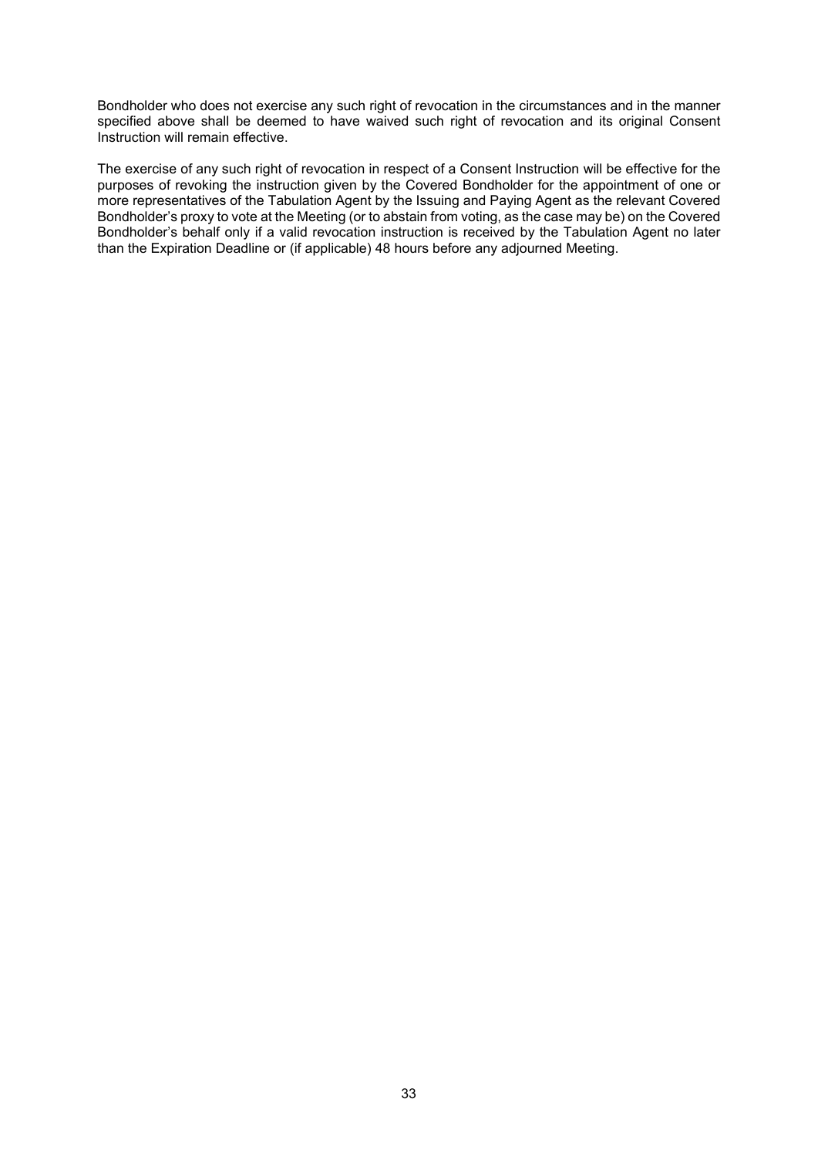Bondholder who does not exercise any such right of revocation in the circumstances and in the manner specified above shall be deemed to have waived such right of revocation and its original Consent Instruction will remain effective.

The exercise of any such right of revocation in respect of a Consent Instruction will be effective for the purposes of revoking the instruction given by the Covered Bondholder for the appointment of one or more representatives of the Tabulation Agent by the Issuing and Paying Agent as the relevant Covered Bondholder's proxy to vote at the Meeting (or to abstain from voting, as the case may be) on the Covered Bondholder's behalf only if a valid revocation instruction is received by the Tabulation Agent no later than the Expiration Deadline or (if applicable) 48 hours before any adjourned Meeting.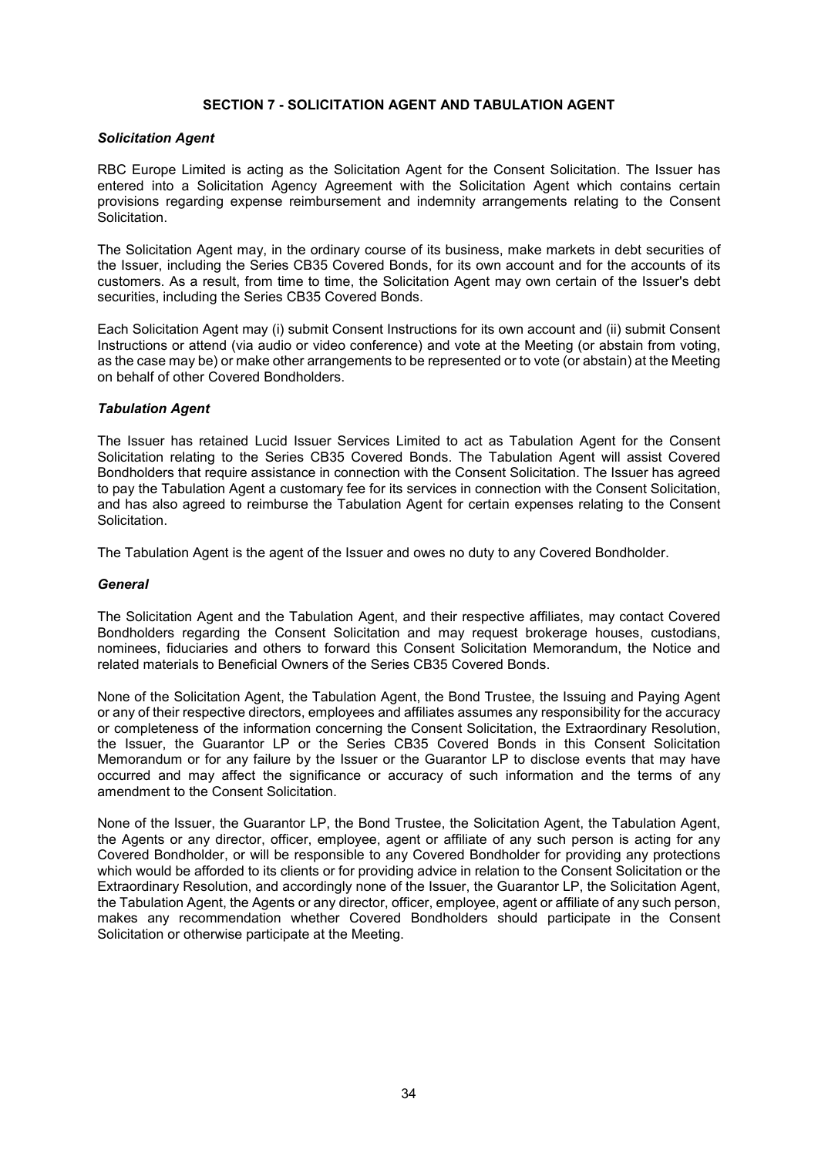### **SECTION 7 - SOLICITATION AGENT AND TABULATION AGENT**

### *Solicitation Agent*

RBC Europe Limited is acting as the Solicitation Agent for the Consent Solicitation. The Issuer has entered into a Solicitation Agency Agreement with the Solicitation Agent which contains certain provisions regarding expense reimbursement and indemnity arrangements relating to the Consent Solicitation.

The Solicitation Agent may, in the ordinary course of its business, make markets in debt securities of the Issuer, including the Series CB35 Covered Bonds, for its own account and for the accounts of its customers. As a result, from time to time, the Solicitation Agent may own certain of the Issuer's debt securities, including the Series CB35 Covered Bonds.

Each Solicitation Agent may (i) submit Consent Instructions for its own account and (ii) submit Consent Instructions or attend (via audio or video conference) and vote at the Meeting (or abstain from voting, as the case may be) or make other arrangements to be represented or to vote (or abstain) at the Meeting on behalf of other Covered Bondholders.

### *Tabulation Agent*

The Issuer has retained Lucid Issuer Services Limited to act as Tabulation Agent for the Consent Solicitation relating to the Series CB35 Covered Bonds. The Tabulation Agent will assist Covered Bondholders that require assistance in connection with the Consent Solicitation. The Issuer has agreed to pay the Tabulation Agent a customary fee for its services in connection with the Consent Solicitation, and has also agreed to reimburse the Tabulation Agent for certain expenses relating to the Consent Solicitation.

The Tabulation Agent is the agent of the Issuer and owes no duty to any Covered Bondholder.

#### *General*

The Solicitation Agent and the Tabulation Agent, and their respective affiliates, may contact Covered Bondholders regarding the Consent Solicitation and may request brokerage houses, custodians, nominees, fiduciaries and others to forward this Consent Solicitation Memorandum, the Notice and related materials to Beneficial Owners of the Series CB35 Covered Bonds.

None of the Solicitation Agent, the Tabulation Agent, the Bond Trustee, the Issuing and Paying Agent or any of their respective directors, employees and affiliates assumes any responsibility for the accuracy or completeness of the information concerning the Consent Solicitation, the Extraordinary Resolution, the Issuer, the Guarantor LP or the Series CB35 Covered Bonds in this Consent Solicitation Memorandum or for any failure by the Issuer or the Guarantor LP to disclose events that may have occurred and may affect the significance or accuracy of such information and the terms of any amendment to the Consent Solicitation.

None of the Issuer, the Guarantor LP, the Bond Trustee, the Solicitation Agent, the Tabulation Agent, the Agents or any director, officer, employee, agent or affiliate of any such person is acting for any Covered Bondholder, or will be responsible to any Covered Bondholder for providing any protections which would be afforded to its clients or for providing advice in relation to the Consent Solicitation or the Extraordinary Resolution, and accordingly none of the Issuer, the Guarantor LP, the Solicitation Agent, the Tabulation Agent, the Agents or any director, officer, employee, agent or affiliate of any such person, makes any recommendation whether Covered Bondholders should participate in the Consent Solicitation or otherwise participate at the Meeting.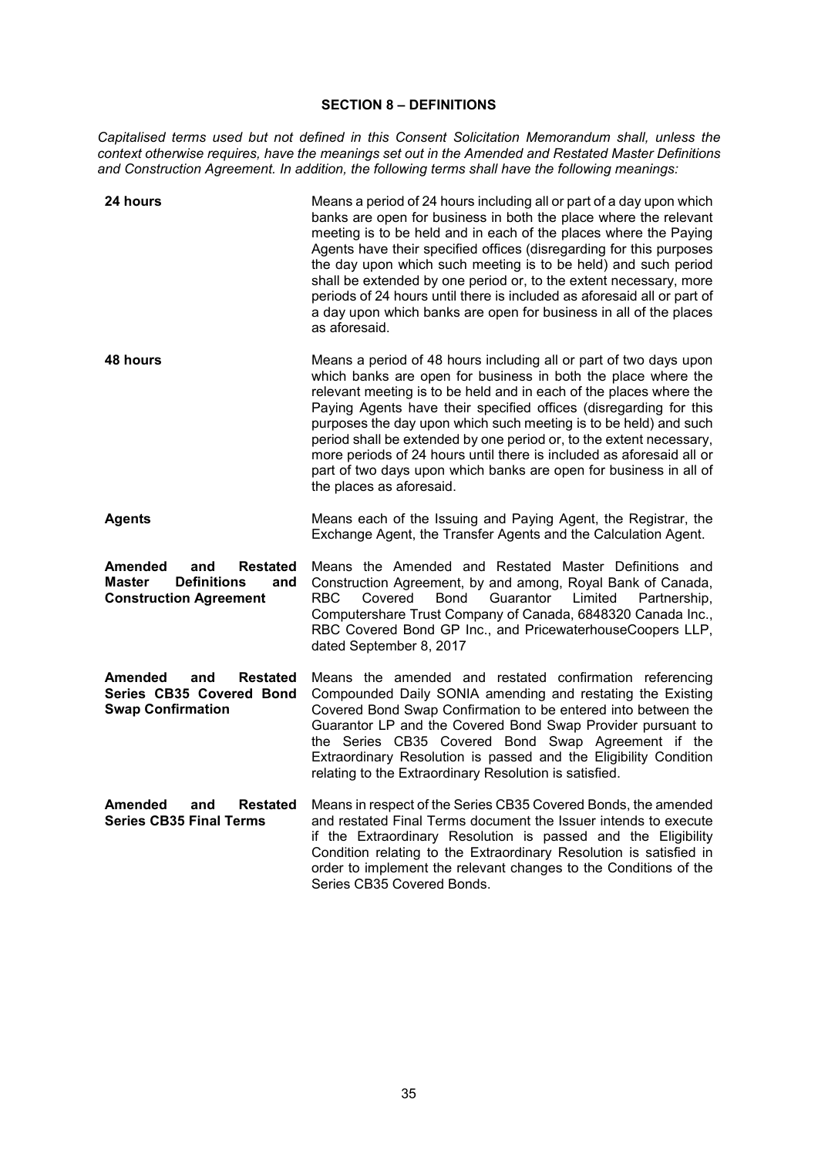### **SECTION 8 – DEFINITIONS**

*Capitalised terms used but not defined in this Consent Solicitation Memorandum shall, unless the context otherwise requires, have the meanings set out in the Amended and Restated Master Definitions and Construction Agreement. In addition, the following terms shall have the following meanings:*

| <b>24 hours</b>                                                                                           | Means a period of 24 hours including all or part of a day upon which<br>banks are open for business in both the place where the relevant<br>meeting is to be held and in each of the places where the Paying<br>Agents have their specified offices (disregarding for this purposes<br>the day upon which such meeting is to be held) and such period<br>shall be extended by one period or, to the extent necessary, more<br>periods of 24 hours until there is included as aforesaid all or part of<br>a day upon which banks are open for business in all of the places<br>as aforesaid.       |  |
|-----------------------------------------------------------------------------------------------------------|---------------------------------------------------------------------------------------------------------------------------------------------------------------------------------------------------------------------------------------------------------------------------------------------------------------------------------------------------------------------------------------------------------------------------------------------------------------------------------------------------------------------------------------------------------------------------------------------------|--|
| 48 hours                                                                                                  | Means a period of 48 hours including all or part of two days upon<br>which banks are open for business in both the place where the<br>relevant meeting is to be held and in each of the places where the<br>Paying Agents have their specified offices (disregarding for this<br>purposes the day upon which such meeting is to be held) and such<br>period shall be extended by one period or, to the extent necessary,<br>more periods of 24 hours until there is included as aforesaid all or<br>part of two days upon which banks are open for business in all of<br>the places as aforesaid. |  |
| <b>Agents</b>                                                                                             | Means each of the Issuing and Paying Agent, the Registrar, the<br>Exchange Agent, the Transfer Agents and the Calculation Agent.                                                                                                                                                                                                                                                                                                                                                                                                                                                                  |  |
| Amended<br><b>Restated</b><br>and<br><b>Definitions</b><br>Master<br>and<br><b>Construction Agreement</b> | Means the Amended and Restated Master Definitions and<br>Construction Agreement, by and among, Royal Bank of Canada,<br>Bond<br>Guarantor<br>RBC.<br>Covered<br>Limited<br>Partnership,<br>Computershare Trust Company of Canada, 6848320 Canada Inc.,<br>RBC Covered Bond GP Inc., and PricewaterhouseCoopers LLP,<br>dated September 8, 2017                                                                                                                                                                                                                                                    |  |
| Amended<br>and<br><b>Restated</b><br>Series CB35 Covered Bond<br><b>Swap Confirmation</b>                 | Means the amended and restated confirmation referencing<br>Compounded Daily SONIA amending and restating the Existing<br>Covered Bond Swap Confirmation to be entered into between the<br>Guarantor LP and the Covered Bond Swap Provider pursuant to<br>the Series CB35 Covered Bond Swap Agreement if the<br>Extraordinary Resolution is passed and the Eligibility Condition<br>relating to the Extraordinary Resolution is satisfied.                                                                                                                                                         |  |
| Amended<br>and<br><b>Restated</b><br><b>Series CB35 Final Terms</b>                                       | Means in respect of the Series CB35 Covered Bonds, the amended<br>and restated Final Terms document the Issuer intends to execute<br>if the Extraordinary Resolution is passed and the Eligibility<br>Condition relating to the Extraordinary Resolution is satisfied in<br>order to implement the relevant changes to the Conditions of the<br>Series CB35 Covered Bonds.                                                                                                                                                                                                                        |  |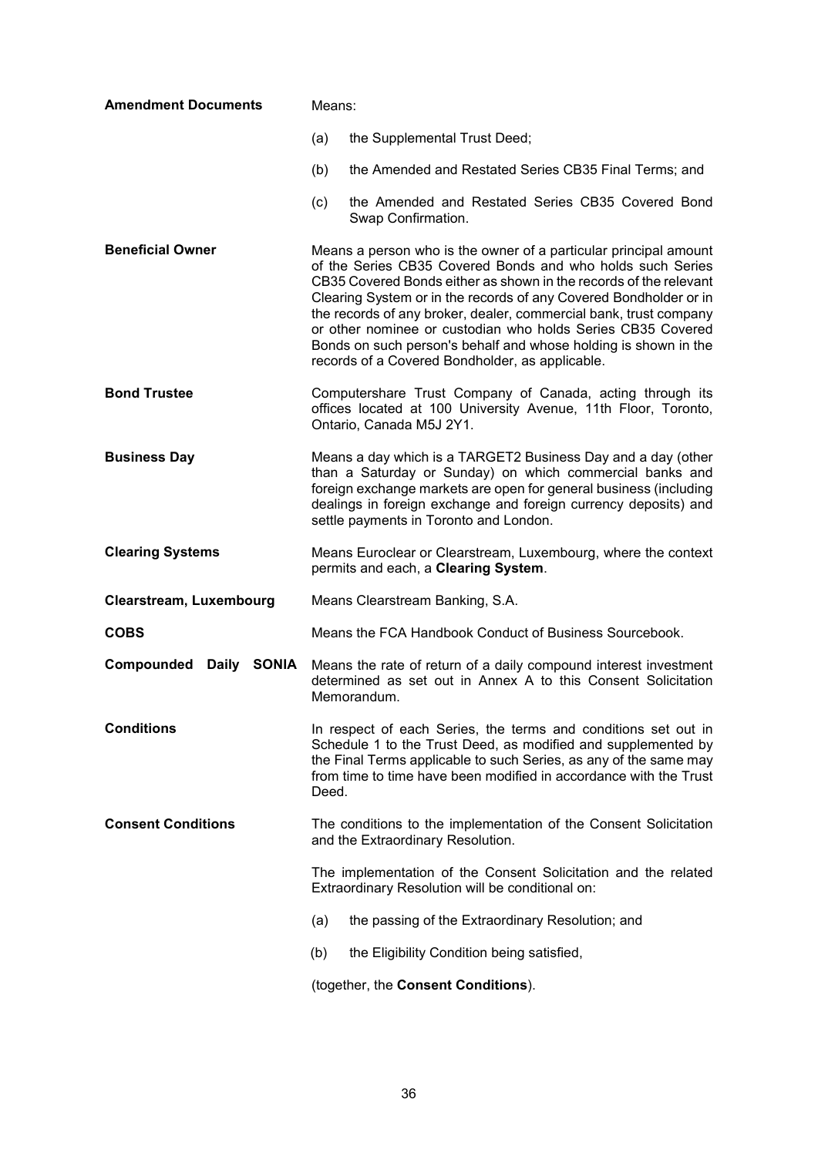| <b>Amendment Documents</b>     | Means:                                                                                                                                                                                                                                                                                                                                                                                                                                                                                                                             |  |
|--------------------------------|------------------------------------------------------------------------------------------------------------------------------------------------------------------------------------------------------------------------------------------------------------------------------------------------------------------------------------------------------------------------------------------------------------------------------------------------------------------------------------------------------------------------------------|--|
|                                | (a)<br>the Supplemental Trust Deed;                                                                                                                                                                                                                                                                                                                                                                                                                                                                                                |  |
|                                | the Amended and Restated Series CB35 Final Terms; and<br>(b)                                                                                                                                                                                                                                                                                                                                                                                                                                                                       |  |
|                                | the Amended and Restated Series CB35 Covered Bond<br>(c)<br>Swap Confirmation.                                                                                                                                                                                                                                                                                                                                                                                                                                                     |  |
| <b>Beneficial Owner</b>        | Means a person who is the owner of a particular principal amount<br>of the Series CB35 Covered Bonds and who holds such Series<br>CB35 Covered Bonds either as shown in the records of the relevant<br>Clearing System or in the records of any Covered Bondholder or in<br>the records of any broker, dealer, commercial bank, trust company<br>or other nominee or custodian who holds Series CB35 Covered<br>Bonds on such person's behalf and whose holding is shown in the<br>records of a Covered Bondholder, as applicable. |  |
| <b>Bond Trustee</b>            | Computershare Trust Company of Canada, acting through its<br>offices located at 100 University Avenue, 11th Floor, Toronto,<br>Ontario, Canada M5J 2Y1.                                                                                                                                                                                                                                                                                                                                                                            |  |
| <b>Business Day</b>            | Means a day which is a TARGET2 Business Day and a day (other<br>than a Saturday or Sunday) on which commercial banks and<br>foreign exchange markets are open for general business (including<br>dealings in foreign exchange and foreign currency deposits) and<br>settle payments in Toronto and London.                                                                                                                                                                                                                         |  |
| <b>Clearing Systems</b>        | Means Euroclear or Clearstream, Luxembourg, where the context<br>permits and each, a Clearing System.                                                                                                                                                                                                                                                                                                                                                                                                                              |  |
| <b>Clearstream, Luxembourg</b> | Means Clearstream Banking, S.A.                                                                                                                                                                                                                                                                                                                                                                                                                                                                                                    |  |
| <b>COBS</b>                    | Means the FCA Handbook Conduct of Business Sourcebook.                                                                                                                                                                                                                                                                                                                                                                                                                                                                             |  |
| Compounded<br>Daily SONIA      | Means the rate of return of a daily compound interest investment<br>determined as set out in Annex A to this Consent Solicitation<br>Memorandum.                                                                                                                                                                                                                                                                                                                                                                                   |  |
| <b>Conditions</b>              | In respect of each Series, the terms and conditions set out in<br>Schedule 1 to the Trust Deed, as modified and supplemented by<br>the Final Terms applicable to such Series, as any of the same may<br>from time to time have been modified in accordance with the Trust<br>Deed.                                                                                                                                                                                                                                                 |  |
| <b>Consent Conditions</b>      | The conditions to the implementation of the Consent Solicitation<br>and the Extraordinary Resolution.                                                                                                                                                                                                                                                                                                                                                                                                                              |  |
|                                | The implementation of the Consent Solicitation and the related<br>Extraordinary Resolution will be conditional on:                                                                                                                                                                                                                                                                                                                                                                                                                 |  |
|                                | (a)<br>the passing of the Extraordinary Resolution; and                                                                                                                                                                                                                                                                                                                                                                                                                                                                            |  |
|                                | the Eligibility Condition being satisfied,<br>(b)                                                                                                                                                                                                                                                                                                                                                                                                                                                                                  |  |
|                                | (together, the Consent Conditions).                                                                                                                                                                                                                                                                                                                                                                                                                                                                                                |  |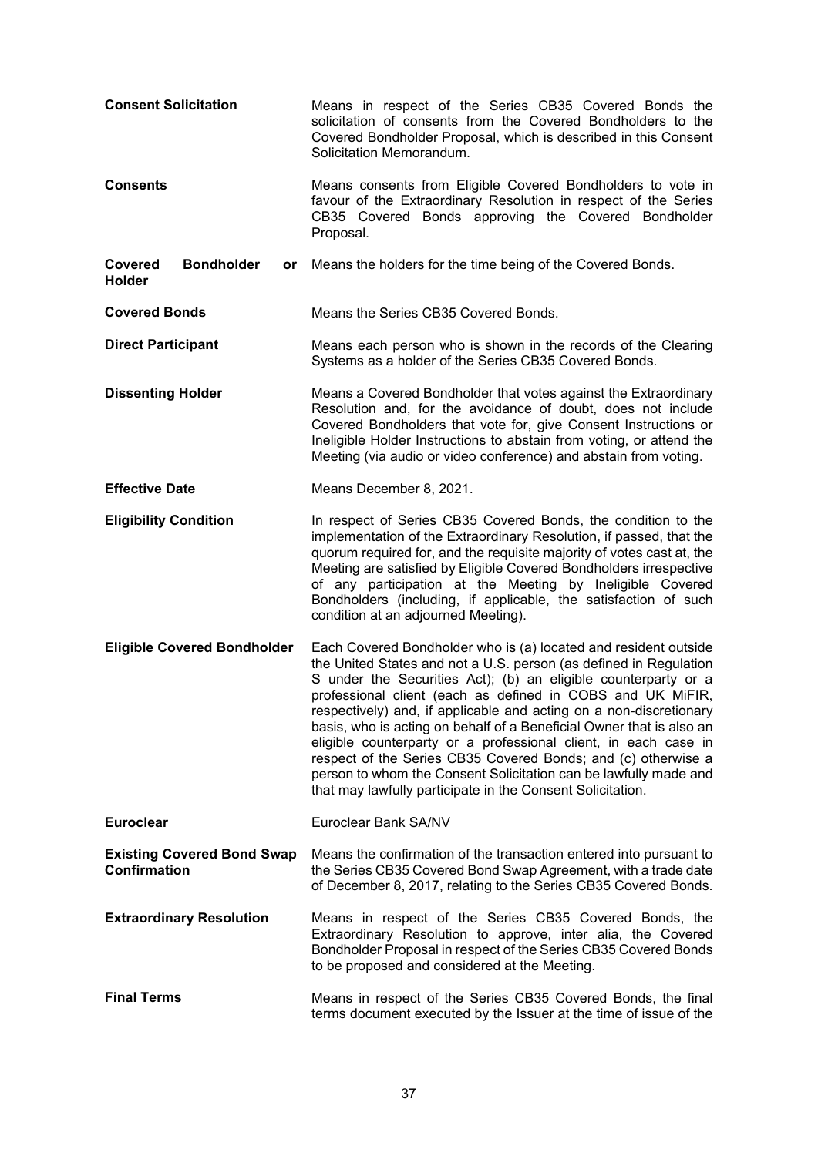| <b>Consent Solicitation</b>                              | Means in respect of the Series CB35 Covered Bonds the<br>solicitation of consents from the Covered Bondholders to the<br>Covered Bondholder Proposal, which is described in this Consent<br>Solicitation Memorandum.                                                                                                                                                                                                                                                                                                                                                                                                                                                                     |
|----------------------------------------------------------|------------------------------------------------------------------------------------------------------------------------------------------------------------------------------------------------------------------------------------------------------------------------------------------------------------------------------------------------------------------------------------------------------------------------------------------------------------------------------------------------------------------------------------------------------------------------------------------------------------------------------------------------------------------------------------------|
| <b>Consents</b>                                          | Means consents from Eligible Covered Bondholders to vote in<br>favour of the Extraordinary Resolution in respect of the Series<br>CB35 Covered Bonds approving the Covered Bondholder<br>Proposal.                                                                                                                                                                                                                                                                                                                                                                                                                                                                                       |
| Covered<br><b>Bondholder</b><br>or<br><b>Holder</b>      | Means the holders for the time being of the Covered Bonds.                                                                                                                                                                                                                                                                                                                                                                                                                                                                                                                                                                                                                               |
| <b>Covered Bonds</b>                                     | Means the Series CB35 Covered Bonds.                                                                                                                                                                                                                                                                                                                                                                                                                                                                                                                                                                                                                                                     |
| <b>Direct Participant</b>                                | Means each person who is shown in the records of the Clearing<br>Systems as a holder of the Series CB35 Covered Bonds.                                                                                                                                                                                                                                                                                                                                                                                                                                                                                                                                                                   |
| <b>Dissenting Holder</b>                                 | Means a Covered Bondholder that votes against the Extraordinary<br>Resolution and, for the avoidance of doubt, does not include<br>Covered Bondholders that vote for, give Consent Instructions or<br>Ineligible Holder Instructions to abstain from voting, or attend the<br>Meeting (via audio or video conference) and abstain from voting.                                                                                                                                                                                                                                                                                                                                           |
| <b>Effective Date</b>                                    | Means December 8, 2021.                                                                                                                                                                                                                                                                                                                                                                                                                                                                                                                                                                                                                                                                  |
| <b>Eligibility Condition</b>                             | In respect of Series CB35 Covered Bonds, the condition to the<br>implementation of the Extraordinary Resolution, if passed, that the<br>quorum required for, and the requisite majority of votes cast at, the<br>Meeting are satisfied by Eligible Covered Bondholders irrespective<br>of any participation at the Meeting by Ineligible Covered<br>Bondholders (including, if applicable, the satisfaction of such<br>condition at an adjourned Meeting).                                                                                                                                                                                                                               |
| <b>Eligible Covered Bondholder</b>                       | Each Covered Bondholder who is (a) located and resident outside<br>the United States and not a U.S. person (as defined in Regulation<br>S under the Securities Act); (b) an eligible counterparty or a<br>professional client (each as defined in COBS and UK MiFIR,<br>respectively) and, if applicable and acting on a non-discretionary<br>basis, who is acting on behalf of a Beneficial Owner that is also an<br>eligible counterparty or a professional client, in each case in<br>respect of the Series CB35 Covered Bonds; and (c) otherwise a<br>person to whom the Consent Solicitation can be lawfully made and<br>that may lawfully participate in the Consent Solicitation. |
| <b>Euroclear</b>                                         | Euroclear Bank SA/NV                                                                                                                                                                                                                                                                                                                                                                                                                                                                                                                                                                                                                                                                     |
| <b>Existing Covered Bond Swap</b><br><b>Confirmation</b> | Means the confirmation of the transaction entered into pursuant to<br>the Series CB35 Covered Bond Swap Agreement, with a trade date<br>of December 8, 2017, relating to the Series CB35 Covered Bonds.                                                                                                                                                                                                                                                                                                                                                                                                                                                                                  |
| <b>Extraordinary Resolution</b>                          | Means in respect of the Series CB35 Covered Bonds, the<br>Extraordinary Resolution to approve, inter alia, the Covered<br>Bondholder Proposal in respect of the Series CB35 Covered Bonds<br>to be proposed and considered at the Meeting.                                                                                                                                                                                                                                                                                                                                                                                                                                               |
| <b>Final Terms</b>                                       | Means in respect of the Series CB35 Covered Bonds, the final<br>terms document executed by the Issuer at the time of issue of the                                                                                                                                                                                                                                                                                                                                                                                                                                                                                                                                                        |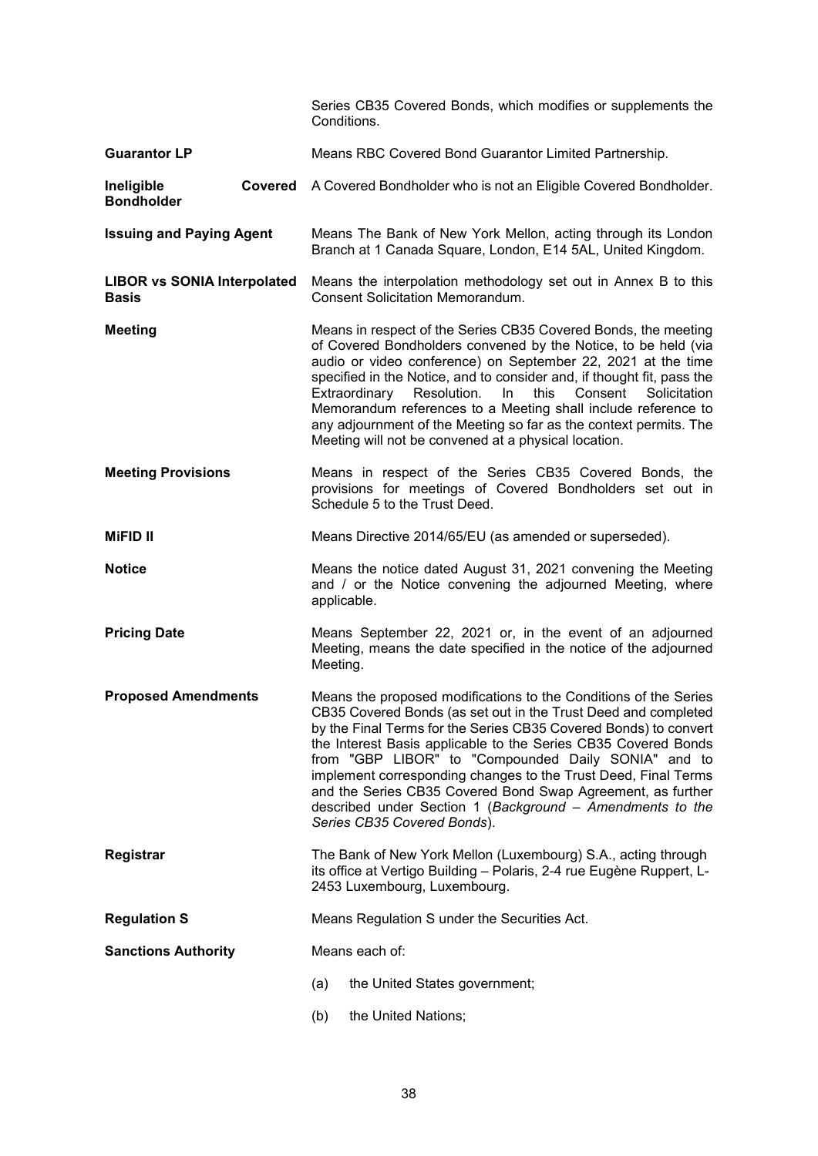|                                                    |                                                                                                                                                                       | Series CB35 Covered Bonds, which modifies or supplements the<br>Conditions.                                                                                                                                                                                                                                                                                                                                                                                                                                                                                  |  |
|----------------------------------------------------|-----------------------------------------------------------------------------------------------------------------------------------------------------------------------|--------------------------------------------------------------------------------------------------------------------------------------------------------------------------------------------------------------------------------------------------------------------------------------------------------------------------------------------------------------------------------------------------------------------------------------------------------------------------------------------------------------------------------------------------------------|--|
| <b>Guarantor LP</b>                                |                                                                                                                                                                       | Means RBC Covered Bond Guarantor Limited Partnership.                                                                                                                                                                                                                                                                                                                                                                                                                                                                                                        |  |
| Ineligible<br><b>Bondholder</b>                    |                                                                                                                                                                       | Covered A Covered Bondholder who is not an Eligible Covered Bondholder.                                                                                                                                                                                                                                                                                                                                                                                                                                                                                      |  |
| <b>Issuing and Paying Agent</b>                    |                                                                                                                                                                       | Means The Bank of New York Mellon, acting through its London<br>Branch at 1 Canada Square, London, E14 5AL, United Kingdom.                                                                                                                                                                                                                                                                                                                                                                                                                                  |  |
| <b>LIBOR vs SONIA Interpolated</b><br><b>Basis</b> |                                                                                                                                                                       | Means the interpolation methodology set out in Annex B to this<br><b>Consent Solicitation Memorandum.</b>                                                                                                                                                                                                                                                                                                                                                                                                                                                    |  |
| <b>Meeting</b>                                     |                                                                                                                                                                       | Means in respect of the Series CB35 Covered Bonds, the meeting<br>of Covered Bondholders convened by the Notice, to be held (via<br>audio or video conference) on September 22, 2021 at the time<br>specified in the Notice, and to consider and, if thought fit, pass the<br>Resolution.<br>this<br>Solicitation<br>Extraordinary<br>In.<br>Consent<br>Memorandum references to a Meeting shall include reference to<br>any adjournment of the Meeting so far as the context permits. The<br>Meeting will not be convened at a physical location.           |  |
| <b>Meeting Provisions</b>                          |                                                                                                                                                                       | Means in respect of the Series CB35 Covered Bonds, the<br>provisions for meetings of Covered Bondholders set out in<br>Schedule 5 to the Trust Deed.                                                                                                                                                                                                                                                                                                                                                                                                         |  |
| <b>MiFID II</b>                                    |                                                                                                                                                                       | Means Directive 2014/65/EU (as amended or superseded).                                                                                                                                                                                                                                                                                                                                                                                                                                                                                                       |  |
| <b>Notice</b>                                      |                                                                                                                                                                       | Means the notice dated August 31, 2021 convening the Meeting<br>and / or the Notice convening the adjourned Meeting, where<br>applicable.                                                                                                                                                                                                                                                                                                                                                                                                                    |  |
| <b>Pricing Date</b>                                |                                                                                                                                                                       | Means September 22, 2021 or, in the event of an adjourned<br>Meeting, means the date specified in the notice of the adjourned<br>Meeting.                                                                                                                                                                                                                                                                                                                                                                                                                    |  |
| <b>Proposed Amendments</b>                         |                                                                                                                                                                       | Means the proposed modifications to the Conditions of the Series<br>CB35 Covered Bonds (as set out in the Trust Deed and completed<br>by the Final Terms for the Series CB35 Covered Bonds) to convert<br>the Interest Basis applicable to the Series CB35 Covered Bonds<br>from "GBP LIBOR" to "Compounded Daily SONIA" and to<br>implement corresponding changes to the Trust Deed, Final Terms<br>and the Series CB35 Covered Bond Swap Agreement, as further<br>described under Section 1 (Background - Amendments to the<br>Series CB35 Covered Bonds). |  |
| Registrar                                          | The Bank of New York Mellon (Luxembourg) S.A., acting through<br>its office at Vertigo Building - Polaris, 2-4 rue Eugène Ruppert, L-<br>2453 Luxembourg, Luxembourg. |                                                                                                                                                                                                                                                                                                                                                                                                                                                                                                                                                              |  |
| <b>Regulation S</b>                                |                                                                                                                                                                       | Means Regulation S under the Securities Act.                                                                                                                                                                                                                                                                                                                                                                                                                                                                                                                 |  |
| <b>Sanctions Authority</b>                         |                                                                                                                                                                       | Means each of:                                                                                                                                                                                                                                                                                                                                                                                                                                                                                                                                               |  |
|                                                    |                                                                                                                                                                       | the United States government;<br>(a)                                                                                                                                                                                                                                                                                                                                                                                                                                                                                                                         |  |
|                                                    |                                                                                                                                                                       | the United Nations;<br>(b)                                                                                                                                                                                                                                                                                                                                                                                                                                                                                                                                   |  |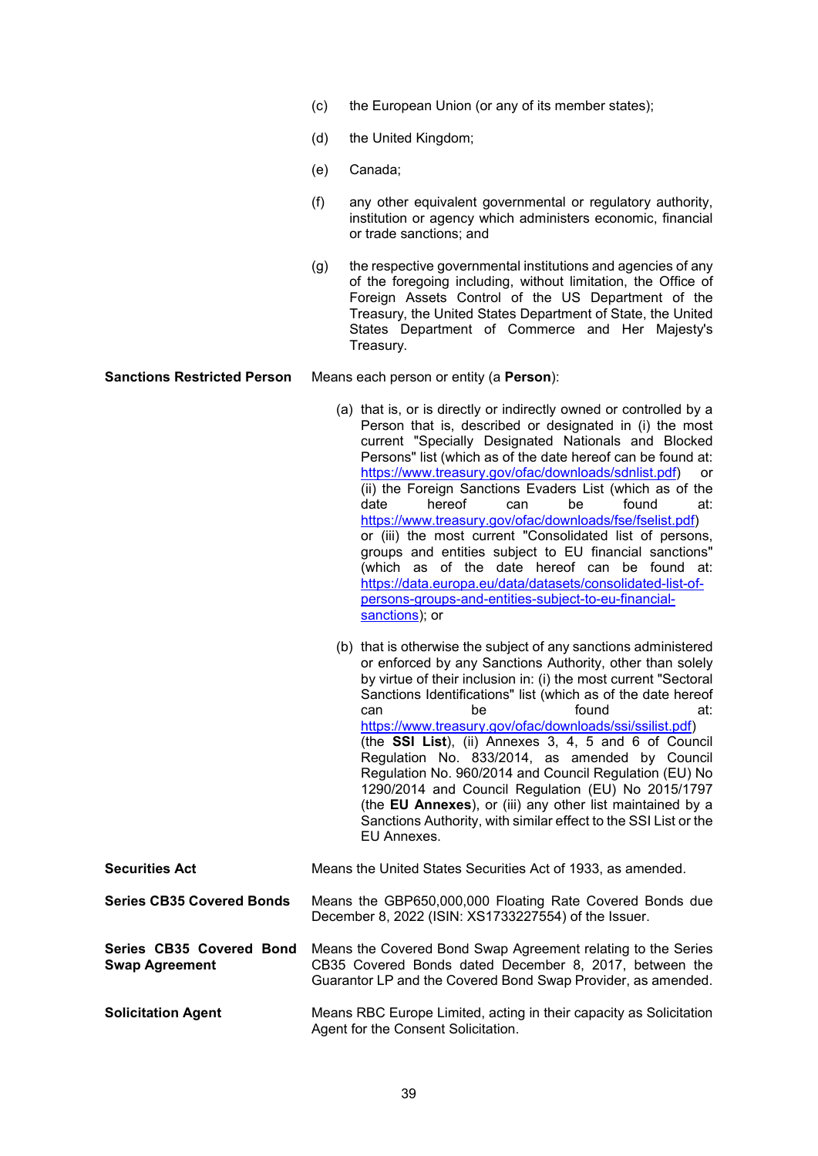- (c) the European Union (or any of its member states);
- (d) the United Kingdom;
- (e) Canada;
- (f) any other equivalent governmental or regulatory authority, institution or agency which administers economic, financial or trade sanctions; and
- (g) the respective governmental institutions and agencies of any of the foregoing including, without limitation, the Office of Foreign Assets Control of the US Department of the Treasury, the United States Department of State, the United States Department of Commerce and Her Majesty's Treasury.

**Sanctions Restricted Person** Means each person or entity (a **Person**):

- (a) that is, or is directly or indirectly owned or controlled by a Person that is, described or designated in (i) the most current "Specially Designated Nationals and Blocked Persons" list (which as of the date hereof can be found at: https://www.treasury.gov/ofac/downloads/sdnlist.pdf) or (ii) the Foreign Sanctions Evaders List (which as of the date hereof can be found at: https://www.treasury.gov/ofac/downloads/fse/fselist.pdf) or (iii) the most current "Consolidated list of persons, groups and entities subject to EU financial sanctions" (which as of the date hereof can be found at: https://data.europa.eu/data/datasets/consolidated-list-ofpersons-groups-and-entities-subject-to-eu-financialsanctions); or
- (b) that is otherwise the subject of any sanctions administered or enforced by any Sanctions Authority, other than solely by virtue of their inclusion in: (i) the most current "Sectoral Sanctions Identifications" list (which as of the date hereof can be found at: https://www.treasury.gov/ofac/downloads/ssi/ssilist.pdf) (the **SSI List**), (ii) Annexes 3, 4, 5 and 6 of Council Regulation No. 833/2014, as amended by Council Regulation No. 960/2014 and Council Regulation (EU) No 1290/2014 and Council Regulation (EU) No 2015/1797 (the **EU Annexes**), or (iii) any other list maintained by a Sanctions Authority, with similar effect to the SSI List or the EU Annexes.

| <b>Securities Act</b>                             | Means the United States Securities Act of 1933, as amended.                                                                                                                            |
|---------------------------------------------------|----------------------------------------------------------------------------------------------------------------------------------------------------------------------------------------|
| <b>Series CB35 Covered Bonds</b>                  | Means the GBP650,000,000 Floating Rate Covered Bonds due<br>December 8, 2022 (ISIN: XS1733227554) of the Issuer.                                                                       |
| Series CB35 Covered Bond<br><b>Swap Agreement</b> | Means the Covered Bond Swap Agreement relating to the Series<br>CB35 Covered Bonds dated December 8, 2017, between the<br>Guarantor LP and the Covered Bond Swap Provider, as amended. |
| <b>Solicitation Agent</b>                         | Means RBC Europe Limited, acting in their capacity as Solicitation<br>Agent for the Consent Solicitation.                                                                              |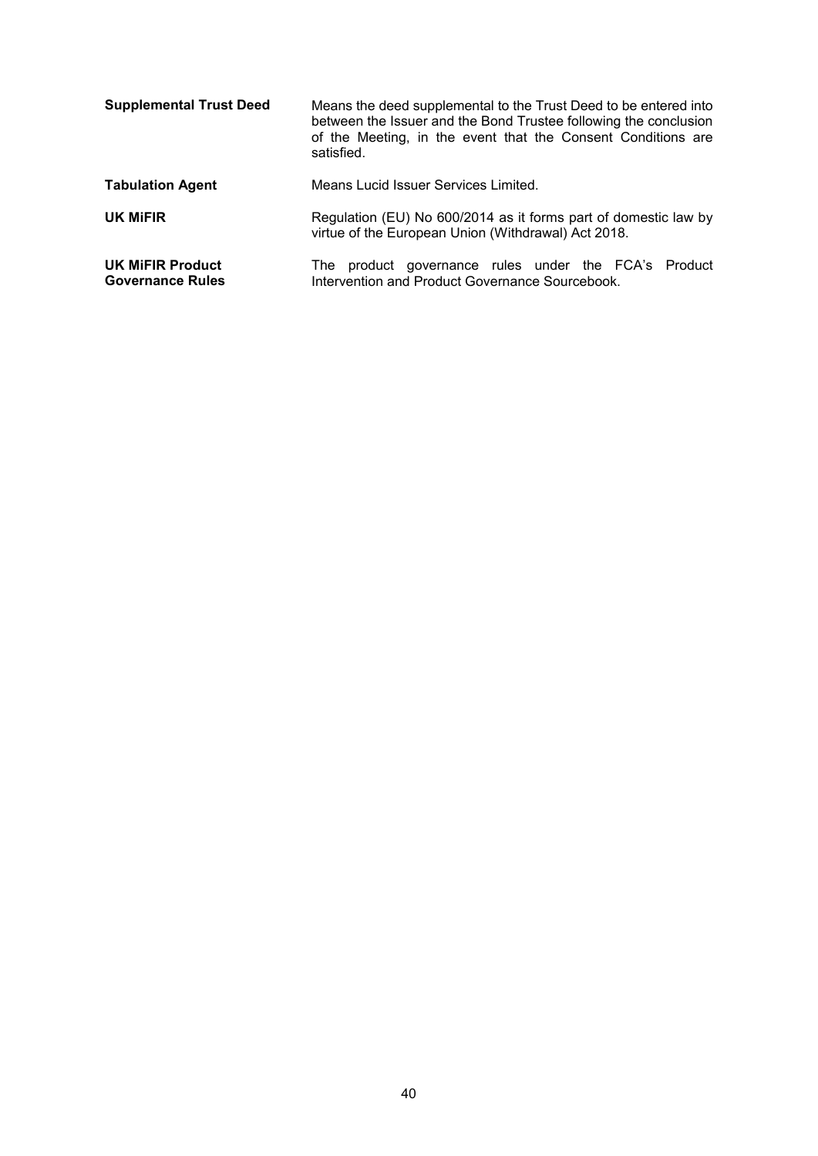| <b>Supplemental Trust Deed</b>                     | Means the deed supplemental to the Trust Deed to be entered into<br>between the Issuer and the Bond Trustee following the conclusion<br>of the Meeting, in the event that the Consent Conditions are<br>satisfied. |
|----------------------------------------------------|--------------------------------------------------------------------------------------------------------------------------------------------------------------------------------------------------------------------|
| <b>Tabulation Agent</b>                            | Means Lucid Issuer Services Limited.                                                                                                                                                                               |
| UK MIFIR                                           | Regulation (EU) No 600/2014 as it forms part of domestic law by<br>virtue of the European Union (Withdrawal) Act 2018.                                                                                             |
| <b>UK MIFIR Product</b><br><b>Governance Rules</b> | product governance rules under the FCA's Product<br>The<br>Intervention and Product Governance Sourcebook.                                                                                                         |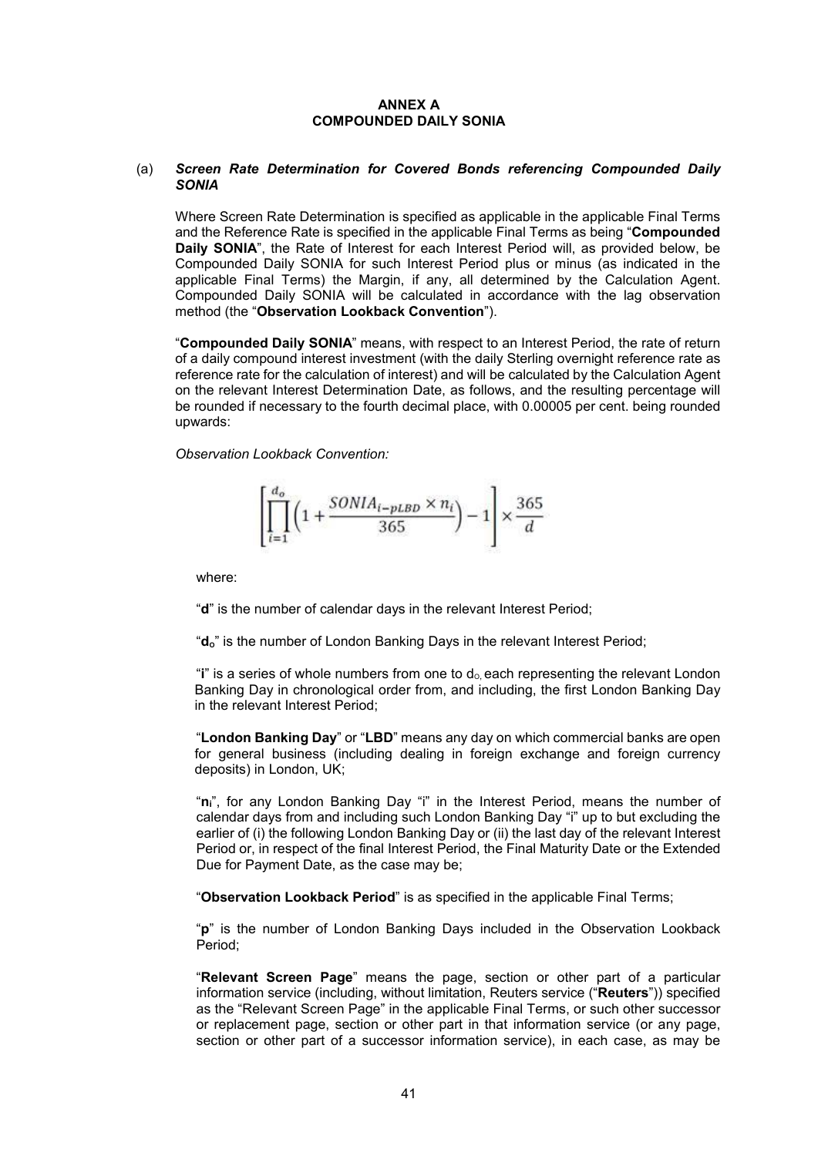#### **ANNEX A COMPOUNDED DAILY SONIA**

#### (a) *Screen Rate Determination for Covered Bonds referencing Compounded Daily SONIA*

Where Screen Rate Determination is specified as applicable in the applicable Final Terms and the Reference Rate is specified in the applicable Final Terms as being "**Compounded Daily SONIA**", the Rate of Interest for each Interest Period will, as provided below, be Compounded Daily SONIA for such Interest Period plus or minus (as indicated in the applicable Final Terms) the Margin, if any, all determined by the Calculation Agent. Compounded Daily SONIA will be calculated in accordance with the lag observation method (the "**Observation Lookback Convention**").

"**Compounded Daily SONIA**" means, with respect to an Interest Period, the rate of return of a daily compound interest investment (with the daily Sterling overnight reference rate as reference rate for the calculation of interest) and will be calculated by the Calculation Agent on the relevant Interest Determination Date, as follows, and the resulting percentage will be rounded if necessary to the fourth decimal place, with 0.00005 per cent. being rounded upwards:

*Observation Lookback Convention:*

$$
\left[\prod_{i=1}^{d_o} \left(1+\frac{SONIA_{i-pLBD}\times n_i}{365}\right)-1\right]\times \frac{365}{d}
$$

where:

"**d**" is the number of calendar days in the relevant Interest Period;

"d<sub>o</sub>" is the number of London Banking Days in the relevant Interest Period;

"**i**" is a series of whole numbers from one to  $d_0$  each representing the relevant London Banking Day in chronological order from, and including, the first London Banking Day in the relevant Interest Period;

"**London Banking Day**" or "**LBD**" means any day on which commercial banks are open for general business (including dealing in foreign exchange and foreign currency deposits) in London, UK;

"**ni**", for any London Banking Day "i" in the Interest Period, means the number of calendar days from and including such London Banking Day "i" up to but excluding the earlier of (i) the following London Banking Day or (ii) the last day of the relevant Interest Period or, in respect of the final Interest Period, the Final Maturity Date or the Extended Due for Payment Date, as the case may be;

"**Observation Lookback Period**" is as specified in the applicable Final Terms;

"**p**" is the number of London Banking Days included in the Observation Lookback Period;

"**Relevant Screen Page**" means the page, section or other part of a particular information service (including, without limitation, Reuters service ("**Reuters**")) specified as the "Relevant Screen Page" in the applicable Final Terms, or such other successor or replacement page, section or other part in that information service (or any page, section or other part of a successor information service), in each case, as may be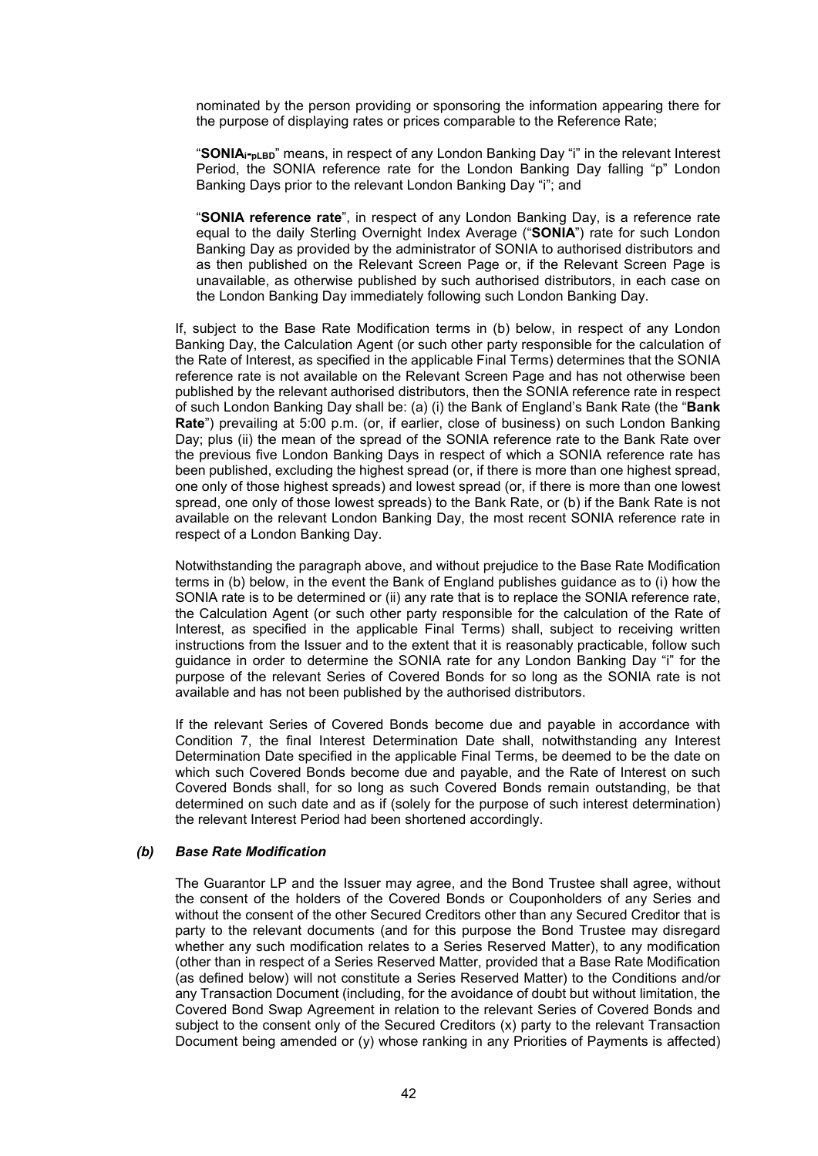nominated by the person providing or sponsoring the information appearing there for the purpose of displaying rates or prices comparable to the Reference Rate;

"**SONIAi-pLBD**" means, in respect of any London Banking Day "i" in the relevant Interest Period, the SONIA reference rate for the London Banking Day falling "p" London Banking Days prior to the relevant London Banking Day "i"; and

"**SONIA reference rate**", in respect of any London Banking Day, is a reference rate equal to the daily Sterling Overnight Index Average ("**SONIA**") rate for such London Banking Day as provided by the administrator of SONIA to authorised distributors and as then published on the Relevant Screen Page or, if the Relevant Screen Page is unavailable, as otherwise published by such authorised distributors, in each case on the London Banking Day immediately following such London Banking Day.

If, subject to the Base Rate Modification terms in (b) below, in respect of any London Banking Day, the Calculation Agent (or such other party responsible for the calculation of the Rate of Interest, as specified in the applicable Final Terms) determines that the SONIA reference rate is not available on the Relevant Screen Page and has not otherwise been published by the relevant authorised distributors, then the SONIA reference rate in respect of such London Banking Day shall be: (a) (i) the Bank of England's Bank Rate (the "**Bank Rate**") prevailing at 5:00 p.m. (or, if earlier, close of business) on such London Banking Day; plus (ii) the mean of the spread of the SONIA reference rate to the Bank Rate over the previous five London Banking Days in respect of which a SONIA reference rate has been published, excluding the highest spread (or, if there is more than one highest spread, one only of those highest spreads) and lowest spread (or, if there is more than one lowest spread, one only of those lowest spreads) to the Bank Rate, or (b) if the Bank Rate is not available on the relevant London Banking Day, the most recent SONIA reference rate in respect of a London Banking Day.

Notwithstanding the paragraph above, and without prejudice to the Base Rate Modification terms in (b) below, in the event the Bank of England publishes guidance as to (i) how the SONIA rate is to be determined or (ii) any rate that is to replace the SONIA reference rate, the Calculation Agent (or such other party responsible for the calculation of the Rate of Interest, as specified in the applicable Final Terms) shall, subject to receiving written instructions from the Issuer and to the extent that it is reasonably practicable, follow such guidance in order to determine the SONIA rate for any London Banking Day "i" for the purpose of the relevant Series of Covered Bonds for so long as the SONIA rate is not available and has not been published by the authorised distributors.

If the relevant Series of Covered Bonds become due and payable in accordance with Condition 7, the final Interest Determination Date shall, notwithstanding any Interest Determination Date specified in the applicable Final Terms, be deemed to be the date on which such Covered Bonds become due and payable, and the Rate of Interest on such Covered Bonds shall, for so long as such Covered Bonds remain outstanding, be that determined on such date and as if (solely for the purpose of such interest determination) the relevant Interest Period had been shortened accordingly.

#### *(b) Base Rate Modification*

The Guarantor LP and the Issuer may agree, and the Bond Trustee shall agree, without the consent of the holders of the Covered Bonds or Couponholders of any Series and without the consent of the other Secured Creditors other than any Secured Creditor that is party to the relevant documents (and for this purpose the Bond Trustee may disregard whether any such modification relates to a Series Reserved Matter), to any modification (other than in respect of a Series Reserved Matter, provided that a Base Rate Modification (as defined below) will not constitute a Series Reserved Matter) to the Conditions and/or any Transaction Document (including, for the avoidance of doubt but without limitation, the Covered Bond Swap Agreement in relation to the relevant Series of Covered Bonds and subject to the consent only of the Secured Creditors (x) party to the relevant Transaction Document being amended or (y) whose ranking in any Priorities of Payments is affected)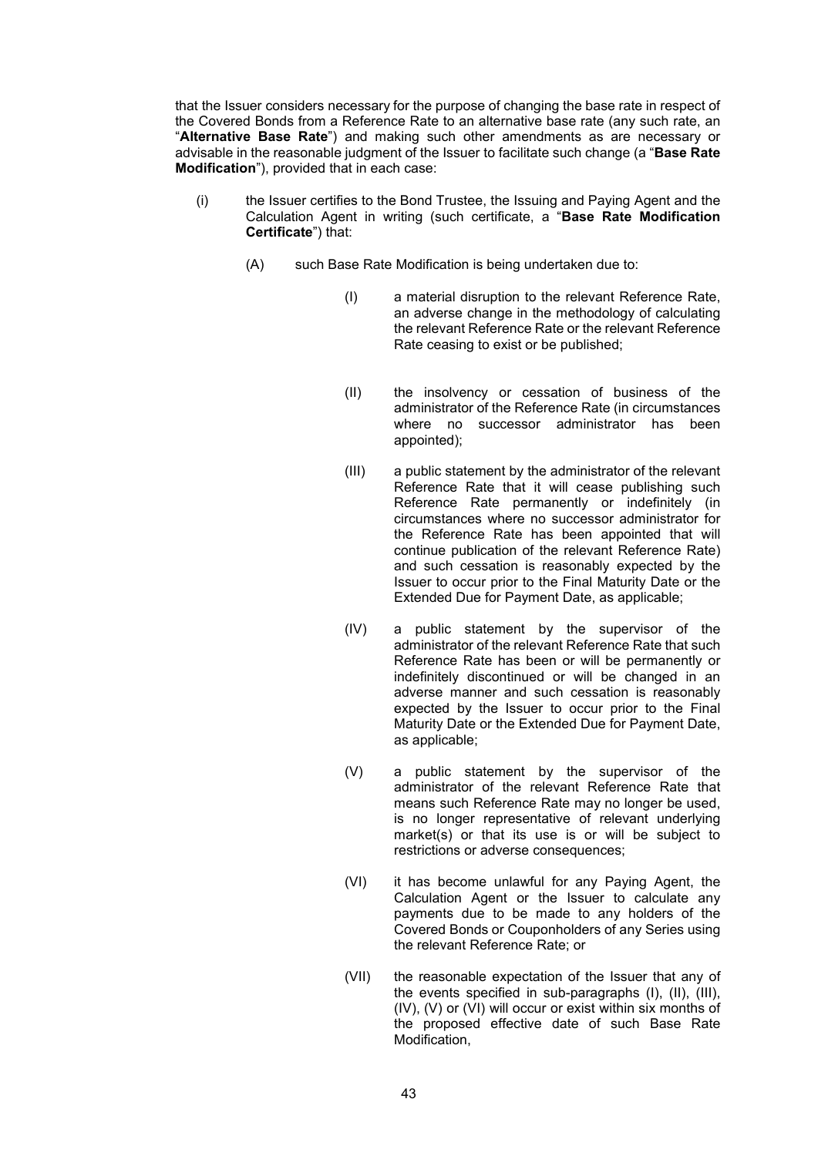that the Issuer considers necessary for the purpose of changing the base rate in respect of the Covered Bonds from a Reference Rate to an alternative base rate (any such rate, an "**Alternative Base Rate**") and making such other amendments as are necessary or advisable in the reasonable judgment of the Issuer to facilitate such change (a "**Base Rate Modification**"), provided that in each case:

- (i) the Issuer certifies to the Bond Trustee, the Issuing and Paying Agent and the Calculation Agent in writing (such certificate, a "**Base Rate Modification Certificate**") that:
	- (A) such Base Rate Modification is being undertaken due to:
		- (I) a material disruption to the relevant Reference Rate, an adverse change in the methodology of calculating the relevant Reference Rate or the relevant Reference Rate ceasing to exist or be published;
		- (II) the insolvency or cessation of business of the administrator of the Reference Rate (in circumstances where no successor administrator has been appointed);
		- (III) a public statement by the administrator of the relevant Reference Rate that it will cease publishing such Reference Rate permanently or indefinitely (in circumstances where no successor administrator for the Reference Rate has been appointed that will continue publication of the relevant Reference Rate) and such cessation is reasonably expected by the Issuer to occur prior to the Final Maturity Date or the Extended Due for Payment Date, as applicable;
		- (IV) a public statement by the supervisor of the administrator of the relevant Reference Rate that such Reference Rate has been or will be permanently or indefinitely discontinued or will be changed in an adverse manner and such cessation is reasonably expected by the Issuer to occur prior to the Final Maturity Date or the Extended Due for Payment Date, as applicable;
		- (V) a public statement by the supervisor of the administrator of the relevant Reference Rate that means such Reference Rate may no longer be used, is no longer representative of relevant underlying market(s) or that its use is or will be subject to restrictions or adverse consequences;
		- (VI) it has become unlawful for any Paying Agent, the Calculation Agent or the Issuer to calculate any payments due to be made to any holders of the Covered Bonds or Couponholders of any Series using the relevant Reference Rate; or
		- (VII) the reasonable expectation of the Issuer that any of the events specified in sub-paragraphs (I), (II), (III), (IV), (V) or (VI) will occur or exist within six months of the proposed effective date of such Base Rate Modification,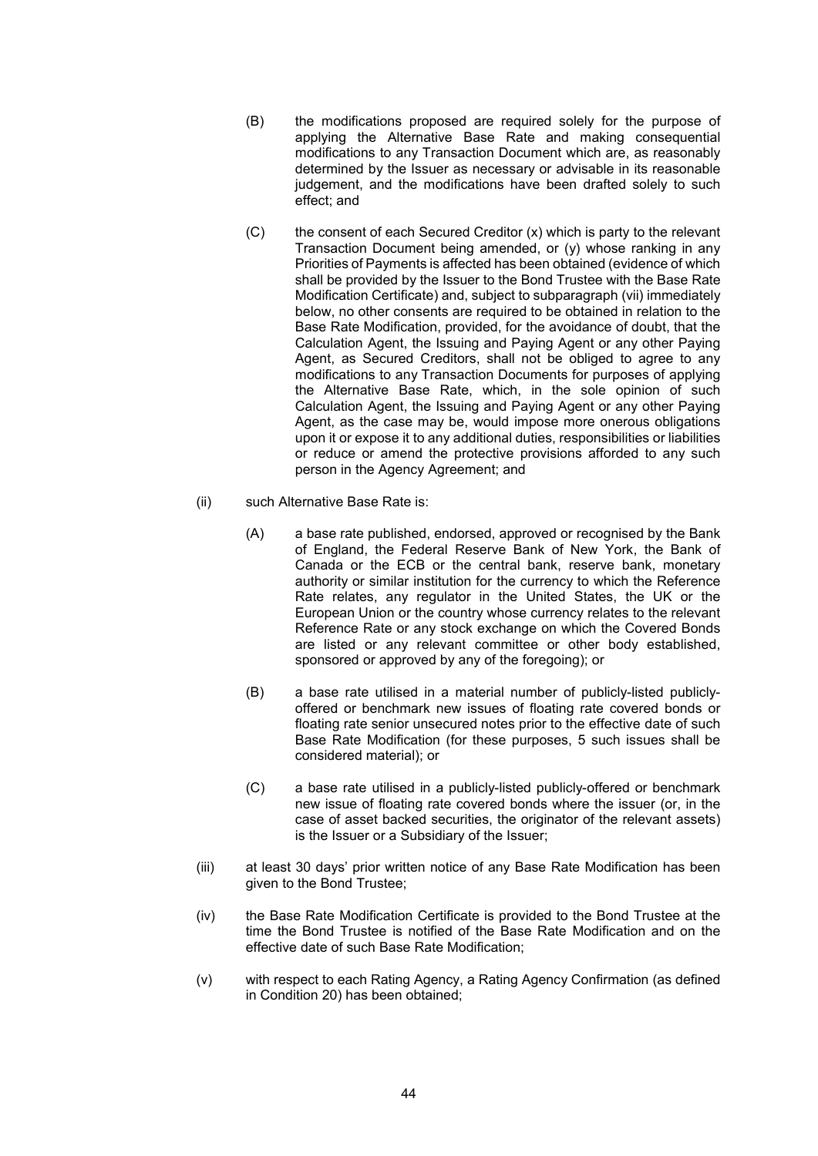- (B) the modifications proposed are required solely for the purpose of applying the Alternative Base Rate and making consequential modifications to any Transaction Document which are, as reasonably determined by the Issuer as necessary or advisable in its reasonable judgement, and the modifications have been drafted solely to such effect; and
- $(C)$  the consent of each Secured Creditor  $(x)$  which is party to the relevant Transaction Document being amended, or (y) whose ranking in any Priorities of Payments is affected has been obtained (evidence of which shall be provided by the Issuer to the Bond Trustee with the Base Rate Modification Certificate) and, subject to subparagraph (vii) immediately below, no other consents are required to be obtained in relation to the Base Rate Modification, provided, for the avoidance of doubt, that the Calculation Agent, the Issuing and Paying Agent or any other Paying Agent, as Secured Creditors, shall not be obliged to agree to any modifications to any Transaction Documents for purposes of applying the Alternative Base Rate, which, in the sole opinion of such Calculation Agent, the Issuing and Paying Agent or any other Paying Agent, as the case may be, would impose more onerous obligations upon it or expose it to any additional duties, responsibilities or liabilities or reduce or amend the protective provisions afforded to any such person in the Agency Agreement; and
- (ii) such Alternative Base Rate is:
	- (A) a base rate published, endorsed, approved or recognised by the Bank of England, the Federal Reserve Bank of New York, the Bank of Canada or the ECB or the central bank, reserve bank, monetary authority or similar institution for the currency to which the Reference Rate relates, any regulator in the United States, the UK or the European Union or the country whose currency relates to the relevant Reference Rate or any stock exchange on which the Covered Bonds are listed or any relevant committee or other body established, sponsored or approved by any of the foregoing); or
	- (B) a base rate utilised in a material number of publicly-listed publiclyoffered or benchmark new issues of floating rate covered bonds or floating rate senior unsecured notes prior to the effective date of such Base Rate Modification (for these purposes, 5 such issues shall be considered material); or
	- (C) a base rate utilised in a publicly-listed publicly-offered or benchmark new issue of floating rate covered bonds where the issuer (or, in the case of asset backed securities, the originator of the relevant assets) is the Issuer or a Subsidiary of the Issuer;
- (iii) at least 30 days' prior written notice of any Base Rate Modification has been given to the Bond Trustee;
- (iv) the Base Rate Modification Certificate is provided to the Bond Trustee at the time the Bond Trustee is notified of the Base Rate Modification and on the effective date of such Base Rate Modification;
- (v) with respect to each Rating Agency, a Rating Agency Confirmation (as defined in Condition 20) has been obtained;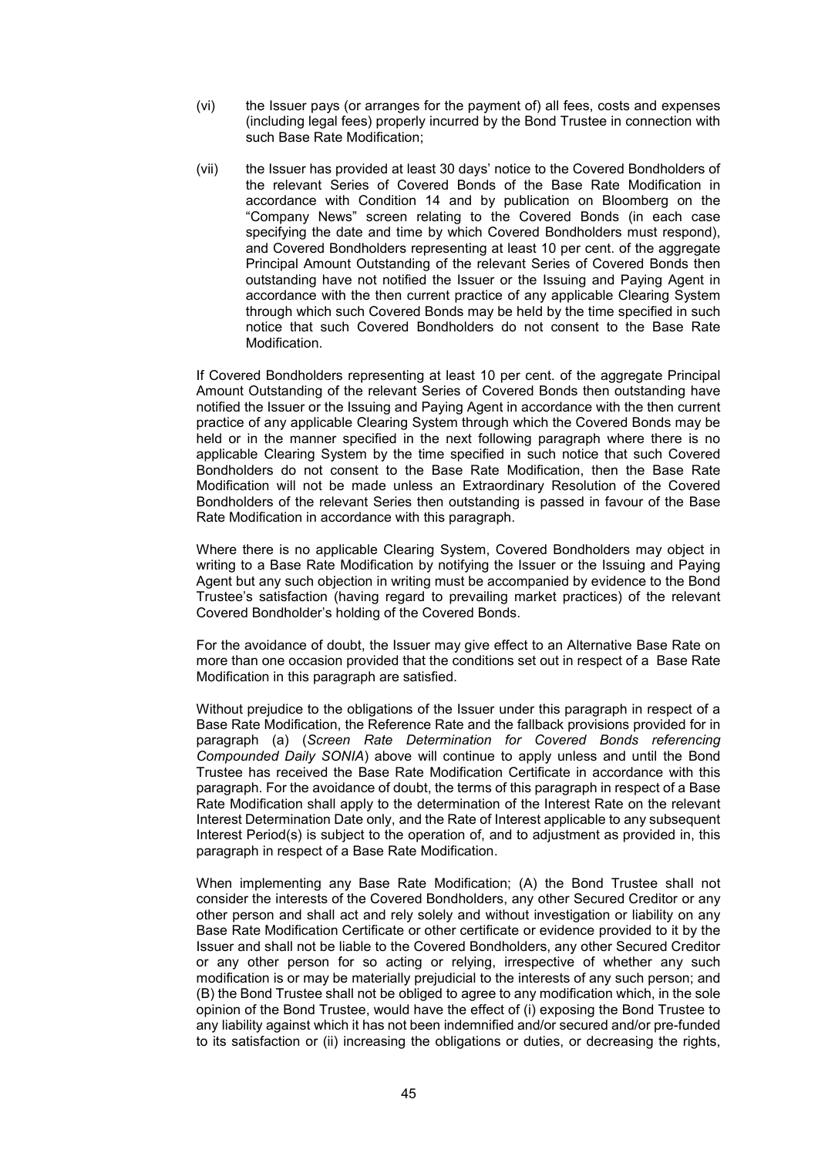- (vi) the Issuer pays (or arranges for the payment of) all fees, costs and expenses (including legal fees) properly incurred by the Bond Trustee in connection with such Base Rate Modification;
- (vii) the Issuer has provided at least 30 days' notice to the Covered Bondholders of the relevant Series of Covered Bonds of the Base Rate Modification in accordance with Condition 14 and by publication on Bloomberg on the "Company News" screen relating to the Covered Bonds (in each case specifying the date and time by which Covered Bondholders must respond), and Covered Bondholders representing at least 10 per cent. of the aggregate Principal Amount Outstanding of the relevant Series of Covered Bonds then outstanding have not notified the Issuer or the Issuing and Paying Agent in accordance with the then current practice of any applicable Clearing System through which such Covered Bonds may be held by the time specified in such notice that such Covered Bondholders do not consent to the Base Rate Modification.

If Covered Bondholders representing at least 10 per cent. of the aggregate Principal Amount Outstanding of the relevant Series of Covered Bonds then outstanding have notified the Issuer or the Issuing and Paying Agent in accordance with the then current practice of any applicable Clearing System through which the Covered Bonds may be held or in the manner specified in the next following paragraph where there is no applicable Clearing System by the time specified in such notice that such Covered Bondholders do not consent to the Base Rate Modification, then the Base Rate Modification will not be made unless an Extraordinary Resolution of the Covered Bondholders of the relevant Series then outstanding is passed in favour of the Base Rate Modification in accordance with this paragraph.

Where there is no applicable Clearing System, Covered Bondholders may object in writing to a Base Rate Modification by notifying the Issuer or the Issuing and Paying Agent but any such objection in writing must be accompanied by evidence to the Bond Trustee's satisfaction (having regard to prevailing market practices) of the relevant Covered Bondholder's holding of the Covered Bonds.

For the avoidance of doubt, the Issuer may give effect to an Alternative Base Rate on more than one occasion provided that the conditions set out in respect of a Base Rate Modification in this paragraph are satisfied.

Without prejudice to the obligations of the Issuer under this paragraph in respect of a Base Rate Modification, the Reference Rate and the fallback provisions provided for in paragraph (a) (*Screen Rate Determination for Covered Bonds referencing Compounded Daily SONIA*) above will continue to apply unless and until the Bond Trustee has received the Base Rate Modification Certificate in accordance with this paragraph. For the avoidance of doubt, the terms of this paragraph in respect of a Base Rate Modification shall apply to the determination of the Interest Rate on the relevant Interest Determination Date only, and the Rate of Interest applicable to any subsequent Interest Period(s) is subject to the operation of, and to adjustment as provided in, this paragraph in respect of a Base Rate Modification.

When implementing any Base Rate Modification; (A) the Bond Trustee shall not consider the interests of the Covered Bondholders, any other Secured Creditor or any other person and shall act and rely solely and without investigation or liability on any Base Rate Modification Certificate or other certificate or evidence provided to it by the Issuer and shall not be liable to the Covered Bondholders, any other Secured Creditor or any other person for so acting or relying, irrespective of whether any such modification is or may be materially prejudicial to the interests of any such person; and (B) the Bond Trustee shall not be obliged to agree to any modification which, in the sole opinion of the Bond Trustee, would have the effect of (i) exposing the Bond Trustee to any liability against which it has not been indemnified and/or secured and/or pre-funded to its satisfaction or (ii) increasing the obligations or duties, or decreasing the rights,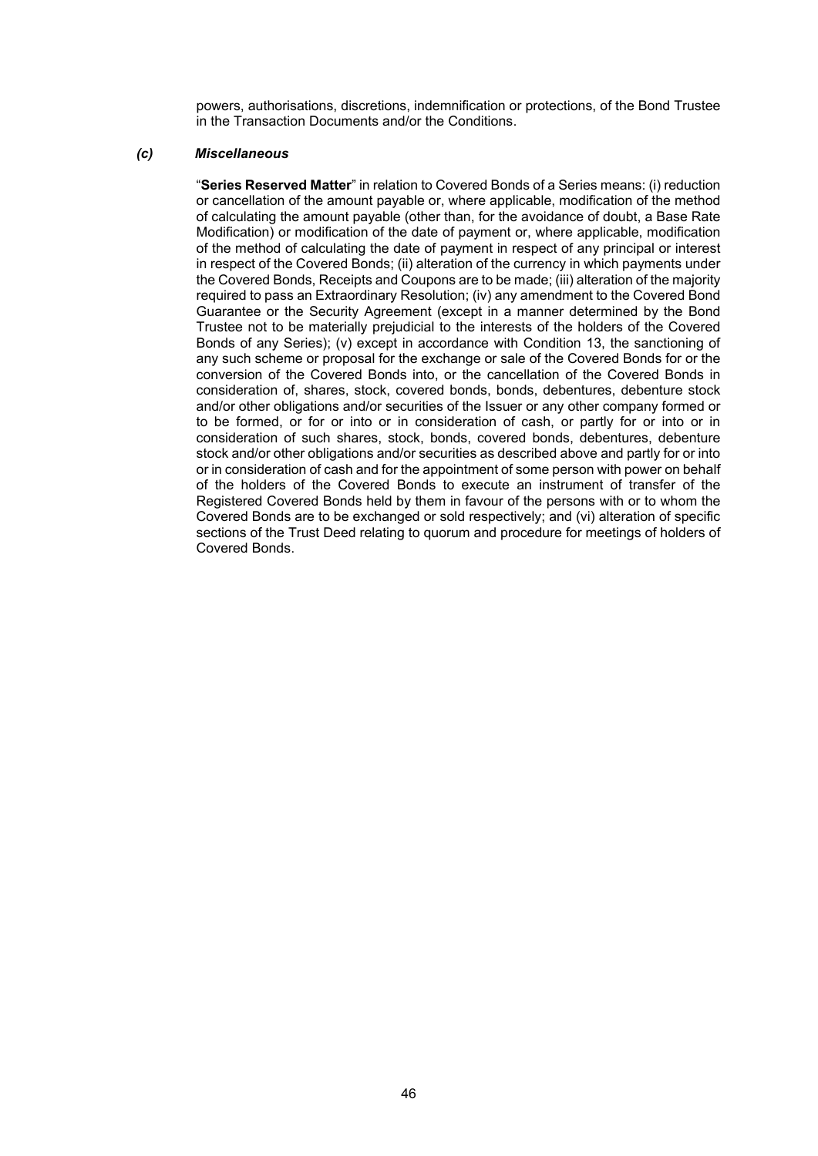powers, authorisations, discretions, indemnification or protections, of the Bond Trustee in the Transaction Documents and/or the Conditions.

### *(c) Miscellaneous*

"**Series Reserved Matter**" in relation to Covered Bonds of a Series means: (i) reduction or cancellation of the amount payable or, where applicable, modification of the method of calculating the amount payable (other than, for the avoidance of doubt, a Base Rate Modification) or modification of the date of payment or, where applicable, modification of the method of calculating the date of payment in respect of any principal or interest in respect of the Covered Bonds; (ii) alteration of the currency in which payments under the Covered Bonds, Receipts and Coupons are to be made; (iii) alteration of the majority required to pass an Extraordinary Resolution; (iv) any amendment to the Covered Bond Guarantee or the Security Agreement (except in a manner determined by the Bond Trustee not to be materially prejudicial to the interests of the holders of the Covered Bonds of any Series); (v) except in accordance with Condition 13, the sanctioning of any such scheme or proposal for the exchange or sale of the Covered Bonds for or the conversion of the Covered Bonds into, or the cancellation of the Covered Bonds in consideration of, shares, stock, covered bonds, bonds, debentures, debenture stock and/or other obligations and/or securities of the Issuer or any other company formed or to be formed, or for or into or in consideration of cash, or partly for or into or in consideration of such shares, stock, bonds, covered bonds, debentures, debenture stock and/or other obligations and/or securities as described above and partly for or into or in consideration of cash and for the appointment of some person with power on behalf of the holders of the Covered Bonds to execute an instrument of transfer of the Registered Covered Bonds held by them in favour of the persons with or to whom the Covered Bonds are to be exchanged or sold respectively; and (vi) alteration of specific sections of the Trust Deed relating to quorum and procedure for meetings of holders of Covered Bonds.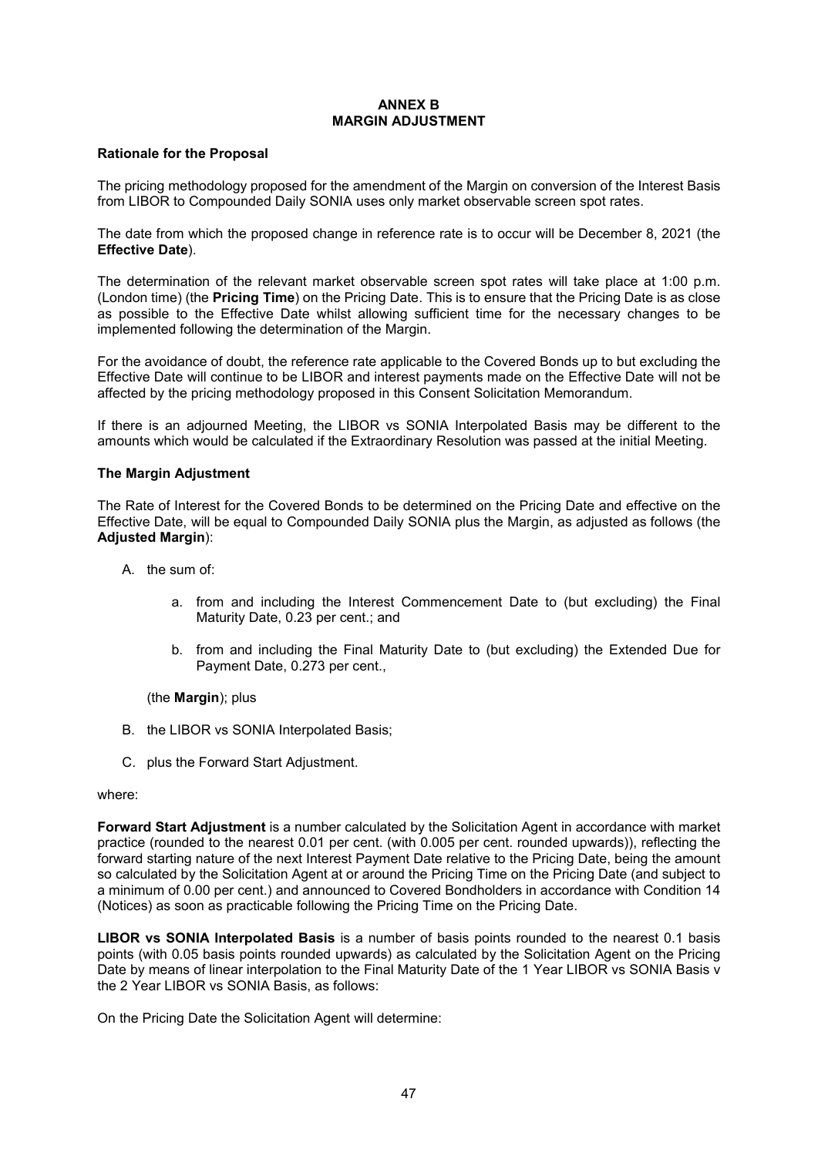### **ANNEX B MARGIN ADJUSTMENT**

### **Rationale for the Proposal**

The pricing methodology proposed for the amendment of the Margin on conversion of the Interest Basis from LIBOR to Compounded Daily SONIA uses only market observable screen spot rates.

The date from which the proposed change in reference rate is to occur will be December 8, 2021 (the **Effective Date**).

The determination of the relevant market observable screen spot rates will take place at 1:00 p.m. (London time) (the **Pricing Time**) on the Pricing Date. This is to ensure that the Pricing Date is as close as possible to the Effective Date whilst allowing sufficient time for the necessary changes to be implemented following the determination of the Margin.

For the avoidance of doubt, the reference rate applicable to the Covered Bonds up to but excluding the Effective Date will continue to be LIBOR and interest payments made on the Effective Date will not be affected by the pricing methodology proposed in this Consent Solicitation Memorandum.

If there is an adjourned Meeting, the LIBOR vs SONIA Interpolated Basis may be different to the amounts which would be calculated if the Extraordinary Resolution was passed at the initial Meeting.

#### **The Margin Adjustment**

The Rate of Interest for the Covered Bonds to be determined on the Pricing Date and effective on the Effective Date, will be equal to Compounded Daily SONIA plus the Margin, as adjusted as follows (the **Adjusted Margin**):

- A. the sum of:
	- a. from and including the Interest Commencement Date to (but excluding) the Final Maturity Date, 0.23 per cent.; and
	- b. from and including the Final Maturity Date to (but excluding) the Extended Due for Payment Date, 0.273 per cent.,

(the **Margin**); plus

- B. the LIBOR vs SONIA Interpolated Basis;
- C. plus the Forward Start Adjustment.

#### where:

**Forward Start Adjustment** is a number calculated by the Solicitation Agent in accordance with market practice (rounded to the nearest 0.01 per cent. (with 0.005 per cent. rounded upwards)), reflecting the forward starting nature of the next Interest Payment Date relative to the Pricing Date, being the amount so calculated by the Solicitation Agent at or around the Pricing Time on the Pricing Date (and subject to a minimum of 0.00 per cent.) and announced to Covered Bondholders in accordance with Condition 14 (Notices) as soon as practicable following the Pricing Time on the Pricing Date.

**LIBOR vs SONIA Interpolated Basis** is a number of basis points rounded to the nearest 0.1 basis points (with 0.05 basis points rounded upwards) as calculated by the Solicitation Agent on the Pricing Date by means of linear interpolation to the Final Maturity Date of the 1 Year LIBOR vs SONIA Basis v the 2 Year LIBOR vs SONIA Basis, as follows:

On the Pricing Date the Solicitation Agent will determine: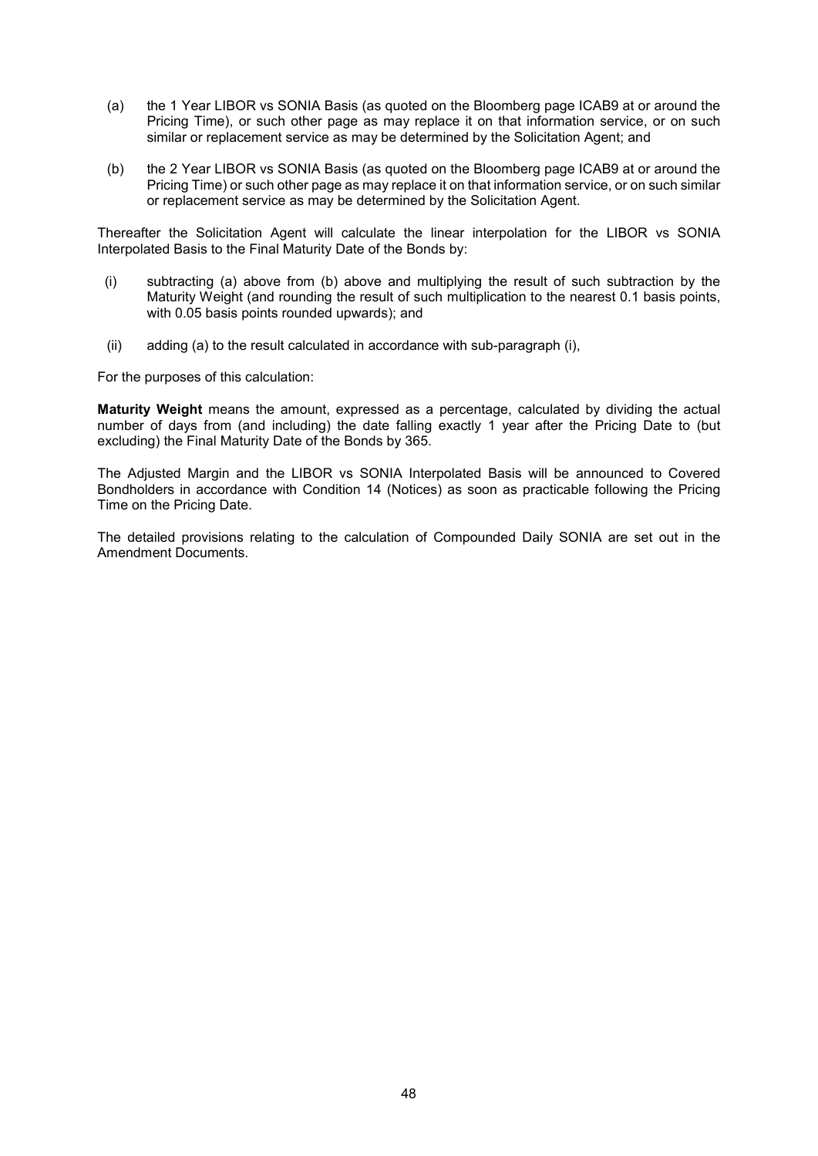- (a) the 1 Year LIBOR vs SONIA Basis (as quoted on the Bloomberg page ICAB9 at or around the Pricing Time), or such other page as may replace it on that information service, or on such similar or replacement service as may be determined by the Solicitation Agent; and
- (b) the 2 Year LIBOR vs SONIA Basis (as quoted on the Bloomberg page ICAB9 at or around the Pricing Time) or such other page as may replace it on that information service, or on such similar or replacement service as may be determined by the Solicitation Agent.

Thereafter the Solicitation Agent will calculate the linear interpolation for the LIBOR vs SONIA Interpolated Basis to the Final Maturity Date of the Bonds by:

- (i) subtracting (a) above from (b) above and multiplying the result of such subtraction by the Maturity Weight (and rounding the result of such multiplication to the nearest 0.1 basis points, with 0.05 basis points rounded upwards); and
- (ii) adding (a) to the result calculated in accordance with sub-paragraph (i),

For the purposes of this calculation:

**Maturity Weight** means the amount, expressed as a percentage, calculated by dividing the actual number of days from (and including) the date falling exactly 1 year after the Pricing Date to (but excluding) the Final Maturity Date of the Bonds by 365.

The Adjusted Margin and the LIBOR vs SONIA Interpolated Basis will be announced to Covered Bondholders in accordance with Condition 14 (Notices) as soon as practicable following the Pricing Time on the Pricing Date.

The detailed provisions relating to the calculation of Compounded Daily SONIA are set out in the Amendment Documents.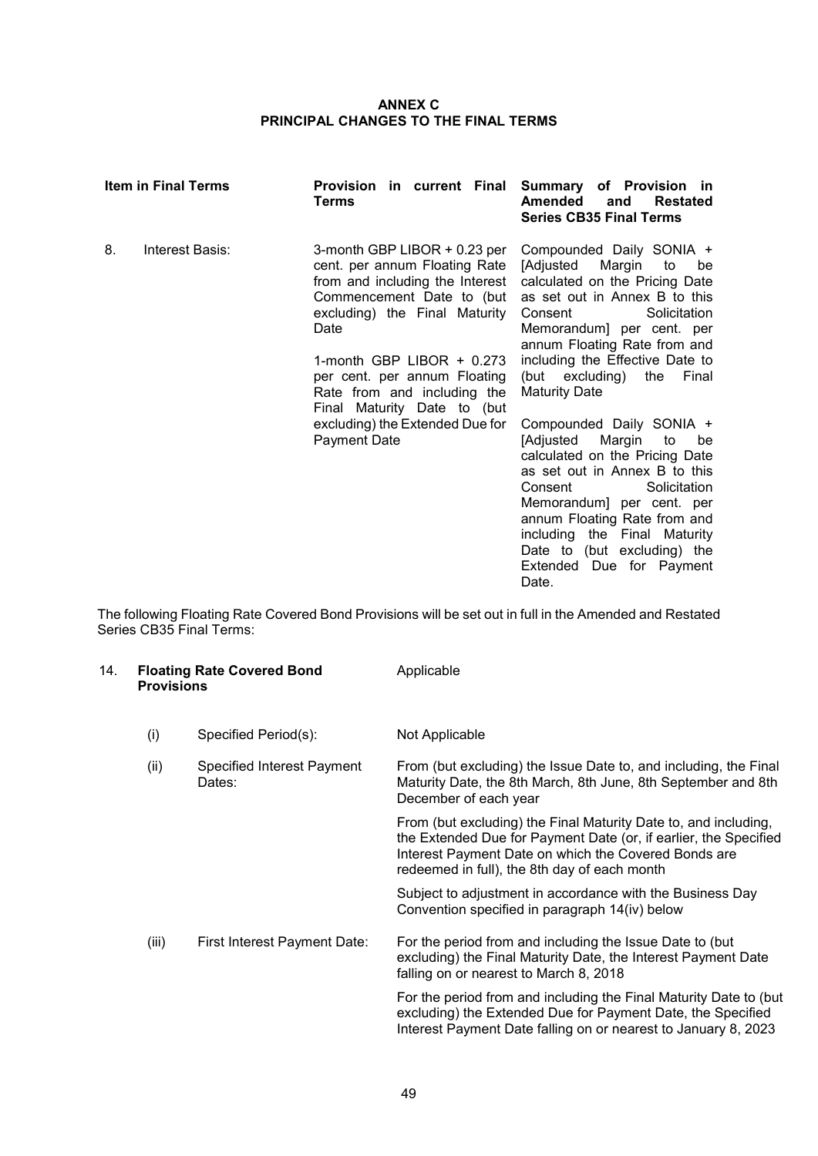### **ANNEX C PRINCIPAL CHANGES TO THE FINAL TERMS**

| <b>Item in Final Terms</b> |                 | Provision in current Final Summary of Provision in<br>Terms                                                                                                                                                                                                                                                                                            | <b>Amended</b><br><b>Restated</b><br>and<br><b>Series CB35 Final Terms</b>                                                                                                                                                                                                                                                                                                                                                                                                                                                                                                                                                                         |
|----------------------------|-----------------|--------------------------------------------------------------------------------------------------------------------------------------------------------------------------------------------------------------------------------------------------------------------------------------------------------------------------------------------------------|----------------------------------------------------------------------------------------------------------------------------------------------------------------------------------------------------------------------------------------------------------------------------------------------------------------------------------------------------------------------------------------------------------------------------------------------------------------------------------------------------------------------------------------------------------------------------------------------------------------------------------------------------|
| 8.                         | Interest Basis: | 3-month GBP LIBOR + 0.23 per<br>cent. per annum Floating Rate<br>from and including the Interest<br>Commencement Date to (but<br>excluding) the Final Maturity<br>Date<br>1-month GBP LIBOR $+$ 0.273<br>per cent. per annum Floating<br>Rate from and including the<br>Final Maturity Date to (but<br>excluding) the Extended Due for<br>Payment Date | Compounded Daily SONIA +<br>[Adjusted<br>Margin<br>to<br>be<br>calculated on the Pricing Date<br>as set out in Annex B to this<br>Solicitation<br>Consent<br>Memorandum] per cent. per<br>annum Floating Rate from and<br>including the Effective Date to<br>(but excluding)<br>the<br>Final<br><b>Maturity Date</b><br>Compounded Daily SONIA +<br>Margin<br>[Adjusted<br>to<br>be<br>calculated on the Pricing Date<br>as set out in Annex B to this<br>Consent<br>Solicitation<br>Memorandum] per cent. per<br>annum Floating Rate from and<br>including the Final Maturity<br>Date to (but excluding) the<br>Extended Due for Payment<br>Date. |

The following Floating Rate Covered Bond Provisions will be set out in full in the Amended and Restated Series CB35 Final Terms:

| 14. | <b>Floating Rate Covered Bond</b><br><b>Provisions</b> |                                      | Applicable                                                                                                                                                                                                                                  |  |
|-----|--------------------------------------------------------|--------------------------------------|---------------------------------------------------------------------------------------------------------------------------------------------------------------------------------------------------------------------------------------------|--|
|     | (i)                                                    | Specified Period(s):                 | Not Applicable                                                                                                                                                                                                                              |  |
|     | (ii)                                                   | Specified Interest Payment<br>Dates: | From (but excluding) the Issue Date to, and including, the Final<br>Maturity Date, the 8th March, 8th June, 8th September and 8th<br>December of each year                                                                                  |  |
|     |                                                        |                                      | From (but excluding) the Final Maturity Date to, and including,<br>the Extended Due for Payment Date (or, if earlier, the Specified<br>Interest Payment Date on which the Covered Bonds are<br>redeemed in full), the 8th day of each month |  |
|     |                                                        |                                      | Subject to adjustment in accordance with the Business Day<br>Convention specified in paragraph 14(iv) below                                                                                                                                 |  |
|     | (iii)                                                  | First Interest Payment Date:         | For the period from and including the Issue Date to (but<br>excluding) the Final Maturity Date, the Interest Payment Date<br>falling on or nearest to March 8, 2018                                                                         |  |
|     |                                                        |                                      | For the period from and including the Final Maturity Date to (but<br>excluding) the Extended Due for Payment Date, the Specified<br>Interest Payment Date falling on or nearest to January 8, 2023                                          |  |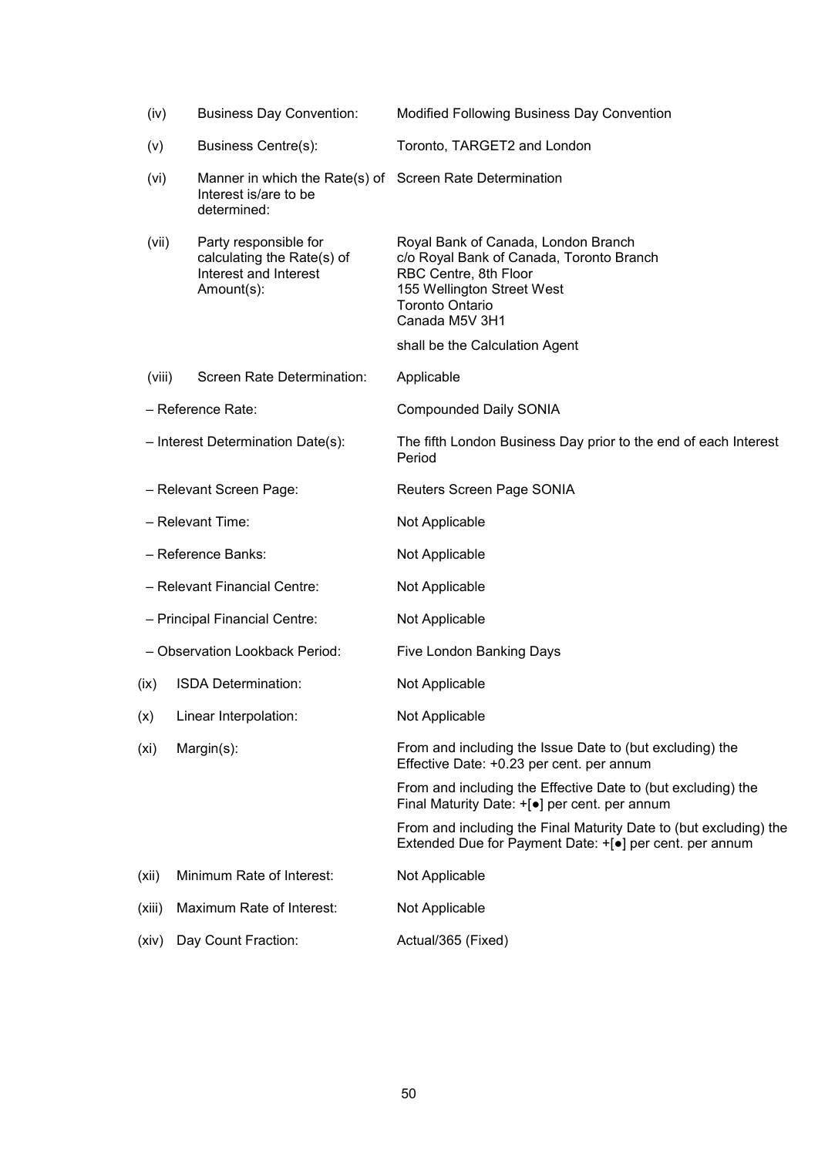| (iv)                           | <b>Business Day Convention:</b>                                                                  | Modified Following Business Day Convention                                                                                                                                         |
|--------------------------------|--------------------------------------------------------------------------------------------------|------------------------------------------------------------------------------------------------------------------------------------------------------------------------------------|
| (v)                            | <b>Business Centre(s):</b>                                                                       | Toronto, TARGET2 and London                                                                                                                                                        |
| (vi)                           | Manner in which the Rate(s) of Screen Rate Determination<br>Interest is/are to be<br>determined: |                                                                                                                                                                                    |
| (vii)                          | Party responsible for<br>calculating the Rate(s) of<br>Interest and Interest<br>Amount(s):       | Royal Bank of Canada, London Branch<br>c/o Royal Bank of Canada, Toronto Branch<br>RBC Centre, 8th Floor<br>155 Wellington Street West<br><b>Toronto Ontario</b><br>Canada M5V 3H1 |
|                                |                                                                                                  | shall be the Calculation Agent                                                                                                                                                     |
| (viii)                         | Screen Rate Determination:                                                                       | Applicable                                                                                                                                                                         |
|                                | - Reference Rate:                                                                                | <b>Compounded Daily SONIA</b>                                                                                                                                                      |
|                                | - Interest Determination Date(s):                                                                | The fifth London Business Day prior to the end of each Interest<br>Period                                                                                                          |
|                                | - Relevant Screen Page:                                                                          | Reuters Screen Page SONIA                                                                                                                                                          |
| - Relevant Time:               |                                                                                                  | Not Applicable                                                                                                                                                                     |
| - Reference Banks:             |                                                                                                  | Not Applicable                                                                                                                                                                     |
| - Relevant Financial Centre:   |                                                                                                  | Not Applicable                                                                                                                                                                     |
| - Principal Financial Centre:  |                                                                                                  | Not Applicable                                                                                                                                                                     |
| - Observation Lookback Period: |                                                                                                  | Five London Banking Days                                                                                                                                                           |
| (ix)                           | ISDA Determination:                                                                              | Not Applicable                                                                                                                                                                     |
|                                | (x) Linear Interpolation:                                                                        | Not Applicable                                                                                                                                                                     |
| (xi)                           | Margin(s):                                                                                       | From and including the Issue Date to (but excluding) the<br>Effective Date: +0.23 per cent. per annum                                                                              |
|                                |                                                                                                  | From and including the Effective Date to (but excluding) the<br>Final Maturity Date: +[ $\bullet$ ] per cent. per annum                                                            |
|                                |                                                                                                  | From and including the Final Maturity Date to (but excluding) the<br>Extended Due for Payment Date: +[•] per cent. per annum                                                       |
| (xii)                          | Minimum Rate of Interest:                                                                        | Not Applicable                                                                                                                                                                     |
| (xiii)                         | Maximum Rate of Interest:                                                                        | Not Applicable                                                                                                                                                                     |
| (xiv)                          | Day Count Fraction:                                                                              | Actual/365 (Fixed)                                                                                                                                                                 |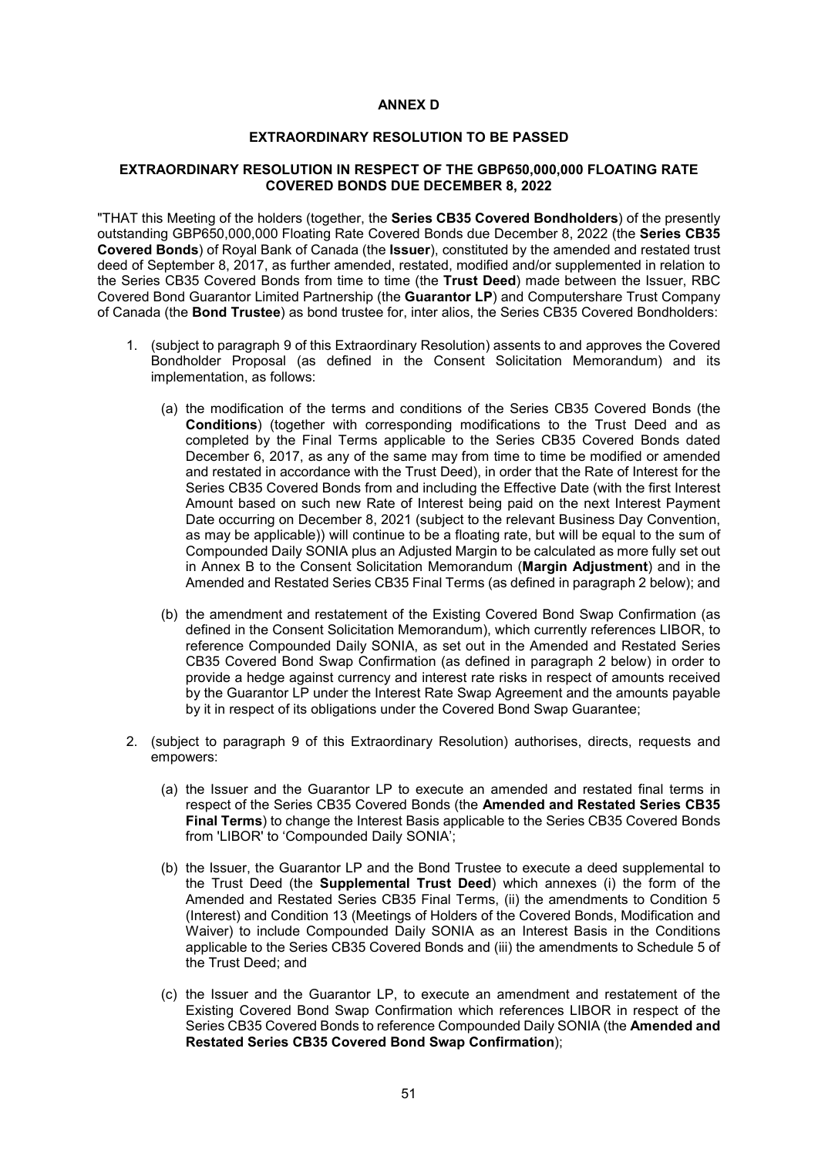#### **ANNEX D**

### **EXTRAORDINARY RESOLUTION TO BE PASSED**

### **EXTRAORDINARY RESOLUTION IN RESPECT OF THE GBP650,000,000 FLOATING RATE COVERED BONDS DUE DECEMBER 8, 2022**

"THAT this Meeting of the holders (together, the **Series CB35 Covered Bondholders**) of the presently outstanding GBP650,000,000 Floating Rate Covered Bonds due December 8, 2022 (the **Series CB35 Covered Bonds**) of Royal Bank of Canada (the **Issuer**), constituted by the amended and restated trust deed of September 8, 2017, as further amended, restated, modified and/or supplemented in relation to the Series CB35 Covered Bonds from time to time (the **Trust Deed**) made between the Issuer, RBC Covered Bond Guarantor Limited Partnership (the **Guarantor LP**) and Computershare Trust Company of Canada (the **Bond Trustee**) as bond trustee for, inter alios, the Series CB35 Covered Bondholders:

- 1. (subject to paragraph 9 of this Extraordinary Resolution) assents to and approves the Covered Bondholder Proposal (as defined in the Consent Solicitation Memorandum) and its implementation, as follows:
	- (a) the modification of the terms and conditions of the Series CB35 Covered Bonds (the **Conditions**) (together with corresponding modifications to the Trust Deed and as completed by the Final Terms applicable to the Series CB35 Covered Bonds dated December 6, 2017, as any of the same may from time to time be modified or amended and restated in accordance with the Trust Deed), in order that the Rate of Interest for the Series CB35 Covered Bonds from and including the Effective Date (with the first Interest Amount based on such new Rate of Interest being paid on the next Interest Payment Date occurring on December 8, 2021 (subject to the relevant Business Day Convention, as may be applicable)) will continue to be a floating rate, but will be equal to the sum of Compounded Daily SONIA plus an Adjusted Margin to be calculated as more fully set out in Annex B to the Consent Solicitation Memorandum (**Margin Adjustment**) and in the Amended and Restated Series CB35 Final Terms (as defined in paragraph 2 below); and
	- (b) the amendment and restatement of the Existing Covered Bond Swap Confirmation (as defined in the Consent Solicitation Memorandum), which currently references LIBOR, to reference Compounded Daily SONIA, as set out in the Amended and Restated Series CB35 Covered Bond Swap Confirmation (as defined in paragraph 2 below) in order to provide a hedge against currency and interest rate risks in respect of amounts received by the Guarantor LP under the Interest Rate Swap Agreement and the amounts payable by it in respect of its obligations under the Covered Bond Swap Guarantee;
- 2. (subject to paragraph 9 of this Extraordinary Resolution) authorises, directs, requests and empowers:
	- (a) the Issuer and the Guarantor LP to execute an amended and restated final terms in respect of the Series CB35 Covered Bonds (the **Amended and Restated Series CB35 Final Terms**) to change the Interest Basis applicable to the Series CB35 Covered Bonds from 'LIBOR' to 'Compounded Daily SONIA';
	- (b) the Issuer, the Guarantor LP and the Bond Trustee to execute a deed supplemental to the Trust Deed (the **Supplemental Trust Deed**) which annexes (i) the form of the Amended and Restated Series CB35 Final Terms, (ii) the amendments to Condition 5 (Interest) and Condition 13 (Meetings of Holders of the Covered Bonds, Modification and Waiver) to include Compounded Daily SONIA as an Interest Basis in the Conditions applicable to the Series CB35 Covered Bonds and (iii) the amendments to Schedule 5 of the Trust Deed; and
	- (c) the Issuer and the Guarantor LP, to execute an amendment and restatement of the Existing Covered Bond Swap Confirmation which references LIBOR in respect of the Series CB35 Covered Bonds to reference Compounded Daily SONIA (the **Amended and Restated Series CB35 Covered Bond Swap Confirmation**);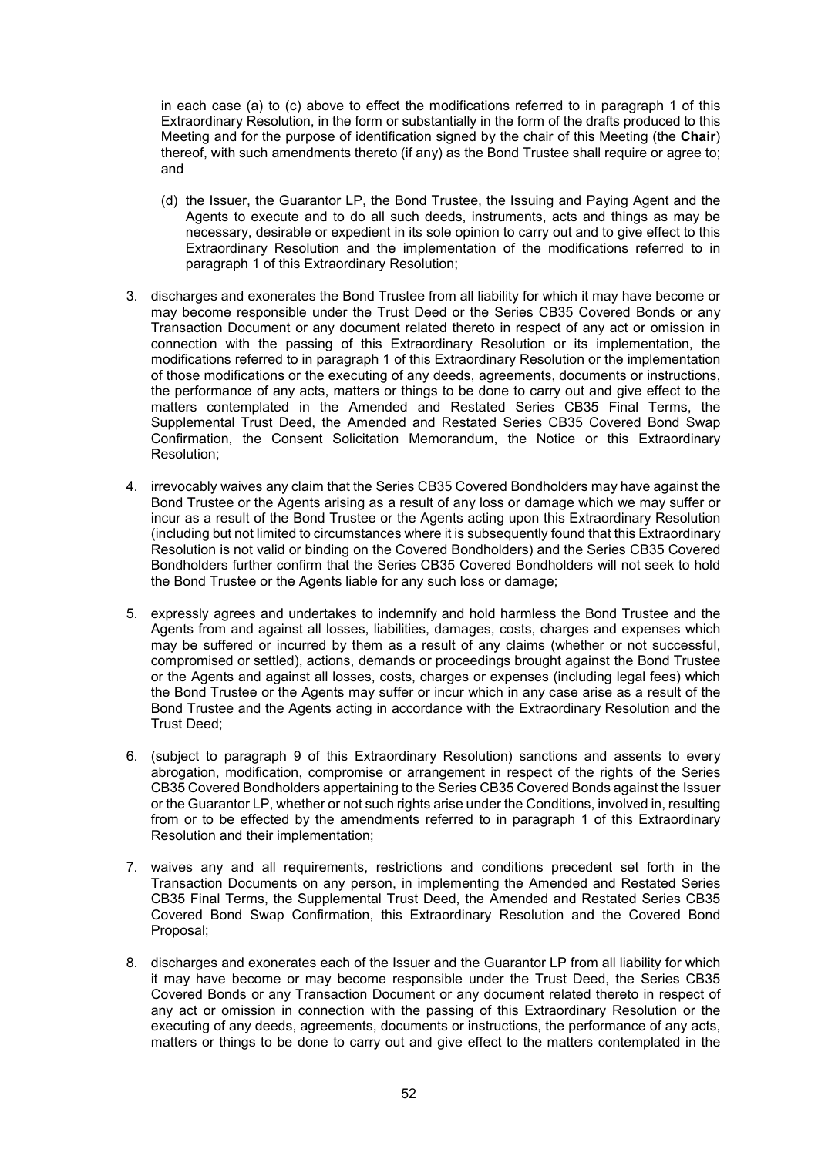in each case (a) to (c) above to effect the modifications referred to in paragraph 1 of this Extraordinary Resolution, in the form or substantially in the form of the drafts produced to this Meeting and for the purpose of identification signed by the chair of this Meeting (the **Chair**) thereof, with such amendments thereto (if any) as the Bond Trustee shall require or agree to; and

- (d) the Issuer, the Guarantor LP, the Bond Trustee, the Issuing and Paying Agent and the Agents to execute and to do all such deeds, instruments, acts and things as may be necessary, desirable or expedient in its sole opinion to carry out and to give effect to this Extraordinary Resolution and the implementation of the modifications referred to in paragraph 1 of this Extraordinary Resolution;
- 3. discharges and exonerates the Bond Trustee from all liability for which it may have become or may become responsible under the Trust Deed or the Series CB35 Covered Bonds or any Transaction Document or any document related thereto in respect of any act or omission in connection with the passing of this Extraordinary Resolution or its implementation, the modifications referred to in paragraph 1 of this Extraordinary Resolution or the implementation of those modifications or the executing of any deeds, agreements, documents or instructions, the performance of any acts, matters or things to be done to carry out and give effect to the matters contemplated in the Amended and Restated Series CB35 Final Terms, the Supplemental Trust Deed, the Amended and Restated Series CB35 Covered Bond Swap Confirmation, the Consent Solicitation Memorandum, the Notice or this Extraordinary Resolution;
- 4. irrevocably waives any claim that the Series CB35 Covered Bondholders may have against the Bond Trustee or the Agents arising as a result of any loss or damage which we may suffer or incur as a result of the Bond Trustee or the Agents acting upon this Extraordinary Resolution (including but not limited to circumstances where it is subsequently found that this Extraordinary Resolution is not valid or binding on the Covered Bondholders) and the Series CB35 Covered Bondholders further confirm that the Series CB35 Covered Bondholders will not seek to hold the Bond Trustee or the Agents liable for any such loss or damage;
- 5. expressly agrees and undertakes to indemnify and hold harmless the Bond Trustee and the Agents from and against all losses, liabilities, damages, costs, charges and expenses which may be suffered or incurred by them as a result of any claims (whether or not successful, compromised or settled), actions, demands or proceedings brought against the Bond Trustee or the Agents and against all losses, costs, charges or expenses (including legal fees) which the Bond Trustee or the Agents may suffer or incur which in any case arise as a result of the Bond Trustee and the Agents acting in accordance with the Extraordinary Resolution and the Trust Deed;
- 6. (subject to paragraph 9 of this Extraordinary Resolution) sanctions and assents to every abrogation, modification, compromise or arrangement in respect of the rights of the Series CB35 Covered Bondholders appertaining to the Series CB35 Covered Bonds against the Issuer or the Guarantor LP, whether or not such rights arise under the Conditions, involved in, resulting from or to be effected by the amendments referred to in paragraph 1 of this Extraordinary Resolution and their implementation;
- 7. waives any and all requirements, restrictions and conditions precedent set forth in the Transaction Documents on any person, in implementing the Amended and Restated Series CB35 Final Terms, the Supplemental Trust Deed, the Amended and Restated Series CB35 Covered Bond Swap Confirmation, this Extraordinary Resolution and the Covered Bond Proposal;
- 8. discharges and exonerates each of the Issuer and the Guarantor LP from all liability for which it may have become or may become responsible under the Trust Deed, the Series CB35 Covered Bonds or any Transaction Document or any document related thereto in respect of any act or omission in connection with the passing of this Extraordinary Resolution or the executing of any deeds, agreements, documents or instructions, the performance of any acts, matters or things to be done to carry out and give effect to the matters contemplated in the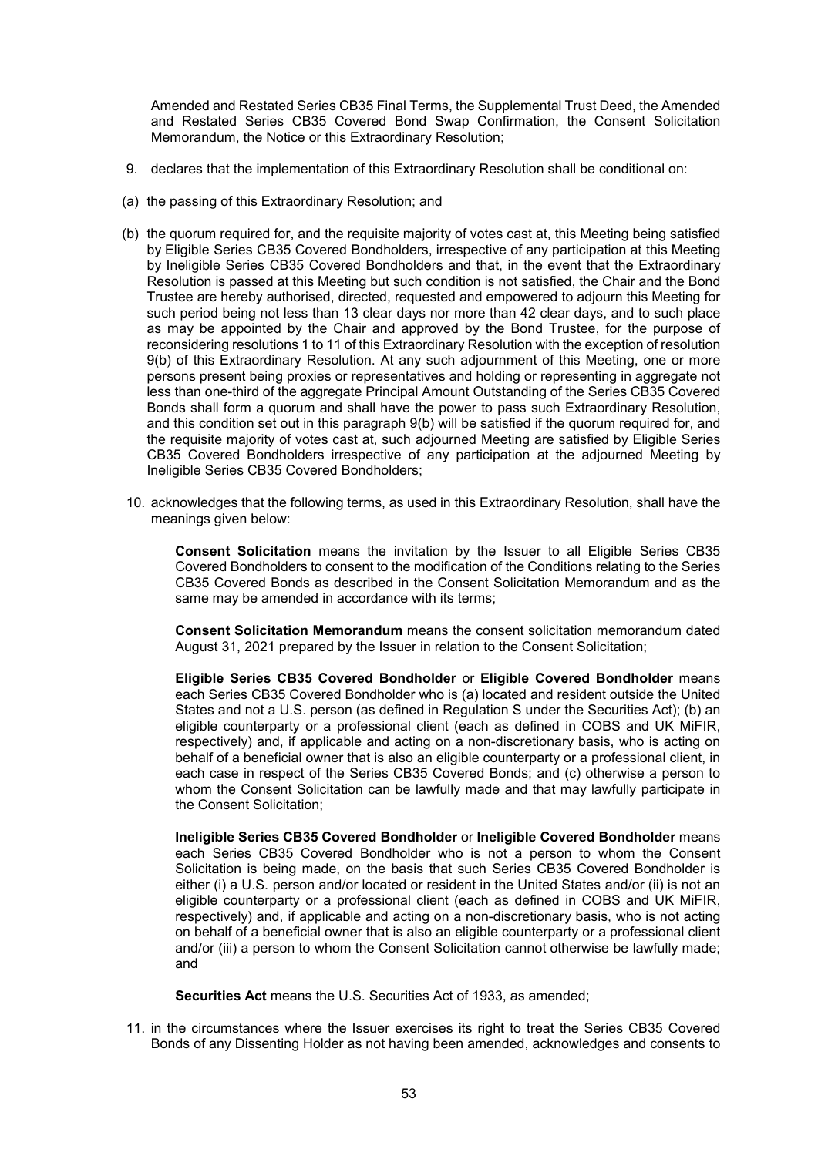Amended and Restated Series CB35 Final Terms, the Supplemental Trust Deed, the Amended and Restated Series CB35 Covered Bond Swap Confirmation, the Consent Solicitation Memorandum, the Notice or this Extraordinary Resolution;

- 9. declares that the implementation of this Extraordinary Resolution shall be conditional on:
- (a) the passing of this Extraordinary Resolution; and
- (b) the quorum required for, and the requisite majority of votes cast at, this Meeting being satisfied by Eligible Series CB35 Covered Bondholders, irrespective of any participation at this Meeting by Ineligible Series CB35 Covered Bondholders and that, in the event that the Extraordinary Resolution is passed at this Meeting but such condition is not satisfied, the Chair and the Bond Trustee are hereby authorised, directed, requested and empowered to adjourn this Meeting for such period being not less than 13 clear days nor more than 42 clear days, and to such place as may be appointed by the Chair and approved by the Bond Trustee, for the purpose of reconsidering resolutions 1 to 11 of this Extraordinary Resolution with the exception of resolution 9(b) of this Extraordinary Resolution. At any such adjournment of this Meeting, one or more persons present being proxies or representatives and holding or representing in aggregate not less than one-third of the aggregate Principal Amount Outstanding of the Series CB35 Covered Bonds shall form a quorum and shall have the power to pass such Extraordinary Resolution, and this condition set out in this paragraph 9(b) will be satisfied if the quorum required for, and the requisite majority of votes cast at, such adjourned Meeting are satisfied by Eligible Series CB35 Covered Bondholders irrespective of any participation at the adjourned Meeting by Ineligible Series CB35 Covered Bondholders;
- 10. acknowledges that the following terms, as used in this Extraordinary Resolution, shall have the meanings given below:

**Consent Solicitation** means the invitation by the Issuer to all Eligible Series CB35 Covered Bondholders to consent to the modification of the Conditions relating to the Series CB35 Covered Bonds as described in the Consent Solicitation Memorandum and as the same may be amended in accordance with its terms;

**Consent Solicitation Memorandum** means the consent solicitation memorandum dated August 31, 2021 prepared by the Issuer in relation to the Consent Solicitation;

**Eligible Series CB35 Covered Bondholder** or **Eligible Covered Bondholder** means each Series CB35 Covered Bondholder who is (a) located and resident outside the United States and not a U.S. person (as defined in Regulation S under the Securities Act); (b) an eligible counterparty or a professional client (each as defined in COBS and UK MiFIR, respectively) and, if applicable and acting on a non-discretionary basis, who is acting on behalf of a beneficial owner that is also an eligible counterparty or a professional client, in each case in respect of the Series CB35 Covered Bonds; and (c) otherwise a person to whom the Consent Solicitation can be lawfully made and that may lawfully participate in the Consent Solicitation;

**Ineligible Series CB35 Covered Bondholder** or **Ineligible Covered Bondholder** means each Series CB35 Covered Bondholder who is not a person to whom the Consent Solicitation is being made, on the basis that such Series CB35 Covered Bondholder is either (i) a U.S. person and/or located or resident in the United States and/or (ii) is not an eligible counterparty or a professional client (each as defined in COBS and UK MiFIR, respectively) and, if applicable and acting on a non-discretionary basis, who is not acting on behalf of a beneficial owner that is also an eligible counterparty or a professional client and/or (iii) a person to whom the Consent Solicitation cannot otherwise be lawfully made; and

**Securities Act** means the U.S. Securities Act of 1933, as amended;

11. in the circumstances where the Issuer exercises its right to treat the Series CB35 Covered Bonds of any Dissenting Holder as not having been amended, acknowledges and consents to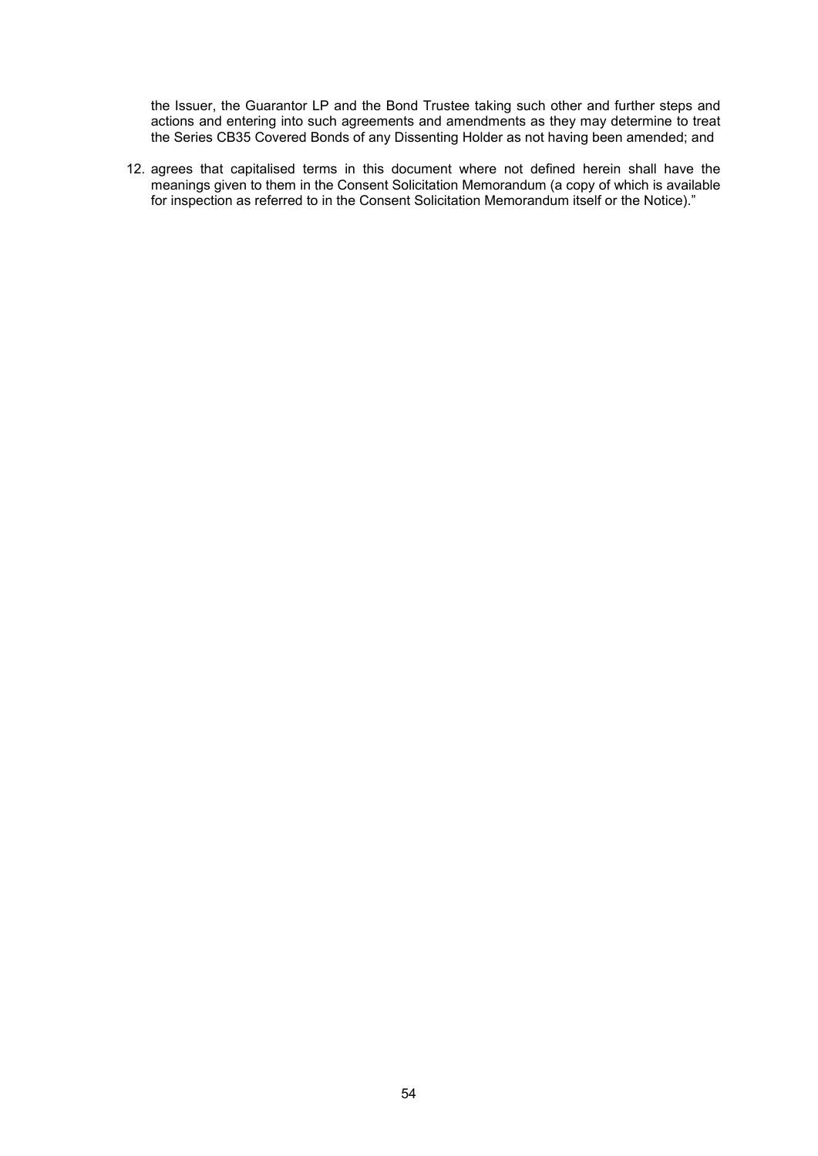the Issuer, the Guarantor LP and the Bond Trustee taking such other and further steps and actions and entering into such agreements and amendments as they may determine to treat the Series CB35 Covered Bonds of any Dissenting Holder as not having been amended; and

12. agrees that capitalised terms in this document where not defined herein shall have the meanings given to them in the Consent Solicitation Memorandum (a copy of which is available for inspection as referred to in the Consent Solicitation Memorandum itself or the Notice)."